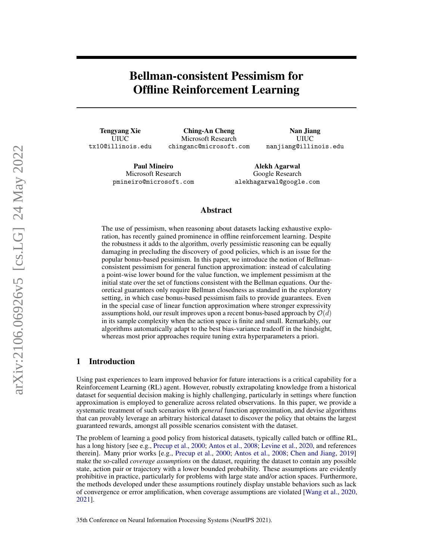# Bellman-consistent Pessimism for Offline Reinforcement Learning

Tengyang Xie UIUC [tx10@illinois.edu](mailto:tx10@illinois.edu)

Ching-An Cheng Microsoft Research [chinganc@microsoft.com](mailto:chinganc@microsoft.com)

Nan Jiang UIUC [nanjiang@illinois.edu](mailto:nanjiang@illinois.edu)

Paul Mineiro Microsoft Research [pmineiro@microsoft.com](mailto:pmineiro@microsoft.com)

Alekh Agarwal Google Research [alekhagarwal@google.com](mailto:alekhagarwal@google.com)

## Abstract

The use of pessimism, when reasoning about datasets lacking exhaustive exploration, has recently gained prominence in offline reinforcement learning. Despite the robustness it adds to the algorithm, overly pessimistic reasoning can be equally damaging in precluding the discovery of good policies, which is an issue for the popular bonus-based pessimism. In this paper, we introduce the notion of Bellmanconsistent pessimism for general function approximation: instead of calculating a point-wise lower bound for the value function, we implement pessimism at the initial state over the set of functions consistent with the Bellman equations. Our theoretical guarantees only require Bellman closedness as standard in the exploratory setting, in which case bonus-based pessimism fails to provide guarantees. Even in the special case of linear function approximation where stronger expressivity assumptions hold, our result improves upon a recent bonus-based approach by  $O(d)$ in its sample complexity when the action space is finite and small. Remarkably, our algorithms automatically adapt to the best bias-variance tradeoff in the hindsight, whereas most prior approaches require tuning extra hyperparameters a priori.

## <span id="page-0-0"></span>1 Introduction

Using past experiences to learn improved behavior for future interactions is a critical capability for a Reinforcement Learning (RL) agent. However, robustly extrapolating knowledge from a historical dataset for sequential decision making is highly challenging, particularly in settings where function approximation is employed to generalize across related observations. In this paper, we provide a systematic treatment of such scenarios with *general* function approximation, and devise algorithms that can provably leverage an arbitrary historical dataset to discover the policy that obtains the largest guaranteed rewards, amongst all possible scenarios consistent with the dataset.

The problem of learning a good policy from historical datasets, typically called batch or offline RL, has a long history [see e.g., [Precup et al.,](#page-11-0) [2000;](#page-11-0) [Antos et al.,](#page-10-0) [2008;](#page-10-0) [Levine et al.,](#page-11-1) [2020,](#page-11-1) and references therein]. Many prior works [e.g., [Precup et al.,](#page-11-0) [2000;](#page-11-0) [Antos et al.,](#page-10-0) [2008;](#page-10-0) [Chen and Jiang,](#page-10-1) [2019\]](#page-10-1) make the so-called *coverage assumptions* on the dataset, requiring the dataset to contain any possible state, action pair or trajectory with a lower bounded probability. These assumptions are evidently prohibitive in practice, particularly for problems with large state and/or action spaces. Furthermore, the methods developed under these assumptions routinely display unstable behaviors such as lack of convergence or error amplification, when coverage assumptions are violated [\[Wang et al.,](#page-11-2) [2020,](#page-11-2) [2021\]](#page-11-3).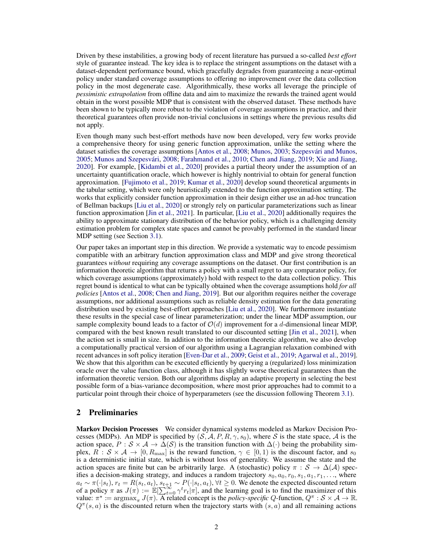Driven by these instabilities, a growing body of recent literature has pursued a so-called *best effort* style of guarantee instead. The key idea is to replace the stringent assumptions on the dataset with a dataset-dependent performance bound, which gracefully degrades from guaranteeing a near-optimal policy under standard coverage assumptions to offering no improvement over the data collection policy in the most degenerate case. Algorithmically, these works all leverage the principle of *pessimistic extrapolation* from offline data and aim to maximize the rewards the trained agent would obtain in the worst possible MDP that is consistent with the observed dataset. These methods have been shown to be typically more robust to the violation of coverage assumptions in practice, and their theoretical guarantees often provide non-trivial conclusions in settings where the previous results did not apply.

Even though many such best-effort methods have now been developed, very few works provide a comprehensive theory for using generic function approximation, unlike the setting where the dataset satisfies the coverage assumptions [\[Antos et al.,](#page-10-0) [2008;](#page-10-0) [Munos,](#page-11-4) [2003;](#page-11-4) [Szepesvári and Munos,](#page-11-5) [2005;](#page-11-5) [Munos and Szepesvári,](#page-11-6) [2008;](#page-11-6) [Farahmand et al.,](#page-10-2) [2010;](#page-10-2) [Chen and Jiang,](#page-10-1) [2019;](#page-10-1) [Xie and Jiang,](#page-11-7) [2020\]](#page-11-7). For example, [\[Kidambi et al.,](#page-10-3) [2020\]](#page-10-3) provides a partial theory under the assumption of an uncertainty quantification oracle, which however is highly nontrivial to obtain for general function approximation. [\[Fujimoto et al.,](#page-10-4) [2019;](#page-10-4) [Kumar et al.,](#page-11-8) [2020\]](#page-11-8) develop sound theoretical arguments in the tabular setting, which were only heuristically extended to the function approximation setting. The works that explicitly consider function approximation in their design either use an ad-hoc truncation of Bellman backups [\[Liu et al.,](#page-11-9) [2020\]](#page-11-9) or strongly rely on particular parameterizations such as linear function approximation [\[Jin et al.,](#page-10-5) [2021\]](#page-10-5). In particular, [\[Liu et al.,](#page-11-9) [2020\]](#page-11-9) additionally requires the ability to approximate stationary distribution of the behavior policy, which is a challenging density estimation problem for complex state spaces and cannot be provably performed in the standard linear MDP setting (see Section [3.1\)](#page-6-0).

Our paper takes an important step in this direction. We provide a systematic way to encode pessimism compatible with an arbitrary function approximation class and MDP and give strong theoretical guarantees *without* requiring any coverage assumptions on the dataset. Our first contribution is an information theoretic algorithm that returns a policy with a small regret to any comparator policy, for which coverage assumptions (approximately) hold with respect to the data collection policy. This regret bound is identical to what can be typically obtained when the coverage assumptions hold *for all policies* [\[Antos et al.,](#page-10-0) [2008;](#page-10-0) [Chen and Jiang,](#page-10-1) [2019\]](#page-10-1). But our algorithm requires neither the coverage assumptions, nor additional assumptions such as reliable density estimation for the data generating distribution used by existing best-effort approaches [\[Liu et al.,](#page-11-9) [2020\]](#page-11-9). We furthermore instantiate these results in the special case of linear parameterization; under the linear MDP assumption, our sample complexity bound leads to a factor of  $\mathcal{O}(d)$  improvement for a d-dimensional linear MDP, compared with the best known result translated to our discounted setting [\[Jin et al.,](#page-10-5) [2021\]](#page-10-5), when the action set is small in size. In addition to the information theoretic algorithm, we also develop a computationally practical version of our algorithm using a Lagrangian relaxation combined with recent advances in soft policy iteration [\[Even-Dar et al.,](#page-10-6) [2009;](#page-10-6) [Geist et al.,](#page-10-7) [2019;](#page-10-7) [Agarwal et al.,](#page-10-8) [2019\]](#page-10-8). We show that this algorithm can be executed efficiently by querying a (regularized) loss minimization oracle over the value function class, although it has slightly worse theoretical guarantees than the information theoretic version. Both our algorithms display an adaptive property in selecting the best possible form of a bias-variance decomposition, where most prior approaches had to commit to a particular point through their choice of hyperparameters (see the discussion following Theorem [3.1\)](#page-4-0).

## 2 Preliminaries

Markov Decision Processes We consider dynamical systems modeled as Markov Decision Processes (MDPs). An MDP is specified by  $(S, A, P, R, \gamma, s_0)$ , where S is the state space, A is the action space,  $P : S \times A \to \Delta(S)$  is the transition function with  $\Delta(\cdot)$  being the probability simplex,  $R : S \times A \rightarrow [0, R_{\text{max}}]$  is the reward function,  $\gamma \in [0, 1)$  is the discount factor, and  $s_0$ is a deterministic initial state, which is without loss of generality. We assume the state and the action spaces are finite but can be arbitrarily large. A (stochastic) policy  $\pi : \mathcal{S} \to \Delta(\mathcal{A})$  specifies a decision-making strategy, and induces a random trajectory  $s_0, a_0, r_0, s_1, a_1, r_1, \ldots$ , where  $a_t \sim \pi(\cdot|s_t), r_t = R(s_t, a_t), s_{t+1} \sim P(\cdot|s_t, a_t), \forall t \ge 0$ . We denote the expected discounted return of a policy  $\pi$  as  $J(\pi) := \mathbb{E}[\sum_{t=0}^{+\infty} \gamma^t r_t | \pi]$ , and the learning goal is to find the maximizer of this value:  $\pi^* := \text{argmax}_{\pi} J(\pi)$ . A related concept is the *policy-specific Q*-function,  $Q^{\pi} : \mathcal{S} \times \mathcal{A} \to \mathbb{R}$ .  $Q^{\pi}(s, a)$  is the discounted return when the trajectory starts with  $(s, a)$  and all remaining actions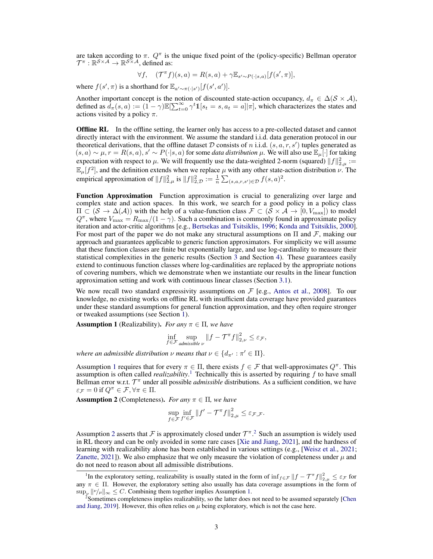are taken according to  $\pi$ .  $Q^{\pi}$  is the unique fixed point of the (policy-specific) Bellman operator  $\mathcal{T}^{\pi}: \mathbb{R}^{\mathcal{S} \times \mathcal{A}} \to \mathbb{R}^{\mathcal{S} \times \mathcal{A}},$  defined as:

$$
\forall f, \quad (\mathcal{T}^{\pi} f)(s, a) = R(s, a) + \gamma \mathbb{E}_{s' \sim P(\cdot | s, a)}[f(s', \pi)],
$$

where  $f(s', \pi)$  is a shorthand for  $\mathbb{E}_{a' \sim \pi(\cdot | s')}[f(s', a')]$ .

Another important concept is the notion of discounted state-action occupancy,  $d_{\pi} \in \Delta(\mathcal{S} \times \mathcal{A})$ , defined as  $d_{\pi}(s, a) := (1 - \gamma) \mathbb{E}[\sum_{t=0}^{\infty} \gamma^t \mathbb{1}[s_t = s, a_t = a] | \pi]$ , which characterizes the states and actions visited by a policy  $\pi$ .

**Offline RL** In the offline setting, the learner only has access to a pre-collected dataset and cannot directly interact with the environment. We assume the standard i.i.d. data generation protocol in our theoretical derivations, that the offline dataset  $D$  consists of n i.i.d.  $(s, a, r, s')$  tuples generated as  $(s, a) \sim \mu, r = R(s, a), s' \sim P(\cdot | s, a)$  for some *data distribution*  $\mu$ . We will also use  $\mathbb{E}_{\mu}[\cdot]$  for taking expectation with respect to  $\mu$ . We will frequently use the data-weighted 2-norm (squared)  $||f||_{2,\mu}^2 :=$  $\mathbb{E}_{\mu}[f^2]$ , and the definition extends when we replace  $\mu$  with any other state-action distribution  $\nu$ . The empirical approximation of  $||f||_{2,\mu}^2$  is  $||f||_{2,\mathcal{D}}^2 := \frac{1}{n} \sum_{(s,a,r,s') \in \mathcal{D}} f(s,a)^2$ .

Function Approximation Function approximation is crucial to generalizing over large and complex state and action spaces. In this work, we search for a good policy in a policy class  $\Pi \subset (\mathcal{S} \to \Delta(\mathcal{A}))$  with the help of a value-function class  $\mathcal{F} \subset (\mathcal{S} \times \mathcal{A} \to [0, V_{\text{max}}])$  to model  $Q^{\pi}$ , where  $V_{\text{max}} = R_{\text{max}}/(1 - \gamma)$ . Such a combination is commonly found in approximate policy iteration and actor-critic algorithms [e.g., [Bertsekas and Tsitsiklis,](#page-10-9) [1996;](#page-10-9) [Konda and Tsitsiklis,](#page-10-10) [2000\]](#page-10-10). For most part of the paper we do not make any structural assumptions on  $\Pi$  and  $\mathcal{F}$ , making our approach and guarantees applicable to generic function approximators. For simplicity we will assume that these function classes are finite but exponentially large, and use log-cardinality to measure their statistical complexities in the generic results (Section [3](#page-3-0) and Section [4\)](#page-7-0). These guarantees easily extend to continuous function classes where log-cardinalities are replaced by the appropriate notions of covering numbers, which we demonstrate when we instantiate our results in the linear function approximation setting and work with continuous linear classes (Section [3.1\)](#page-6-0).

We now recall two standard expressivity assumptions on  $\mathcal{F}$  [e.g., [Antos et al.,](#page-10-0) [2008\]](#page-10-0). To our knowledge, no existing works on offline RL with insufficient data coverage have provided guarantees under these standard assumptions for general function approximation, and they often require stronger or tweaked assumptions (see Section [1\)](#page-0-0).

<span id="page-2-0"></span>**Assumption 1** (Realizability). *For any*  $\pi \in \Pi$ *, we have* 

$$
\inf_{f \in \mathcal{F}} \sup_{\text{admissible } \nu} \|f - \mathcal{T}^{\pi} f\|_{2, \nu}^2 \le \varepsilon_{\mathcal{F}},
$$

*where an admissible distribution*  $\nu$  *means that*  $\nu \in \{d_{\pi'} : \pi' \in \Pi\}$ .

Assumption [1](#page-2-0) requires that for every  $\pi \in \Pi$ , there exists  $f \in \mathcal{F}$  that well-approximates  $Q^{\pi}$ . This assumption is often called *realizability*. [1](#page-2-1) Technically this is asserted by requiring f to have small Bellman error w.r.t.  $\mathcal{T}^{\pi}$  under all possible *admissible* distributions. As a sufficient condition, we have  $\varepsilon_{\mathcal{F}} = 0$  if  $Q^{\pi} \in \mathcal{F}, \forall \pi \in \Pi$ .

<span id="page-2-2"></span>**Assumption 2** (Completeness). *For any*  $\pi \in \Pi$ *, we have* 

$$
\sup_{f \in \mathcal{F}} \inf_{f' \in \mathcal{F}} \|f' - \mathcal{T}^{\pi} f\|_{2,\mu}^2 \le \varepsilon_{\mathcal{F},\mathcal{F}}.
$$

Assumption [2](#page-2-3) asserts that F is approximately closed under  $T^{\pi}$ .<sup>2</sup> Such an assumption is widely used in RL theory and can be only avoided in some rare cases [\[Xie and Jiang,](#page-12-0) [2021\]](#page-12-0), and the hardness of learning with realizability alone has been established in various settings (e.g., [\[Weisz et al.,](#page-11-10) [2021;](#page-11-10) [Zanette,](#page-12-1) [2021\]](#page-12-1)). We also emphasize that we only measure the violation of completeness under  $\mu$  and do not need to reason about all admissible distributions.

<span id="page-2-1"></span><sup>&</sup>lt;sup>1</sup>In the exploratory setting, realizability is usually stated in the form of  $\inf_{f \in \mathcal{F}} ||f - \mathcal{T}^{\pi} f||_{2,\mu}^2 \leq \varepsilon_{\mathcal{F}}$  for any  $\pi \in \Pi$ . However, the exploratory setting also usually has data coverage assumptions in the form of  $\sup_{\nu} ||\nu/\mu||_{\infty} \leq C$ . Combining them together implies Assumption [1.](#page-2-0)

<span id="page-2-3"></span><sup>&</sup>lt;sup>2</sup>Sometimes completeness implies realizability, so the latter does not need to be assumed separately [\[Chen](#page-10-1) [and Jiang,](#page-10-1) [2019\]](#page-10-1). However, this often relies on  $\mu$  being exploratory, which is not the case here.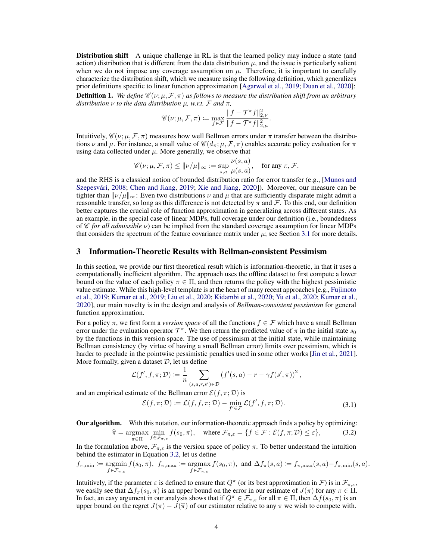**Distribution shift** A unique challenge in RL is that the learned policy may induce a state (and action) distribution that is different from the data distribution  $\mu$ , and the issue is particularly salient when we do not impose any coverage assumption on  $\mu$ . Therefore, it is important to carefully characterize the distribution shift, which we measure using the following definition, which generalizes prior definitions specific to linear function approximation [\[Agarwal et al.,](#page-10-8) [2019;](#page-10-8) [Duan et al.,](#page-10-11) [2020\]](#page-10-11):

<span id="page-3-2"></span>**Definition 1.** We define  $\mathscr{C}(v;\mu,\mathcal{F},\pi)$  as follows to measure the distribution shift from an arbitrary *distribution*  $\nu$  *to the data distribution*  $\mu$ *, w.r.t.*  $\mathcal F$  *and*  $\pi$ *,* 

$$
\mathscr{C}(\nu;\mu,\mathcal{F},\pi) \coloneqq \max_{f \in \mathcal{F}} \frac{\|f - \mathcal{T}^\pi f\|_{2,\nu}^2}{\|f - \mathcal{T}^\pi f\|_{2,\mu}^2}.
$$

Intuitively,  $\mathscr{C}(\nu;\mu,\mathcal{F},\pi)$  measures how well Bellman errors under  $\pi$  transfer between the distributions  $\nu$  and  $\mu$ . For instance, a small value of  $\mathscr{C}(d_\pi;\mu,\mathcal{F},\pi)$  enables accurate policy evaluation for  $\pi$ using data collected under  $\mu$ . More generally, we observe that

$$
\mathscr{C}(\nu;\mu,\mathcal{F},\pi)\leq \|\nu/\mu\|_{\infty}:=\sup_{s,a}\frac{\nu(s,a)}{\mu(s,a)},\quad \text{for any }\pi,\mathcal{F}.
$$

and the RHS is a classical notion of bounded distribution ratio for error transfer (e.g., [\[Munos and](#page-11-6) [Szepesvári,](#page-11-6) [2008;](#page-11-6) [Chen and Jiang,](#page-10-1) [2019;](#page-10-1) [Xie and Jiang,](#page-11-7) [2020\]](#page-11-7)). Moreover, our measure can be tighter than  $\|\nu/\mu\|_{\infty}$ : Even two distributions  $\nu$  and  $\mu$  that are sufficiently disparate might admit a reasonable transfer, so long as this difference is not detected by  $\pi$  and F. To this end, our definition better captures the crucial role of function approximation in generalizing across different states. As an example, in the special case of linear MDPs, full coverage under our definition (i.e., boundedness of  $\mathscr C$  *for all admissible*  $\nu$ ) can be implied from the standard coverage assumption for linear MDPs that considers the spectrum of the feature covariance matrix under  $\mu$ ; see Section [3.1](#page-6-0) for more details.

### <span id="page-3-0"></span>3 Information-Theoretic Results with Bellman-consistent Pessimism

In this section, we provide our first theoretical result which is information-theoretic, in that it uses a computationally inefficient algorithm. The approach uses the offline dataset to first compute a lower bound on the value of each policy  $\pi \in \Pi$ , and then returns the policy with the highest pessimistic value estimate. While this high-level template is at the heart of many recent approaches [e.g., [Fujimoto](#page-10-4) [et al.,](#page-10-4) [2019;](#page-10-4) [Kumar et al.,](#page-10-12) [2019;](#page-10-12) [Liu et al.,](#page-11-9) [2020;](#page-11-9) [Kidambi et al.,](#page-10-3) [2020;](#page-10-3) [Yu et al.,](#page-12-2) [2020;](#page-12-2) [Kumar et al.,](#page-11-8) [2020\]](#page-11-8), our main novelty is in the design and analysis of *Bellman-consistent pessimism* for general function approximation.

For a policy  $\pi$ , we first form a *version space* of all the functions  $f \in \mathcal{F}$  which have a small Bellman error under the evaluation operator  $\mathcal{T}^{\pi}$ . We then return the predicted value of  $\pi$  in the initial state  $s_0$ by the functions in this version space. The use of pessimism at the initial state, while maintaining Bellman consistency (by virtue of having a small Bellman error) limits over pessimism, which is harder to preclude in the pointwise pessimistic penalties used in some other works [\[Jin et al.,](#page-10-5) [2021\]](#page-10-5). More formally, given a dataset  $D$ , let us define

$$
\mathcal{L}(f', f, \pi; \mathcal{D}) \coloneqq \frac{1}{n} \sum_{(s, a, r, s') \in \mathcal{D}} \left(f'(s, a) - r - \gamma f(s', \pi)\right)^2,
$$

and an empirical estimate of the Bellman error  $\mathcal{E}(f, \pi; \mathcal{D})$  is

<span id="page-3-3"></span><span id="page-3-1"></span>
$$
\mathcal{E}(f,\pi;\mathcal{D}) := \mathcal{L}(f,f,\pi;\mathcal{D}) - \min_{f' \in \mathcal{F}} \mathcal{L}(f',f,\pi;\mathcal{D}).
$$
\n(3.1)

Our algorithm. With this notation, our information-theoretic approach finds a policy by optimizing:  $\widehat{\pi} = \underset{\pi \in \Pi}{\operatorname{argmax}} \min_{f \in \mathcal{F}_{\pi,\varepsilon}} f(s_0, \pi), \quad \text{where } \mathcal{F}_{\pi,\varepsilon} = \{f \in \mathcal{F} : \mathcal{E}(f, \pi; \mathcal{D}) \le \varepsilon\},\tag{3.2}$ 

In the formulation above,  $\mathcal{F}_{\pi,\varepsilon}$  is the version space of policy  $\pi$ . To better understand the intuition behind the estimator in Equation [3.2,](#page-3-1) let us define

$$
f_{\pi,\min} := \operatorname*{argmin}_{f \in \mathcal{F}_{\pi,\varepsilon}} f(s_0, \pi), \ f_{\pi,\max} := \operatorname*{argmax}_{f \in \mathcal{F}_{\pi,\varepsilon}} f(s_0, \pi), \text{ and } \Delta f_{\pi}(s, a) := f_{\pi,\max}(s, a) - f_{\pi,\min}(s, a).
$$

Intuitively, if the parameter  $\varepsilon$  is defined to ensure that  $Q^{\pi}$  (or its best approximation in  $\mathcal{F}$ ) is in  $\mathcal{F}_{\pi,\varepsilon}$ , we easily see that  $\Delta f_\pi(s_0, \pi)$  is an upper bound on the error in our estimate of  $J(\pi)$  for any  $\pi \in \Pi$ . In fact, an easy argument in our analysis shows that if  $Q^{\pi} \in \mathcal{F}_{\pi,\varepsilon}$  for all  $\pi \in \Pi$ , then  $\Delta f(s_0, \pi)$  is an upper bound on the regret  $J(\pi) - J(\hat{\pi})$  of our estimator relative to any  $\pi$  we wish to compete with.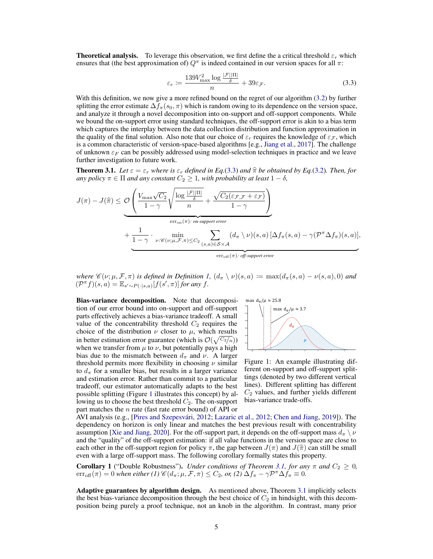**Theoretical analysis.** To leverage this observation, we first define the a critical threshold  $\varepsilon_r$  which ensures that (the best approximation of)  $Q^{\pi}$  is indeed contained in our version spaces for all  $\pi$ :

<span id="page-4-1"></span>
$$
\varepsilon_r := \frac{139V_{\text{max}}^2 \log \frac{|\mathcal{F}||\Pi|}{\delta}}{n} + 39\varepsilon_{\mathcal{F}}.\tag{3.3}
$$

With this definition, we now give a more refined bound on the regret of our algorithm [\(3.2\)](#page-3-1) by further splitting the error estimate  $\Delta f_\pi(s_0, \pi)$  which is random owing to its dependence on the version space, and analyze it through a novel decomposition into on-support and off-support components. While we bound the on-support error using standard techniques, the off-support error is akin to a bias term which captures the interplay between the data collection distribution and function approximation in the quality of the final solution. Also note that our choice of  $\varepsilon_r$  requires the knowledge of  $\varepsilon_{\mathcal{F}}$ , which is a common characteristic of version-space-based algorithms [e.g., [Jiang et al.,](#page-10-13) [2017\]](#page-10-13). The challenge of unknown  $\varepsilon_F$  can be possibly addressed using model-selection techniques in practice and we leave further investigation to future work.

<span id="page-4-0"></span>**Theorem 3.1.** *Let*  $\varepsilon = \varepsilon_r$  *where* is  $\varepsilon_r$  *defined in Eq.*[\(3.3\)](#page-4-1) *and*  $\hat{\pi}$  *be obtained by Eq.*[\(3.2\)](#page-3-1)*. Then, for any policy*  $\pi \in \Pi$  *and any constant*  $C_2 \geq 1$ *, with probability at least*  $1 - \delta$ *,* 

$$
J(\pi) - J(\hat{\pi}) \leq \underbrace{\mathcal{O}\left(\frac{V_{\max}\sqrt{C_2}}{1-\gamma}\sqrt{\frac{\log\frac{|\mathcal{F}||\Pi|}{\delta}}{n}} + \frac{\sqrt{C_2(\varepsilon_{\mathcal{F},\mathcal{F}} + \varepsilon_{\mathcal{F}})}}{1-\gamma}\right)}_{\text{err}_{\text{on}}(\pi): \text{ on-support error}} + \underbrace{\frac{1}{1-\gamma} \cdot \min_{\nu:\mathscr{C}(\nu;\mu,\mathcal{F},\pi) \leq C_2} \sum_{(s,a) \in \mathcal{S} \times \mathcal{A}} (d_{\pi} \setminus \nu)(s,a) \left[\Delta f_{\pi}(s,a) - \gamma(\mathcal{P}^{\pi} \Delta f_{\pi})(s,a)\right]}_{\text{err}_{\text{off-support error}}},
$$

*where*  $\mathscr{C}(\nu;\mu,\mathcal{F},\pi)$  *is defined in Definition [1,](#page-3-2)*  $(d_{\pi} \setminus \nu)(s, a) := \max(d_{\pi}(s, a) - \nu(s, a), 0)$  *and*  $(\mathcal{P}^{\pi}f)(s,a) = \mathbb{E}_{s' \sim P(\cdot|s,a)}[f(s',\pi)]$  *for any* f.

Bias-variance decomposition. Note that decomposition of our error bound into on-support and off-support parts effectively achieves a bias-variance tradeoff. A small value of the concentrability threshold  $C_2$  requires the choice of the distribution  $\nu$  closer to  $\mu$ , which results in better estimation error guarantee (which is  $\mathcal{O}(\sqrt{C_2/n})$ ) when we transfer from  $\mu$  to  $\nu$ , but potentially pays a high bias due to the mismatch between  $d_{\pi}$  and  $\nu$ . A larger threshold permits more flexibility in choosing  $\nu$  similar to  $d_{\pi}$  for a smaller bias, but results in a larger variance and estimation error. Rather than commit to a particular tradeoff, our estimator automatically adapts to the best possible splitting (Figure [1](#page-4-2) illustrates this concept) by allowing us to choose the best threshold  $C_2$ . The on-support part matches the  $n$  rate (fast rate error bound) of API or

<span id="page-4-2"></span>

Figure 1: An example illustrating different on-support and off-support splittings (denoted by two different vertical lines). Different splitting has different  $C_2$  values, and further yields different bias-variance trade-offs.

AVI analysis (e.g., [\[Pires and Szepesvári,](#page-11-11) [2012;](#page-11-11) [Lazaric et al.,](#page-11-12) [2012;](#page-11-12) [Chen and Jiang,](#page-10-1) [2019\]](#page-10-1)). The dependency on horizon is only linear and matches the best previous result with concentrability assumption [\[Xie and Jiang,](#page-11-7) [2020\]](#page-11-7). For the off-support part, it depends on the off-support mass  $d_{\pi} \setminus \nu$ and the "quality" of the off-support estimation: if all value functions in the version space are close to each other in the off-support region for policy  $\pi$ , the gap between  $J(\pi)$  and  $J(\hat{\pi})$  can still be small even with a large off-support mass. The following corollary formally states this property.

<span id="page-4-3"></span>**Corollary 1** ("Double Robustness"). *Under conditions of Theorem [3.1,](#page-4-0) for any*  $\pi$  *and*  $C_2 \geq 0$ *,*  $\text{err}_{\text{off}}(\pi) = 0$  when either (1)  $\mathscr{C}(d_\pi; \mu, \mathcal{F}, \pi) \leq C_2$ , or, (2)  $\Delta f_\pi - \gamma \mathcal{P}^\pi \Delta \dot{f}_\pi \equiv 0$ .

Adaptive guarantees by algorithm design. As mentioned above, Theorem [3.1](#page-4-0) implicitly selects the best bias-variance decomposition through the best choice of  $C_2$  in hindsight, with this decomposition being purely a proof technique, not an knob in the algorithm. In contrast, many prior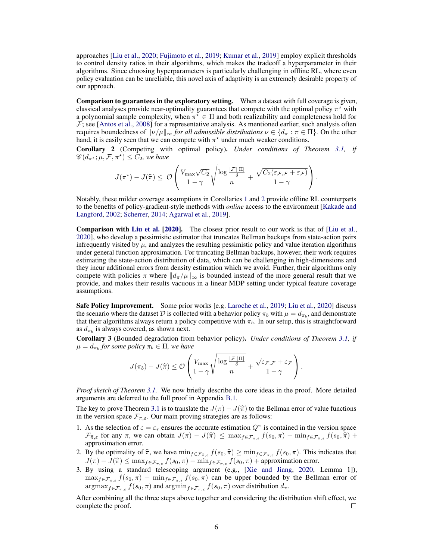approaches [\[Liu et al.,](#page-11-9) [2020;](#page-11-9) [Fujimoto et al.,](#page-10-4) [2019;](#page-10-4) [Kumar et al.,](#page-10-12) [2019\]](#page-10-12) employ explicit thresholds to control density ratios in their algorithms, which makes the tradeoff a hyperparameter in their algorithms. Since choosing hyperparameters is particularly challenging in offline RL, where even policy evaluation can be unreliable, this novel axis of adaptivity is an extremely desirable property of our approach.

Comparison to guarantees in the exploratory setting. When a dataset with full coverage is given, classical analyses provide near-optimality guarantees that compete with the optimal policy  $\pi^*$  with a polynomial sample complexity, when  $\pi^* \in \Pi$  and both realizability and completeness hold for  $\mathcal{F}$ ; see [\[Antos et al.,](#page-10-0) [2008\]](#page-10-0) for a representative analysis. As mentioned earlier, such analysis often requires boundedness of  $\|\nu/\mu\|_{\infty}$  *for all admissible distributions*  $\nu \in \{d_{\pi} : \pi \in \Pi\}$ . On the other hand, it is easily seen that we can compete with  $\pi^*$  under much weaker conditions.

<span id="page-5-0"></span>Corollary 2 (Competing with optimal policy). *Under conditions of Theorem [3.1,](#page-4-0) if*  $\mathscr{C}(d_{\pi^\star}; \mu, \mathcal{F}, \pi^\star) \leq \tilde{C}_2$ , we have

$$
J(\pi^*) - J(\widehat{\pi}) \leq \mathcal{O}\left(\frac{V_{\max}\sqrt{C_2}}{1-\gamma}\sqrt{\frac{\log\frac{|\mathcal{F}||\Pi|}{\delta}}{n}} + \frac{\sqrt{C_2(\varepsilon_{\mathcal{F},\mathcal{F}} + \varepsilon_{\mathcal{F}})}}{1-\gamma}\right).
$$

Notably, these milder coverage assumptions in Corollaries [1](#page-4-3) and [2](#page-5-0) provide offline RL counterparts to the benefits of policy-gradient-style methods with *online* access to the environment [\[Kakade and](#page-10-14) [Langford,](#page-10-14) [2002;](#page-10-14) [Scherrer,](#page-11-13) [2014;](#page-11-13) [Agarwal et al.,](#page-10-8) [2019\]](#page-10-8).

Comparison with [Liu et al.](#page-11-9) [\[2020\]](#page-11-9). The closest prior result to our work is that of [\[Liu et al.,](#page-11-9) [2020\]](#page-11-9), who develop a pessimistic estimator that truncates Bellman backups from state-action pairs infrequently visited by  $\mu$ , and analyzes the resulting pessimistic policy and value iteration algorithms under general function approximation. For truncating Bellman backups, however, their work requires estimating the state-action distribution of data, which can be challenging in high-dimensions and they incur additional errors from density estimation which we avoid. Further, their algorithms only compete with policies  $\pi$  where  $||d_{\pi}/\mu||_{\infty}$  is bounded instead of the more general result that we provide, and makes their results vacuous in a linear MDP setting under typical feature coverage assumptions.

Safe Policy Improvement. Some prior works [e.g. [Laroche et al.,](#page-11-14) [2019;](#page-11-14) [Liu et al.,](#page-11-9) [2020\]](#page-11-9) discuss the scenario where the dataset D is collected with a behavior policy  $\pi_b$  with  $\mu = d_{\pi_b}$ , and demonstrate that their algorithms always return a policy competitive with  $\pi_b$ . In our setup, this is straightforward as  $d_{\pi_b}$  is always covered, as shown next.

Corollary 3 (Bounded degradation from behavior policy). *Under conditions of Theorem [3.1,](#page-4-0) if*  $\mu = d_{\pi_b}$  for some policy  $\pi_b \in \Pi$ , we have

$$
J(\pi_b) - J(\widehat{\pi}) \leq \mathcal{O}\left(\frac{V_{\max}}{1-\gamma}\sqrt{\frac{\log \frac{|\mathcal{F}||\Pi|}{\delta}}{n}} + \frac{\sqrt{\varepsilon_{\mathcal{F},\mathcal{F}} + \varepsilon_{\mathcal{F}}}}{1-\gamma}\right).
$$

*Proof sketch of Theorem [3.1.](#page-4-0)* We now briefly describe the core ideas in the proof. More detailed arguments are deferred to the full proof in Appendix [B.1.](#page-23-0)

The key to prove Theorem [3.1](#page-4-0) is to translate the  $J(\pi) - J(\hat{\pi})$  to the Bellman error of value functions in the version space  $\mathcal{F}_{\pi,\varepsilon}$ . Our main proving strategies are as follows:

- 1. As the selection of  $\varepsilon = \varepsilon_r$  ensures the accurate estimation  $Q^{\pi}$  is contained in the version space  $\mathcal{F}_{\hat{\pi},\varepsilon}$  for any  $\pi$ , we can obtain  $J(\pi) - J(\hat{\pi}) \leq \max_{f \in \mathcal{F}_{\pi,\varepsilon}} f(s_0, \pi) - \min_{f \in \mathcal{F}_{\hat{\pi},\varepsilon}} f(s_0, \hat{\pi}) +$ approximation error.
- 2. By the optimality of  $\hat{\pi}$ , we have  $\min_{f \in \mathcal{F}_{\hat{\pi},\varepsilon}} f(s_0, \hat{\pi}) \ge \min_{f \in \mathcal{F}_{\pi,\varepsilon}} f(s_0, \pi)$ . This indicates that  $I(\hat{\pi}) = I(\hat{\pi}) \le \max_{f \in \mathcal{F}_{\hat{\pi}}} f(s_0, \pi)$  is a proportional expression expression expression e  $J(\pi) - J(\hat{\pi}) \leq \max_{f \in \mathcal{F}_{\pi,\varepsilon}} f(s_0, \pi) - \min_{f \in \mathcal{F}_{\pi,\varepsilon}} f(s_0, \pi) +$  approximation error.
- 3. By using a standard telescoping argument (e.g., [\[Xie and Jiang,](#page-11-7) [2020,](#page-11-7) Lemma 1]),  $\max_{f \in \mathcal{F}_{\pi,\varepsilon}} f(s_0, \pi) - \min_{f \in \mathcal{F}_{\pi,\varepsilon}} f(s_0, \pi)$  can be upper bounded by the Bellman error of  $\arg\max_{f \in \mathcal{F}_{\pi,\varepsilon}} f(s_0, \pi)$  and  $\arg\min_{f \in \mathcal{F}_{\pi,\varepsilon}} f(s_0, \pi)$  over distribution  $d_\pi$ .

After combining all the three steps above together and considering the distribution shift effect, we complete the proof. □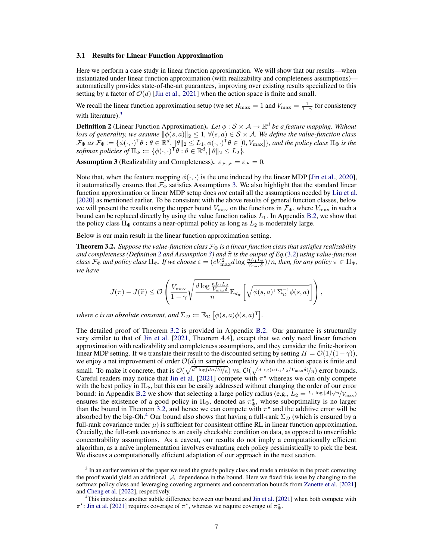#### <span id="page-6-0"></span>3.1 Results for Linear Function Approximation

Here we perform a case study in linear function approximation. We will show that our results—when instantiated under linear function approximation (with realizability and completeness assumptions) automatically provides state-of-the-art guarantees, improving over existing results specialized to this setting by a factor of  $O(d)$  [\[Jin et al.,](#page-10-5) [2021\]](#page-10-5) when the action space is finite and small.

We recall the linear function approximation setup (we set  $R_{\text{max}} = 1$  and  $V_{\text{max}} = \frac{1}{1-\gamma}$  for consistency with literature). $3$ 

<span id="page-6-3"></span>**Definition 2** (Linear Function Approximation). Let  $\phi : \mathcal{S} \times \mathcal{A} \to \mathbb{R}^d$  be a feature mapping. Without *loss of generality, we assume*  $\|\phi(s, a)\|_2 \leq 1$ ,  $\forall (s, a) \in S \times A$ *. We define the value-function class*  $\mathcal{F}_{\Phi}$  as  $\mathcal{F}_{\Phi} \coloneqq \{\phi(\cdot,\cdot)^{\mathsf{T}}\theta : \theta \in \mathbb{R}^d, \|\theta\|_2 \leq L_1, \phi(\cdot,\cdot)^{\mathsf{T}}\theta \in [0,V_{\max}]\}$ , and the policy class  $\Pi_{\Phi}$  is the  $softmax$  policies of  $\Pi_{\Phi} \coloneqq \{ \phi(\cdot, \cdot)^{\text{T}} \theta : \theta \in \mathbb{R}^d, ||\theta||_2 \leq L_2 \}.$ 

<span id="page-6-2"></span>**Assumption 3** (Realizability and Completeness).  $\varepsilon_{\mathcal{F},\mathcal{F}} = \varepsilon_{\mathcal{F}} = 0$ .

Note that, when the feature mapping  $\phi(\cdot, \cdot)$  is the one induced by the linear MDP [\[Jin et al.,](#page-10-15) [2020\]](#page-10-15), it automatically ensures that  $\mathcal{F}_{\Phi}$  satisfies Assumptions [3.](#page-6-2) We also highlight that the standard linear function approximation or linear MDP setup does *not* entail all the assumptions needed by [Liu et al.](#page-11-9) [\[2020\]](#page-11-9) as mentioned earlier. To be consistent with the above results of general function classes, below we will present the results using the upper bound  $V_{\text{max}}$  on the functions in  $\mathcal{F}_{\Phi}$ , where  $V_{\text{max}}$  in such a bound can be replaced directly by using the value function radius  $L_1$ . In Appendix [B.2,](#page-25-0) we show that the policy class  $\Pi_{\Phi}$  contains a near-optimal policy as long as  $L_2$  is moderately large.

Below is our main result in the linear function approximation setting.

<span id="page-6-4"></span>**Theorem 3.2.** *Suppose the value-function class*  $\mathcal{F}_{\Phi}$  *is a linear function class that satisfies realizability* and completeness (Definition [2](#page-6-3) and Assumption [3\)](#page-6-2) and  $\widehat{\pi}$  is the output of Eq.[\(3.2\)](#page-3-1) using value-function<br>class  $\mathcal{F}_\Phi$  and policy class  $\Pi_\Phi$ . If we choose  $\varepsilon = (cV_{\rm max}^2d\log{\frac{nL_1L_2}{V_{\rm max}}})/n$ , then, for any pol *we have*

$$
J(\pi) - J(\hat{\pi}) \leq \mathcal{O}\left(\frac{V_{\max}}{1 - \gamma} \sqrt{\frac{d \log \frac{nL_1L_2}{V_{\max}\delta}}{n}} \mathbb{E}_{d_{\pi}}\left[\sqrt{\phi(s, a)^{\top} \Sigma_{\mathcal{D}}^{-1} \phi(s, a)}\right]\right),
$$

*where c is an absolute constant, and*  $\Sigma_{\mathcal{D}} \coloneqq \mathbb{E}_{\mathcal{D}} [\phi(s, a) \phi(s, a)^{\mathsf{T}}].$ 

The detailed proof of Theorem [3.2](#page-6-4) is provided in Appendix [B.2.](#page-25-0) Our guarantee is structurally very similar to that of [Jin et al.](#page-10-5) [\[2021,](#page-10-5) Theorem 4.4], except that we only need linear function approximation with realizability and completeness assumptions, and they consider the finite-horizon linear MDP setting. If we translate their result to the discounted setting by setting  $H = \mathcal{O}(1/(1-\gamma))$ , we enjoy a net improvement of order  $O(d)$  in sample complexity when the action space is finite and small. To make it concrete, that is  $\mathcal{O}(\sqrt{d^2 \log((dn/\delta)/n)})$  vs.  $\mathcal{O}(\sqrt{d \log(nL_1L_2/V_{\max}\delta)/n})$  error bounds. Careful readers may notice that [Jin et al.](#page-10-5) [\[2021\]](#page-10-5) compete with  $\pi^*$  whereas we can only compete with the best policy in  $\Pi_{\Phi}$ , but this can be easily addressed without changing the order of our error bound: in Appendix [B.2](#page-25-0) we show that selecting a large policy radius (e.g.,  $L_2 = L_1 \log |A| \sqrt{n/V_{\text{max}}}$ ) ensures the existence of a good policy in  $\Pi_{\Phi}$ , denoted as  $\pi_{\Phi}^*$ , whose suboptimality is no larger than the bound in Theorem [3.2,](#page-6-4) and hence we can compete with  $\pi^*$  and the additive error will be absorbed by the big-Oh.<sup>[4](#page-6-5)</sup> Our bound also shows that having a full-rank  $\Sigma_{\mathcal{D}}$  (which is ensured by a full-rank covariance under  $\mu$ ) is sufficient for consistent offline RL in linear function approximation. Crucially, the full-rank covariance is an easily checkable condition on data, as opposed to unverifiable concentrability assumptions. As a caveat, our results do not imply a computationally efficient algorithm, as a naïve implementation involves evaluating each policy pessimistically to pick the best. We discuss a computationally efficient adaptation of our approach in the next section.

<span id="page-6-1"></span><sup>&</sup>lt;sup>3</sup> In an earlier version of the paper we used the greedy policy class and made a mistake in the proof; correcting the proof would yield an additional  $|\mathcal{A}|$  dependence in the bound. Here we fixed this issue by changing to the softmax policy class and leveraging covering arguments and concentration bounds from [Zanette et al.](#page-12-3) [\[2021\]](#page-12-3) and [Cheng et al.](#page-10-16) [\[2022\]](#page-10-16), respectively.

<span id="page-6-5"></span><sup>4</sup>This introduces another subtle difference between our bound and [Jin et al.](#page-10-5) [\[2021\]](#page-10-5) when both compete with  $\pi^*$ : [Jin et al.](#page-10-5) [\[2021\]](#page-10-5) requires coverage of  $\pi^*$ , whereas we require coverage of  $\pi^*_{\Phi}$ .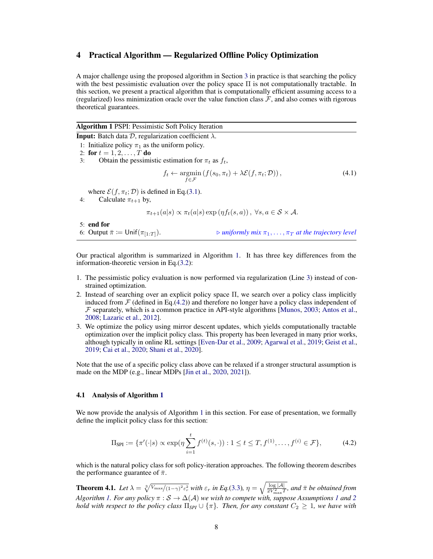## <span id="page-7-0"></span>4 Practical Algorithm — Regularized Offline Policy Optimization

A major challenge using the proposed algorithm in Section [3](#page-3-0) in practice is that searching the policy with the best pessimistic evaluation over the policy space  $\Pi$  is not computationally tractable. In this section, we present a practical algorithm that is computationally efficient assuming access to a (regularized) loss minimization oracle over the value function class  $\mathcal{F}$ , and also comes with rigorous theoretical guarantees.

<span id="page-7-1"></span>Algorithm 1 PSPI: Pessimistic Soft Policy Iteration

**Input:** Batch data  $\mathcal{D}$ , regularization coefficient  $\lambda$ .

1: Initialize policy  $\pi_1$  as the uniform policy.

2: **for** 
$$
t = 1, 2, ..., T
$$
 **do**

3: Obtain the pessimistic estimation for  $\pi_t$  as  $f_t$ ,

<span id="page-7-4"></span>
$$
f_t \leftarrow \underset{f \in \mathcal{F}}{\operatorname{argmin}} \left( f(s_0, \pi_t) + \lambda \mathcal{E}(f, \pi_t; \mathcal{D}) \right), \tag{4.1}
$$

where  $\mathcal{E}(f, \pi_t; \mathcal{D})$  is defined in Eq.[\(3.1\)](#page-3-3).

4: Calculate  $\pi_{t+1}$  by,

 $\pi_{t+1}(a|s) \propto \pi_t(a|s) \exp(\eta f_t(s,a))$ ,  $\forall s, a \in S \times A$ .

5: end for 6: Output  $\bar{\pi} := \text{Unif}(\pi_{[1:T]})$ .  $\triangleright$  *uniformly mix*  $\pi_1, \ldots, \pi_T$  *at the trajectory level* 

Our practical algorithm is summarized in Algorithm [1.](#page-7-1) It has three key differences from the information-theoretic version in Eq.[\(3.2\)](#page-3-1):

- 1. The pessimistic policy evaluation is now performed via regularization (Line [3\)](#page-7-1) instead of constrained optimization.
- 2. Instead of searching over an explicit policy space Π, we search over a policy class implicitly induced from  $\mathcal F$  (defined in Eq.[\(4.2\)](#page-7-2)) and therefore no longer have a policy class independent of  $F$  separately, which is a common practice in API-style algorithms [\[Munos,](#page-11-4) [2003;](#page-11-4) [Antos et al.,](#page-10-0) [2008;](#page-10-0) [Lazaric et al.,](#page-11-12) [2012\]](#page-11-12).
- 3. We optimize the policy using mirror descent updates, which yields computationally tractable optimization over the implicit policy class. This property has been leveraged in many prior works, although typically in online RL settings [\[Even-Dar et al.,](#page-10-6) [2009;](#page-10-6) [Agarwal et al.,](#page-10-8) [2019;](#page-10-8) [Geist et al.,](#page-10-7) [2019;](#page-10-7) [Cai et al.,](#page-10-17) [2020;](#page-10-17) [Shani et al.,](#page-11-15) [2020\]](#page-11-15).

Note that the use of a specific policy class above can be relaxed if a stronger structural assumption is made on the MDP (e.g., linear MDPs [\[Jin et al.,](#page-10-15) [2020,](#page-10-15) [2021\]](#page-10-5)).

#### 4.1 Analysis of Algorithm [1](#page-7-1)

We now provide the analysis of Algorithm [1](#page-7-1) in this section. For ease of presentation, we formally define the implicit policy class for this section:

<span id="page-7-2"></span>
$$
\Pi_{\text{SPI}} := \{ \pi'(\cdot|s) \propto \exp(\eta \sum_{i=1}^t f^{(t)}(s,\cdot)) : 1 \le t \le T, f^{(1)}, \dots, f^{(i)} \in \mathcal{F} \},\tag{4.2}
$$

which is the natural policy class for soft policy-iteration approaches. The following theorem describes the performance guarantee of  $\bar{\pi}$ .

<span id="page-7-3"></span>**Theorem 4.1.** Let  $\lambda = \sqrt[3]{\frac{V_{\text{max}}}{(1-\gamma)^2 \varepsilon_r^2}}$  with  $\varepsilon_r$  in Eq.[\(3.3\)](#page-4-1),  $\eta = \sqrt{\frac{\log |A|}{2V^2}}$  $\frac{\log |\mathcal{A}|}{2V_{\text{max}}^2T}$ , and  $\bar{\pi}$  be obtained from *Algorithm [1.](#page-7-1) For any policy*  $\pi$  :  $S \to \Delta(\mathcal{A})$  *we wish to compete with, suppose Assumptions [1](#page-2-0) and [2](#page-2-2) hold with respect to the policy class*  $\Pi_{\text{SPI}} \cup {\pi}$ *. Then, for any constant*  $C_2 \geq 1$ *, we have with*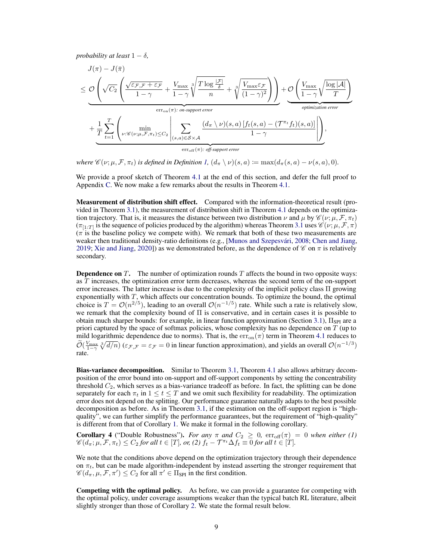*probability at least*  $1 - \delta$ *,* 

$$
J(\pi) - J(\bar{\pi})
$$
  
\n
$$
\leq \underbrace{\mathcal{O}\left(\sqrt{C_2}\left(\frac{\sqrt{\varepsilon_{\mathcal{F},\mathcal{F}} + \varepsilon_{\mathcal{F}}}}{1 - \gamma} + \frac{V_{\max}}{1 - \gamma}\sqrt[3]{\frac{T \log \frac{|\mathcal{F}|}{\delta}}{n}} + \sqrt[3]{\frac{V_{\max}\varepsilon_{\mathcal{F}}}{(1 - \gamma)^2}}\right)\right)}_{\text{error}} + \underbrace{\mathcal{O}\left(\frac{V_{\max}}{1 - \gamma}\sqrt{\frac{\log |\mathcal{A}|}{T}}\right)}_{\text{optimization error}}
$$
  
\n
$$
+ \underbrace{\frac{1}{T}\sum_{t=1}^{T}\left(\min_{\nu:\mathscr{C}(\nu;\mu,\mathcal{F},\pi_t)\leq C_2}\left|\sum_{(s,a)\in\mathcal{S}\times\mathcal{A}}\frac{(d_{\pi}\setminus\nu)(s,a)[f_t(s,a) - (\mathcal{T}^{\pi_t}f_t)(s,a)]}{1 - \gamma}\right|\right)}_{\text{error}},
$$

*where*  $\mathscr{C}(\nu;\mu,\mathcal{F},\pi_t)$  *is defined in Definition [1,](#page-3-2)*  $(d_\pi \setminus \nu)(s,a) := \max(d_\pi(s,a) - \nu(s,a), 0)$ *.* 

We provide a proof sketch of Theorem [4.1](#page-7-3) at the end of this section, and defer the full proof to Appendix [C.](#page-27-0) We now make a few remarks about the results in Theorem [4.1.](#page-7-3)

Measurement of distribution shift effect. Compared with the information-theoretical result (provided in Theorem [3.1\)](#page-4-0), the measurement of distribution shift in Theorem [4.1](#page-7-3) depends on the optimization trajectory. That is, it measures the distance between two distribution  $\nu$  and  $\mu$  by  $\mathscr{C}(\nu;\mu,\mathcal{F},\pi_t)$  $(\pi_{[1:T]}$  is the sequence of policies produced by the algorithm) whereas Theorem [3.1](#page-4-0) uses  $\mathscr{C}(\nu;\mu,\mathcal{F},\pi)$  $(\pi$  is the baseline policy we compete with). We remark that both of these two measurements are weaker then traditional density-ratio definitions (e.g., [\[Munos and Szepesvári,](#page-11-6) [2008;](#page-11-6) [Chen and Jiang,](#page-10-1) [2019;](#page-10-1) [Xie and Jiang,](#page-11-7) [2020\]](#page-11-7)) as we demonstrated before, as the dependence of  $\mathscr C$  on  $\pi$  is relatively secondary.

**Dependence on** T. The number of optimization rounds T affects the bound in two opposite ways: as T increases, the optimization error term decreases, whereas the second term of the on-support error increases. The latter increase is due to the complexity of the implicit policy class Π growing exponentially with  $T$ , which affects our concentration bounds. To optimize the bound, the optimal choice is  $T = \mathcal{O}(n^{2/5})$ , leading to an overall  $\mathcal{O}(n^{-1/5})$  rate. While such a rate is relatively slow, we remark that the complexity bound of  $\Pi$  is conservative, and in certain cases it is possible to obtain much sharper bounds: for example, in linear function approximation (Section [3.1\)](#page-6-0),  $\Pi_{SPI}$  are a priori captured by the space of softmax policies, whose complexity has no dependence on  $T$  (up to mild logarithmic dependence due to norms). That is, the  $err_{on}(\pi)$  term in Theorem [4.1](#page-7-3) reduces to  $\widetilde{\mathcal{O}}(\frac{V_{\text{max}}}{1-\gamma}\sqrt[3]{d/n})$  ( $\varepsilon_{\mathcal{F},\mathcal{F}} = \varepsilon_{\mathcal{F}} = 0$  in linear function approximation), and yields an overall  $\mathcal{O}(n^{-1/3})$ rate.

Bias-variance decomposition. Similar to Theorem [3.1,](#page-4-0) Theorem [4.1](#page-7-3) also allows arbitrary decomposition of the error bound into on-support and off-support components by setting the concentrability threshold  $C_2$ , which serves as a bias-variance tradeoff as before. In fact, the splitting can be done separately for each  $\pi_t$  in  $1 \le t \le T$  and we omit such flexibility for readability. The optimization error does not depend on the splitting. Our performance guarantee naturally adapts to the best possible decomposition as before. As in Theorem [3.1,](#page-4-0) if the estimation on the off-support region is "highquality", we can further simplify the performance guarantees, but the requirement of "high-quality" is different from that of Corollary [1.](#page-4-3) We make it formal in the following corollary.

**Corollary 4** ("Double Robustness"). *For any*  $\pi$  *and*  $C_2 \ge 0$ ,  $\text{err}_{\text{off}}(\pi) = 0$  *when either (1)*  $\mathscr{C}(d_{\pi}; \mu, \mathcal{F}, \pi_t) \leq C_2$  for all  $t \in [T]$ , or, (2)  $f_t - \mathcal{T}^{\pi_t} \Delta f_t \equiv 0$  for all  $t \in [T]$ .

We note that the conditions above depend on the optimization trajectory through their dependence on  $\pi_t$ , but can be made algorithm-independent by instead asserting the stronger requirement that  $\mathscr{C}(d_{\pi}, \mu, \mathcal{F}, \pi') \leq C_2$  for all  $\pi' \in \Pi_{\text{SPI}}$  in the first condition.

Competing with the optimal policy. As before, we can provide a guarantee for competing with the optimal policy, under coverage assumptions weaker than the typical batch RL literature, albeit slightly stronger than those of Corollary [2.](#page-5-0) We state the formal result below.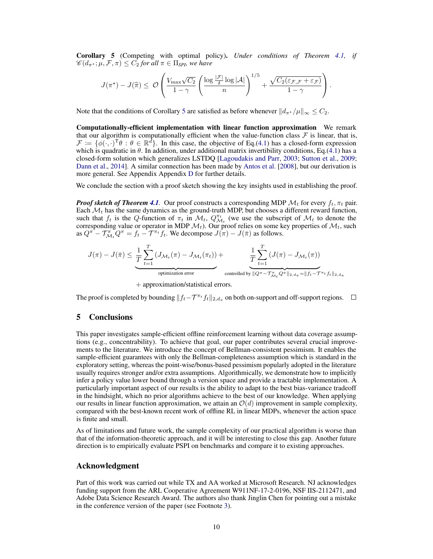<span id="page-9-0"></span>Corollary 5 (Competing with optimal policy). *Under conditions of Theorem [4.1,](#page-7-3) if*  $\mathscr{C}(d_{\pi^*}; \mu, \mathcal{F}, \pi) \leq C_2$  *for all*  $\pi \in \Pi_{\text{SPI}}$ *, we have* 

$$
J(\pi^*) - J(\widehat{\pi}) \leq \mathcal{O}\left(\frac{V_{\max}\sqrt{C_2}}{1-\gamma}\left(\frac{\log\frac{|\mathcal{F}|}{\delta}\log|\mathcal{A}|}{n}\right)^{1/5} + \frac{\sqrt{C_2(\varepsilon_{\mathcal{F},\mathcal{F}}+\varepsilon_{\mathcal{F}})}}{1-\gamma}\right).
$$

Note that the conditions of Corollary [5](#page-9-0) are satisfied as before whenever  $||d_{\pi^*}/\mu||_{\infty} \leq C_2$ .

Computationally-efficient implementation with linear function approximation We remark that our algorithm is computationally efficient when the value-function class  $\mathcal F$  is linear, that is,  $\mathcal{F} := \{\phi(\cdot, \cdot)^\mathsf{T} \theta : \theta \in \mathbb{R}^d\}$ . In this case, the objective of Eq.[\(4.1\)](#page-7-4) has a closed-form expression which is quadratic in  $\theta$ . In addition, under additional matrix invertibility conditions, Eq.[\(4.1\)](#page-7-4) has a closed-form solution which generalizes LSTDQ [\[Lagoudakis and Parr,](#page-11-16) [2003;](#page-11-16) [Sutton et al.,](#page-11-17) [2009;](#page-11-17) [Dann et al.,](#page-10-18) [2014\]](#page-10-18). A similar connection has been made by [Antos et al.](#page-10-0) [\[2008\]](#page-10-0), but our derivation is more general. See Appendix Appendix [D](#page-35-0) for further details.

We conclude the section with a proof sketch showing the key insights used in establishing the proof.

*Proof sketch of Theorem [4.1](#page-7-3).* Our proof constructs a corresponding MDP  $\mathcal{M}_t$  for every  $f_t$ ,  $\pi_t$  pair. Each  $\mathcal{M}_t$  has the same dynamics as the ground-truth MDP, but chooses a different reward function, such that  $f_t$  is the Q-function of  $\pi_t$  in  $\mathcal{M}_t$ ,  $Q_{\mathcal{M}_t}^{\pi_t}$  (we use the subscript of  $\mathcal{M}_t$  to denote the corresponding value or operator in MDP  $\mathcal{M}_t$ ). Our proof relies on some key properties of  $\mathcal{M}_t$ , such as  $Q^{\pi} - \mathcal{T}_{\mathcal{M}_t}^{\pi} Q^{\pi} = f_t - \mathcal{T}^{\pi_t} f_t$ . We decompose  $J(\pi) - J(\pi)$  as follows.

$$
J(\pi) - J(\bar{\pi}) \leq \underbrace{\frac{1}{T} \sum_{t=1}^{T} (J_{\mathcal{M}_t}(\pi) - J_{\mathcal{M}_t}(\pi_t))}_{\text{optimization error}} + \underbrace{\frac{1}{T} \sum_{t=1}^{T} (J(\pi) - J_{\mathcal{M}_t}(\pi))}_{\text{controlled by } ||Q^{\pi} - \mathcal{T}_{\mathcal{M}_t}^{\pi} Q^{\pi}||_{2, d_{\pi}} = ||f_t - \mathcal{T}^{\pi_t} f_t||_{2, d_{\pi}}}
$$

+ approximation/statistical errors.

The proof is completed by bounding  $|| f_t - \mathcal{T}^{\pi_t} f_t ||_{2,d_{\pi}}$  on both on-support and off-support regions.

## 5 Conclusions

This paper investigates sample-efficient offline reinforcement learning without data coverage assumptions (e.g., concentrability). To achieve that goal, our paper contributes several crucial improvements to the literature. We introduce the concept of Bellman-consistent pessimism. It enables the sample-efficient guarantees with only the Bellman-completeness assumption which is standard in the exploratory setting, whereas the point-wise/bonus-based pessimism popularly adopted in the literature usually requires stronger and/or extra assumptions. Algorithmically, we demonstrate how to implicitly infer a policy value lower bound through a version space and provide a tractable implementation. A particularly important aspect of our results is the ability to adapt to the best bias-variance tradeoff in the hindsight, which no prior algorithms achieve to the best of our knowledge. When applying our results in linear function approximation, we attain an  $\mathcal{O}(d)$  improvement in sample complexity, compared with the best-known recent work of offline RL in linear MDPs, whenever the action space is finite and small.

As of limitations and future work, the sample complexity of our practical algorithm is worse than that of the information-theoretic approach, and it will be interesting to close this gap. Another future direction is to empirically evaluate PSPI on benchmarks and compare it to existing approaches.

## Acknowledgment

Part of this work was carried out while TX and AA worked at Microsoft Research. NJ acknowledges funding support from the ARL Cooperative Agreement W911NF-17-2-0196, NSF IIS-2112471, and Adobe Data Science Research Award. The authors also thank Jinglin Chen for pointing out a mistake in the conference version of the paper (see Footnote [3\)](#page-6-1).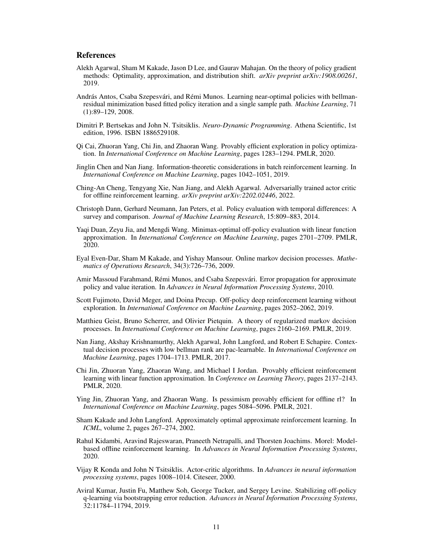## **References**

- <span id="page-10-8"></span>Alekh Agarwal, Sham M Kakade, Jason D Lee, and Gaurav Mahajan. On the theory of policy gradient methods: Optimality, approximation, and distribution shift. *arXiv preprint arXiv:1908.00261*, 2019.
- <span id="page-10-0"></span>András Antos, Csaba Szepesvári, and Rémi Munos. Learning near-optimal policies with bellmanresidual minimization based fitted policy iteration and a single sample path. *Machine Learning*, 71 (1):89–129, 2008.
- <span id="page-10-9"></span>Dimitri P. Bertsekas and John N. Tsitsiklis. *Neuro-Dynamic Programming*. Athena Scientific, 1st edition, 1996. ISBN 1886529108.
- <span id="page-10-17"></span>Qi Cai, Zhuoran Yang, Chi Jin, and Zhaoran Wang. Provably efficient exploration in policy optimization. In *International Conference on Machine Learning*, pages 1283–1294. PMLR, 2020.
- <span id="page-10-1"></span>Jinglin Chen and Nan Jiang. Information-theoretic considerations in batch reinforcement learning. In *International Conference on Machine Learning*, pages 1042–1051, 2019.
- <span id="page-10-16"></span>Ching-An Cheng, Tengyang Xie, Nan Jiang, and Alekh Agarwal. Adversarially trained actor critic for offline reinforcement learning. *arXiv preprint arXiv:2202.02446*, 2022.
- <span id="page-10-18"></span>Christoph Dann, Gerhard Neumann, Jan Peters, et al. Policy evaluation with temporal differences: A survey and comparison. *Journal of Machine Learning Research*, 15:809–883, 2014.
- <span id="page-10-11"></span>Yaqi Duan, Zeyu Jia, and Mengdi Wang. Minimax-optimal off-policy evaluation with linear function approximation. In *International Conference on Machine Learning*, pages 2701–2709. PMLR, 2020.
- <span id="page-10-6"></span>Eyal Even-Dar, Sham M Kakade, and Yishay Mansour. Online markov decision processes. *Mathematics of Operations Research*, 34(3):726–736, 2009.
- <span id="page-10-2"></span>Amir Massoud Farahmand, Rémi Munos, and Csaba Szepesvári. Error propagation for approximate policy and value iteration. In *Advances in Neural Information Processing Systems*, 2010.
- <span id="page-10-4"></span>Scott Fujimoto, David Meger, and Doina Precup. Off-policy deep reinforcement learning without exploration. In *International Conference on Machine Learning*, pages 2052–2062, 2019.
- <span id="page-10-7"></span>Matthieu Geist, Bruno Scherrer, and Olivier Pietquin. A theory of regularized markov decision processes. In *International Conference on Machine Learning*, pages 2160–2169. PMLR, 2019.
- <span id="page-10-13"></span>Nan Jiang, Akshay Krishnamurthy, Alekh Agarwal, John Langford, and Robert E Schapire. Contextual decision processes with low bellman rank are pac-learnable. In *International Conference on Machine Learning*, pages 1704–1713. PMLR, 2017.
- <span id="page-10-15"></span>Chi Jin, Zhuoran Yang, Zhaoran Wang, and Michael I Jordan. Provably efficient reinforcement learning with linear function approximation. In *Conference on Learning Theory*, pages 2137–2143. PMLR, 2020.
- <span id="page-10-5"></span>Ying Jin, Zhuoran Yang, and Zhaoran Wang. Is pessimism provably efficient for offline rl? In *International Conference on Machine Learning*, pages 5084–5096. PMLR, 2021.
- <span id="page-10-14"></span>Sham Kakade and John Langford. Approximately optimal approximate reinforcement learning. In *ICML*, volume 2, pages 267–274, 2002.
- <span id="page-10-3"></span>Rahul Kidambi, Aravind Rajeswaran, Praneeth Netrapalli, and Thorsten Joachims. Morel: Modelbased offline reinforcement learning. In *Advances in Neural Information Processing Systems*, 2020.
- <span id="page-10-10"></span>Vijay R Konda and John N Tsitsiklis. Actor-critic algorithms. In *Advances in neural information processing systems*, pages 1008–1014. Citeseer, 2000.
- <span id="page-10-12"></span>Aviral Kumar, Justin Fu, Matthew Soh, George Tucker, and Sergey Levine. Stabilizing off-policy q-learning via bootstrapping error reduction. *Advances in Neural Information Processing Systems*, 32:11784–11794, 2019.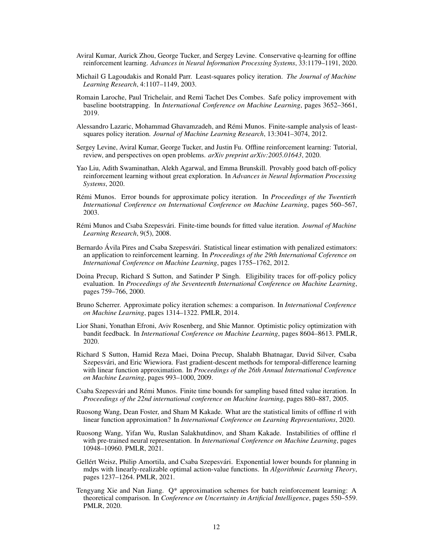- <span id="page-11-8"></span>Aviral Kumar, Aurick Zhou, George Tucker, and Sergey Levine. Conservative q-learning for offline reinforcement learning. *Advances in Neural Information Processing Systems*, 33:1179–1191, 2020.
- <span id="page-11-16"></span>Michail G Lagoudakis and Ronald Parr. Least-squares policy iteration. *The Journal of Machine Learning Research*, 4:1107–1149, 2003.
- <span id="page-11-14"></span>Romain Laroche, Paul Trichelair, and Remi Tachet Des Combes. Safe policy improvement with baseline bootstrapping. In *International Conference on Machine Learning*, pages 3652–3661, 2019.
- <span id="page-11-12"></span>Alessandro Lazaric, Mohammad Ghavamzadeh, and Rémi Munos. Finite-sample analysis of leastsquares policy iteration. *Journal of Machine Learning Research*, 13:3041–3074, 2012.
- <span id="page-11-1"></span>Sergey Levine, Aviral Kumar, George Tucker, and Justin Fu. Offline reinforcement learning: Tutorial, review, and perspectives on open problems. *arXiv preprint arXiv:2005.01643*, 2020.
- <span id="page-11-9"></span>Yao Liu, Adith Swaminathan, Alekh Agarwal, and Emma Brunskill. Provably good batch off-policy reinforcement learning without great exploration. In *Advances in Neural Information Processing Systems*, 2020.
- <span id="page-11-4"></span>Rémi Munos. Error bounds for approximate policy iteration. In *Proceedings of the Twentieth International Conference on International Conference on Machine Learning*, pages 560–567, 2003.
- <span id="page-11-6"></span>Rémi Munos and Csaba Szepesvári. Finite-time bounds for fitted value iteration. *Journal of Machine Learning Research*, 9(5), 2008.
- <span id="page-11-11"></span>Bernardo Ávila Pires and Csaba Szepesvári. Statistical linear estimation with penalized estimators: an application to reinforcement learning. In *Proceedings of the 29th International Coference on International Conference on Machine Learning*, pages 1755–1762, 2012.
- <span id="page-11-0"></span>Doina Precup, Richard S Sutton, and Satinder P Singh. Eligibility traces for off-policy policy evaluation. In *Proceedings of the Seventeenth International Conference on Machine Learning*, pages 759–766, 2000.
- <span id="page-11-13"></span>Bruno Scherrer. Approximate policy iteration schemes: a comparison. In *International Conference on Machine Learning*, pages 1314–1322. PMLR, 2014.
- <span id="page-11-15"></span>Lior Shani, Yonathan Efroni, Aviv Rosenberg, and Shie Mannor. Optimistic policy optimization with bandit feedback. In *International Conference on Machine Learning*, pages 8604–8613. PMLR, 2020.
- <span id="page-11-17"></span>Richard S Sutton, Hamid Reza Maei, Doina Precup, Shalabh Bhatnagar, David Silver, Csaba Szepesvári, and Eric Wiewiora. Fast gradient-descent methods for temporal-difference learning with linear function approximation. In *Proceedings of the 26th Annual International Conference on Machine Learning*, pages 993–1000, 2009.
- <span id="page-11-5"></span>Csaba Szepesvári and Rémi Munos. Finite time bounds for sampling based fitted value iteration. In *Proceedings of the 22nd international conference on Machine learning*, pages 880–887, 2005.
- <span id="page-11-2"></span>Ruosong Wang, Dean Foster, and Sham M Kakade. What are the statistical limits of offline rl with linear function approximation? In *International Conference on Learning Representations*, 2020.
- <span id="page-11-3"></span>Ruosong Wang, Yifan Wu, Ruslan Salakhutdinov, and Sham Kakade. Instabilities of offline rl with pre-trained neural representation. In *International Conference on Machine Learning*, pages 10948–10960. PMLR, 2021.
- <span id="page-11-10"></span>Gellért Weisz, Philip Amortila, and Csaba Szepesvári. Exponential lower bounds for planning in mdps with linearly-realizable optimal action-value functions. In *Algorithmic Learning Theory*, pages 1237–1264. PMLR, 2021.
- <span id="page-11-7"></span>Tengyang Xie and Nan Jiang. Q\* approximation schemes for batch reinforcement learning: A theoretical comparison. In *Conference on Uncertainty in Artificial Intelligence*, pages 550–559. PMLR, 2020.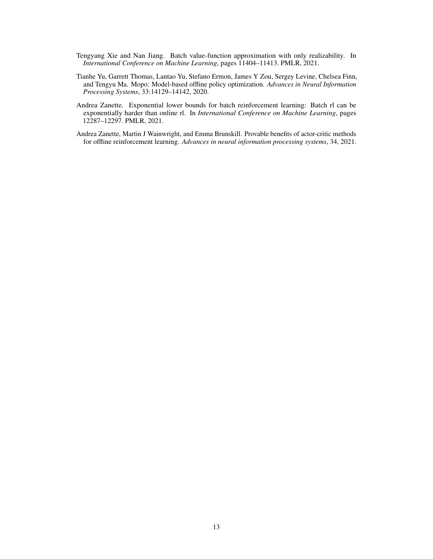- <span id="page-12-0"></span>Tengyang Xie and Nan Jiang. Batch value-function approximation with only realizability. In *International Conference on Machine Learning*, pages 11404–11413. PMLR, 2021.
- <span id="page-12-2"></span>Tianhe Yu, Garrett Thomas, Lantao Yu, Stefano Ermon, James Y Zou, Sergey Levine, Chelsea Finn, and Tengyu Ma. Mopo: Model-based offline policy optimization. *Advances in Neural Information Processing Systems*, 33:14129–14142, 2020.
- <span id="page-12-1"></span>Andrea Zanette. Exponential lower bounds for batch reinforcement learning: Batch rl can be exponentially harder than online rl. In *International Conference on Machine Learning*, pages 12287–12297. PMLR, 2021.
- <span id="page-12-3"></span>Andrea Zanette, Martin J Wainwright, and Emma Brunskill. Provable benefits of actor-critic methods for offline reinforcement learning. *Advances in neural information processing systems*, 34, 2021.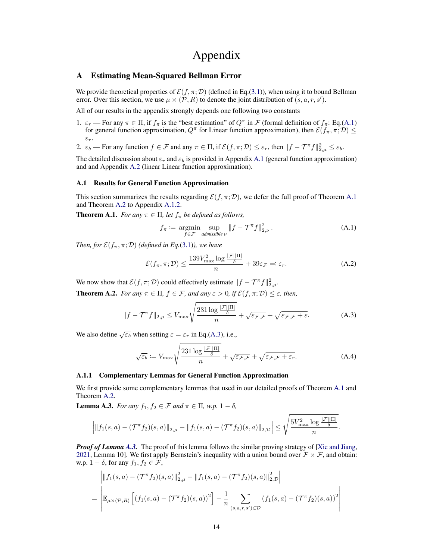## Appendix

## <span id="page-13-8"></span>A Estimating Mean-Squared Bellman Error

We provide theoretical properties of  $\mathcal{E}(f, \pi; \mathcal{D})$  (defined in Eq.[\(3.1\)](#page-3-3)), when using it to bound Bellman error. Over this section, we use  $\mu \times (P, R)$  to denote the joint distribution of  $(s, a, r, s')$ .

All of our results in the appendix strongly depends one following two constants

- 1.  $\varepsilon_r$  For any  $\pi \in \Pi$ , if  $f_\pi$  is the "best estimation" of  $Q^\pi$  in  $\mathcal F$  (formal definition of  $f_\pi$ : Eq.[\(A.1\)](#page-13-0) for general function approximation,  $Q^{\pi}$  for Linear function approximation), then  $\mathcal{E}(f_{\pi},\pi;\mathcal{D})\leq$ εr.
- 2.  $\varepsilon_b$  For any function  $f \in \mathcal{F}$  and any  $\pi \in \Pi$ , if  $\mathcal{E}(f, \pi; \mathcal{D}) \leq \varepsilon_r$ , then  $||f \mathcal{T}^{\pi}f||_{2,\mu}^2 \leq \varepsilon_b$ .

The detailed discussion about  $\varepsilon_r$  and  $\varepsilon_b$  is provided in Appendix [A.1](#page-13-1) (general function approximation) and and Appendix [A.2](#page-21-0) (linear Linear function approximation).

#### <span id="page-13-1"></span>A.1 Results for General Function Approximation

This section summarizes the results regarding  $\mathcal{E}(f, \pi; \mathcal{D})$ , we defer the full proof of Theorem [A.1](#page-13-2) and Theorem [A.2](#page-13-3) to Appendix [A.1.2.](#page-17-0)

<span id="page-13-2"></span>**Theorem A.1.** *For any*  $\pi \in \Pi$ *, let*  $f_{\pi}$  *be defined as follows,* 

<span id="page-13-6"></span><span id="page-13-4"></span><span id="page-13-0"></span>
$$
f_{\pi} := \underset{f \in \mathcal{F}}{\operatorname{argmin}} \sup_{\text{admissible } \nu} ||f - \mathcal{T}^{\pi} f||_{2, \nu}^{2}. \tag{A.1}
$$

*Then, for*  $\mathcal{E}(f_\pi, \pi; \mathcal{D})$  *(defined in Eq.*(3.1*)), we have* 

$$
\mathcal{E}(f_{\pi}, \pi; \mathcal{D}) \le \frac{139V_{\text{max}}^2 \log \frac{|\mathcal{F}||\Pi|}{\delta}}{n} + 39\varepsilon_{\mathcal{F}} = \varepsilon_r. \tag{A.2}
$$

<span id="page-13-3"></span>We now show that  $\mathcal{E}(f, \pi; \mathcal{D})$  could effectively estimate  $|| f - \mathcal{T}^{\pi} f ||_{2,\mu}^2$ . **Theorem A.2.** *For any*  $\pi \in \Pi$ ,  $f \in \mathcal{F}$ *, and any*  $\varepsilon > 0$ *, if*  $\mathcal{E}(f, \pi; \mathcal{D}) \leq \varepsilon$ *, then,* 

$$
||f - \mathcal{T}^{\pi} f||_{2,\mu} \le V_{\max} \sqrt{\frac{231 \log \frac{|\mathcal{F}||\Pi|}{\delta}}{n}} + \sqrt{\varepsilon_{\mathcal{F},\mathcal{F}}} + \sqrt{\varepsilon_{\mathcal{F},\mathcal{F}} + \varepsilon}.
$$
 (A.3)

We also define  $\sqrt{\varepsilon_b}$  when setting  $\varepsilon = \varepsilon_r$  in Eq.[\(A.3\)](#page-13-4), i.e.,

<span id="page-13-7"></span>
$$
\sqrt{\varepsilon_b} \coloneqq V_{\text{max}} \sqrt{\frac{231 \log \frac{|\mathcal{F}||\Pi|}{\delta}}{n}} + \sqrt{\varepsilon_{\mathcal{F}, \mathcal{F}}} + \sqrt{\varepsilon_{\mathcal{F}, \mathcal{F}} + \varepsilon_r}.
$$
 (A.4)

#### A.1.1 Complementary Lemmas for General Function Approximation

We first provide some complementary lemmas that used in our detailed proofs of Theorem [A.1](#page-13-2) and Theorem [A.2.](#page-13-3)

<span id="page-13-5"></span>**Lemma A.3.** *For any*  $f_1, f_2 \in \mathcal{F}$  *and*  $\pi \in \Pi$ *, w.p.*  $1 - \delta$ *,* 

$$
\left|\|f_1(s,a)-(\mathcal{T}^{\pi}f_2)(s,a)\|_{2,\mu}-\|f_1(s,a)-(\mathcal{T}^{\pi}f_2)(s,a)\|_{2,\mathcal{D}}\right|\leq \sqrt{\frac{5V_{\max}^2\log\frac{|\mathcal{F}||\Pi|}{\delta}}{n}}.
$$

*Proof of Lemma [A.3.](#page-13-5)* The proof of this lemma follows the similar proving strategy of [\[Xie and Jiang,](#page-12-0) [2021,](#page-12-0) Lemma 10]. We first apply Bernstein's inequality with a union bound over  $\mathcal{F} \times \mathcal{F}$ , and obtain: w.p.  $1 - \delta$ , for any  $f_1, f_2 \in \overline{\mathcal{F}}$ ,

$$
\left| \|f_1(s,a) - (\mathcal{T}^\pi f_2)(s,a) \|_{2,\mu}^2 - \|f_1(s,a) - (\mathcal{T}^\pi f_2)(s,a) \|_{2,\mathcal{D}}^2 \right|
$$
  
= 
$$
\left| \mathbb{E}_{\mu \times (\mathcal{P},R)} \left[ (f_1(s,a) - (\mathcal{T}^\pi f_2)(s,a))^2 \right] - \frac{1}{n} \sum_{(s,a,r,s') \in \mathcal{D}} (f_1(s,a) - (\mathcal{T}^\pi f_2)(s,a))^2 \right|
$$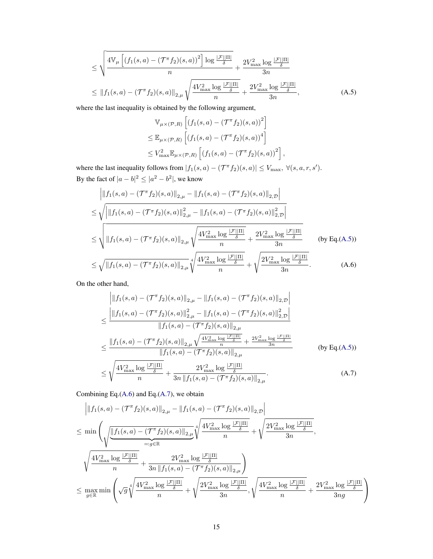$$
\leq \sqrt{\frac{4\mathbb{V}_{\mu}\left[\left(f_{1}(s,a)-(\mathcal{T}^{\pi}f_{2})(s,a)\right)^{2}\right]\log\frac{|\mathcal{F}||\Pi|}{\delta}}{n}} + \frac{2V_{\max}^{2}\log\frac{|\mathcal{F}||\Pi|}{\delta}}{3n}
$$

$$
\leq \|f_{1}(s,a)-(\mathcal{T}^{\pi}f_{2})(s,a)\|_{2,\mu}\sqrt{\frac{4V_{\max}^{2}\log\frac{|\mathcal{F}||\Pi|}{\delta}}{n}} + \frac{2V_{\max}^{2}\log\frac{|\mathcal{F}||\Pi|}{\delta}}{3n},\tag{A.5}
$$

where the last inequality is obtained by the following argument,

<span id="page-14-1"></span><span id="page-14-0"></span>
$$
\mathbb{V}_{\mu\times(\mathcal{P},R)}\left[\left(f_1(s,a)-(\mathcal{T}^{\pi}f_2)(s,a)\right)^2\right]
$$
  
\n
$$
\leq \mathbb{E}_{\mu\times(\mathcal{P},R)}\left[\left(f_1(s,a)-(\mathcal{T}^{\pi}f_2)(s,a)\right)^4\right]
$$
  
\n
$$
\leq V_{\max}^2 \mathbb{E}_{\mu\times(\mathcal{P},R)}\left[\left(f_1(s,a)-(\mathcal{T}^{\pi}f_2)(s,a)\right)^2\right],
$$

where the last inequality follows from  $|f_1(s, a) - (\mathcal{T}^{\pi} f_2)(s, a)| \leq V_{\text{max}}, \ \forall (s, a, r, s').$ By the fact of  $|a - b|^2 \le |a^2 - b^2|$ , we know

$$
\|f_1(s,a) - (\mathcal{T}^{\pi} f_2)(s,a)\|_{2,\mu} - \|f_1(s,a) - (\mathcal{T}^{\pi} f_2)(s,a)\|_{2,\mathcal{D}}\|
$$
  
\n
$$
\leq \sqrt{\|f_1(s,a) - (\mathcal{T}^{\pi} f_2)(s,a)\|_{2,\mu}^2 - \|f_1(s,a) - (\mathcal{T}^{\pi} f_2)(s,a)\|_{2,\mathcal{D}}^2\|}
$$
  
\n
$$
\leq \sqrt{\|f_1(s,a) - (\mathcal{T}^{\pi} f_2)(s,a)\|_{2,\mu} \sqrt{\frac{4V_{\text{max}}^2 \log \frac{|\mathcal{F}||\Pi|}{\delta}}{n} + \frac{2V_{\text{max}}^2 \log \frac{|\mathcal{F}||\Pi|}{\delta}}{3n}}
$$
 (by Eq.(A.5))  
\n
$$
\leq \sqrt{\|f_1(s,a) - (\mathcal{T}^{\pi} f_2)(s,a)\|_{2,\mu}} \sqrt{\frac{4V_{\text{max}}^2 \log \frac{|\mathcal{F}||\Pi|}{\delta}}{n} + \sqrt{\frac{2V_{\text{max}}^2 \log \frac{|\mathcal{F}||\Pi|}{\delta}}{3n}}.
$$
 (A.6)

On the other hand,

<span id="page-14-2"></span>
$$
\|f_{1}(s,a) - (\mathcal{T}^{\pi} f_{2})(s,a)\|_{2,\mu} - \|f_{1}(s,a) - (\mathcal{T}^{\pi} f_{2})(s,a)\|_{2,\mathcal{D}}\|_{2,\mathcal{D}}\|_{2,\mathcal{D}}\|_{2,\mathcal{D}}\leq \frac{\left|\|f_{1}(s,a) - (\mathcal{T}^{\pi} f_{2})(s,a)\|_{2,\mu}^{2} - \|f_{1}(s,a) - (\mathcal{T}^{\pi} f_{2})(s,a)\|_{2,\mathcal{D}}^{2}\right|}{\|f_{1}(s,a) - (\mathcal{T}^{\pi} f_{2})(s,a)\|_{2,\mu}}\leq \frac{\left|\|f_{1}(s,a) - (\mathcal{T}^{\pi} f_{2})(s,a)\|_{2,\mu} - \left(\mathcal{T}^{\pi} f_{2}(s,a)\|_{2,\mu}\right)\right|_{2,\mu}}{\|f_{1}(s,a) - (\mathcal{T}^{\pi} f_{2})(s,a)\|_{2,\mu}} + \frac{2V_{\text{max}}^{2} \log \frac{|\mathcal{F}||\Pi|}{\delta}}{\|g_{1}(s,a) - (\mathcal{T}^{\pi} f_{2})(s,a)\|_{2,\mu}}.
$$
\n
$$
\leq \sqrt{\frac{4V_{\text{max}}^{2} \log \frac{|\mathcal{F}||\Pi|}{\delta}}{n}} + \frac{2V_{\text{max}}^{2} \log \frac{|\mathcal{F}||\Pi|}{\delta}}{3n \left\|f_{1}(s,a) - (\mathcal{T}^{\pi} f_{2})(s,a)\right\|_{2,\mu}}.
$$
\n(A.7)

Combining Eq.[\(A.6\)](#page-14-1) and Eq.[\(A.7\)](#page-14-2), we obtain

$$
\begin{split} &\left|\|f_{1}(s,a)-(\mathcal{T}^{\pi}f_{2})(s,a)\|_{2,\mu}-\|f_{1}(s,a)-(\mathcal{T}^{\pi}f_{2})(s,a)\|_{2,\mathcal{D}}\right| \\ &\leq \min\left(\sqrt{\frac{\|f_{1}(s,a)-(\mathcal{T}^{\pi}f_{2})(s,a)\|_{2,\mu}}{\|f_{1}(s,a)-(\mathcal{T}^{\pi}f_{2})(s,a)\|_{2,\mu}}}\sqrt{\frac{4V_{\max}^{2}\log\frac{|\mathcal{F}||\Pi|}{\delta}}{n}}+\sqrt{\frac{2V_{\max}^{2}\log\frac{|\mathcal{F}||\Pi|}{\delta}}{3n}}, \right. \\ &\left.\sqrt{\frac{4V_{\max}^{2}\log\frac{|\mathcal{F}||\Pi|}{\delta}}{n}}+\frac{2V_{\max}^{2}\log\frac{|\mathcal{F}||\Pi|}{\delta}}{3n\|f_{1}(s,a)-(\mathcal{T}^{\pi}f_{2})(s,a)\|_{2,\mu}}\right) \\ &\leq \max_{g\in\mathbb{R}}\min\left(\sqrt{g}\sqrt[4]{\frac{4V_{\max}^{2}\log\frac{|\mathcal{F}||\Pi|}{\delta}}{n}}+\sqrt{\frac{2V_{\max}^{2}\log\frac{|\mathcal{F}||\Pi|}{\delta}}{3n}},\sqrt{\frac{4V_{\max}^{2}\log\frac{|\mathcal{F}||\Pi|}{\delta}}{n}}+\frac{2V_{\max}^{2}\log\frac{|\mathcal{F}||\Pi|}{\delta}}{3ng}\right) \end{split}
$$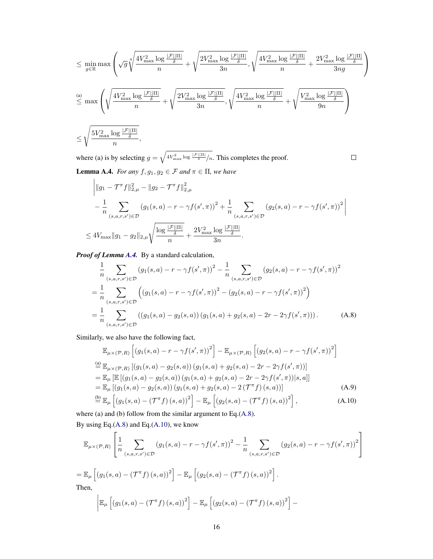$$
\leq \min_{g \in \mathbb{R}} \max\left(\sqrt{g} \sqrt[4]{\frac{4V_{\max}^2 \log \frac{|\mathcal{F}||\Pi|}{\delta}}{n}} + \sqrt{\frac{2V_{\max}^2 \log \frac{|\mathcal{F}||\Pi|}{\delta}}{3n}}, \sqrt{\frac{4V_{\max}^2 \log \frac{|\mathcal{F}||\Pi|}{\delta}}{n}} + \frac{2V_{\max}^2 \log \frac{|\mathcal{F}||\Pi|}{\delta}}{3ng}\right)
$$
\n
$$
\leq \max\left(\sqrt{\frac{4V_{\max}^2 \log \frac{|\mathcal{F}||\Pi|}{\delta}}{n}} + \sqrt{\frac{2V_{\max}^2 \log \frac{|\mathcal{F}||\Pi|}{\delta}}{3n}}, \sqrt{\frac{4V_{\max}^2 \log \frac{|\mathcal{F}||\Pi|}{\delta}}{n}} + \sqrt{\frac{V_{\max}^2 \log \frac{|\mathcal{F}||\Pi|}{\delta}}{9n}}\right)
$$
\n
$$
\leq \sqrt{\frac{5V_{\max}^2 \log \frac{|\mathcal{F}||\Pi|}{\delta}}{n}},
$$

<span id="page-15-3"></span><span id="page-15-2"></span><span id="page-15-1"></span> $\Box$ 

where (a) is by selecting  $g = \sqrt{4V_{\text{max}}^2 \log \frac{|\mathcal{F}||\Pi|}{\delta}}/n$ . This completes the proof.

<span id="page-15-0"></span>**Lemma A.4.** *For any*  $f, g_1, g_2 \in \mathcal{F}$  *and*  $\pi \in \Pi$ *, we have*  $\mathbf{L}$ 

$$
\|g_1 - \mathcal{T}^{\pi} f\|_{2,\mu}^2 - \|g_2 - \mathcal{T}^{\pi} f\|_{2,\mu}^2
$$
  

$$
- \frac{1}{n} \sum_{(s,a,r,s') \in \mathcal{D}} (g_1(s,a) - r - \gamma f(s',\pi))^2 + \frac{1}{n} \sum_{(s,a,r,s') \in \mathcal{D}} (g_2(s,a) - r - \gamma f(s',\pi))^2
$$
  

$$
\leq 4V_{\max} \|g_1 - g_2\|_{2,\mu} \sqrt{\frac{\log \frac{|\mathcal{F}||\Pi|}{\delta}}{n}} + \frac{2V_{\max}^2 \log \frac{|\mathcal{F}||\Pi|}{\delta}}{3n}.
$$

*Proof of Lemma [A.4.](#page-15-0)* By a standard calculation,

$$
\frac{1}{n} \sum_{(s,a,r,s') \in \mathcal{D}} (g_1(s,a) - r - \gamma f(s',\pi))^2 - \frac{1}{n} \sum_{(s,a,r,s') \in \mathcal{D}} (g_2(s,a) - r - \gamma f(s',\pi))^2
$$
\n
$$
= \frac{1}{n} \sum_{(s,a,r,s') \in \mathcal{D}} \left( (g_1(s,a) - r - \gamma f(s',\pi))^2 - (g_2(s,a) - r - \gamma f(s',\pi))^2 \right)
$$
\n
$$
= \frac{1}{n} \sum_{(s,a,r,s') \in \mathcal{D}} ((g_1(s,a) - g_2(s,a)) (g_1(s,a) + g_2(s,a) - 2r - 2\gamma f(s',\pi))). \tag{A.8}
$$

Similarly, we also have the following fact,

$$
\mathbb{E}_{\mu \times (\mathcal{P}, R)} \left[ (g_1(s, a) - r - \gamma f(s', \pi))^2 \right] - \mathbb{E}_{\mu \times (\mathcal{P}, R)} \left[ (g_2(s, a) - r - \gamma f(s', \pi))^2 \right]
$$
\n
$$
\stackrel{(a)}{=} \mathbb{E}_{\mu \times (\mathcal{P}, R)} \left[ (g_1(s, a) - g_2(s, a)) (g_1(s, a) + g_2(s, a) - 2r - 2\gamma f(s', \pi)) \right]
$$
\n
$$
= \mathbb{E}_{\mu} \left[ \mathbb{E} \left[ (g_1(s, a) - g_2(s, a)) (g_1(s, a) + g_2(s, a) - 2r - 2\gamma f(s', \pi)) \right| s, a \right]
$$
\n
$$
= \mathbb{E}_{\mu} \left[ (g_1(s, a) - g_2(s, a)) (g_1(s, a) + g_2(s, a) - 2(\mathcal{T}^{\pi} f)(s, a)) \right]
$$
\n
$$
\stackrel{(b)}{=} \mathbb{E}_{\mu} \left[ (g_1(s, a) - (\mathcal{T}^{\pi} f)(s, a))^2 \right] - \mathbb{E}_{\mu} \left[ (g_2(s, a) - (\mathcal{T}^{\pi} f)(s, a))^2 \right], \tag{A.10}
$$

where (a) and (b) follow from the similar argument to  $Eq.(A.8)$  $Eq.(A.8)$ .

By using Eq. $(A.8)$  and Eq. $(A.10)$ , we know

$$
\mathbb{E}_{\mu \times (\mathcal{P}, R)} \left[ \frac{1}{n} \sum_{(s, a, r, s') \in \mathcal{D}} (g_1(s, a) - r - \gamma f(s', \pi))^2 - \frac{1}{n} \sum_{(s, a, r, s') \in \mathcal{D}} (g_2(s, a) - r - \gamma f(s', \pi))^2 \right]
$$
\n
$$
= \mathbb{E}_{\mu} \left[ (g_1(s, a) - (\mathcal{T}^{\pi} f)(s, a))^2 \right] - \mathbb{E}_{\mu} \left[ (g_2(s, a) - (\mathcal{T}^{\pi} f)(s, a))^2 \right].
$$
\nThen,\n
$$
\left| \mathbb{E}_{\mu} \left[ (g_1(s, a) - (\mathcal{T}^{\pi} f)(s, a))^2 \right] - \mathbb{E}_{\mu} \left[ (g_2(s, a) - (\mathcal{T}^{\pi} f)(s, a))^2 \right] - \mathbb{E}_{\mu} \left[ (g_2(s, a) - (\mathcal{T}^{\pi} f)(s, a))^2 \right] \right]
$$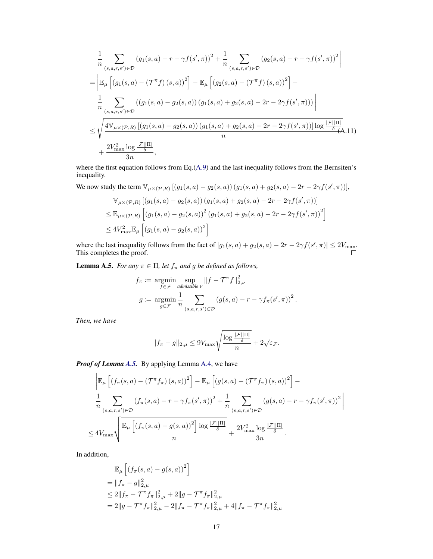$$
\frac{1}{n} \sum_{(s,a,r,s') \in \mathcal{D}} (g_1(s,a) - r - \gamma f(s',\pi))^2 + \frac{1}{n} \sum_{(s,a,r,s') \in \mathcal{D}} (g_2(s,a) - r - \gamma f(s',\pi))^2
$$
\n
$$
= \left| \mathbb{E}_{\mu} \left[ (g_1(s,a) - (\mathcal{T}^{\pi} f)(s,a))^2 \right] - \mathbb{E}_{\mu} \left[ (g_2(s,a) - (\mathcal{T}^{\pi} f)(s,a))^2 \right] - \frac{1}{n} \sum_{(s,a,r,s') \in \mathcal{D}} ((g_1(s,a) - g_2(s,a)) (g_1(s,a) + g_2(s,a) - 2r - 2\gamma f(s',\pi))) \right|
$$
\n
$$
\leq \sqrt{\frac{4 \mathbb{V}_{\mu \times (\mathcal{P},R)} [(g_1(s,a) - g_2(s,a)) (g_1(s,a) + g_2(s,a) - 2r - 2\gamma f(s',\pi))] \log \frac{|\mathcal{F}||\Pi|}{\delta}}{n} + \frac{2V_{\text{max}}^2 \log \frac{|\mathcal{F}||\Pi|}{\delta}}{3n},
$$

where the first equation follows from Eq.[\(A.9\)](#page-15-3) and the last inequality follows from the Bernsiten's inequality.

We now study the term  $\mathbb{V}_{\mu \times (\mathcal{P}, R)} [(g_1(s, a) - g_2(s, a)) (g_1(s, a) + g_2(s, a) - 2r - 2\gamma f(s', \pi))],$ 

<span id="page-16-1"></span>
$$
\mathbb{V}_{\mu \times (\mathcal{P}, R)} [(g_1(s, a) - g_2(s, a)) (g_1(s, a) + g_2(s, a) - 2r - 2\gamma f(s', \pi))]
$$
  
\n
$$
\leq \mathbb{E}_{\mu \times (\mathcal{P}, R)} [(g_1(s, a) - g_2(s, a))^2 (g_1(s, a) + g_2(s, a) - 2r - 2\gamma f(s', \pi))^2]
$$
  
\n
$$
\leq 4V_{\text{max}}^2 \mathbb{E}_{\mu} [(g_1(s, a) - g_2(s, a))^2]
$$

where the last inequality follows from the fact of  $|g_1(s, a) + g_2(s, a) - 2r - 2\gamma f(s', \pi)| \le 2V_{\text{max}}$ . This completes the proof.

<span id="page-16-0"></span>**Lemma A.5.** *For any*  $\pi \in \Pi$ , *let*  $f_{\pi}$  *and* g *be defined as follows*,

$$
f_{\pi} := \underset{f \in \mathcal{F}}{\operatorname{argmin}} \sup_{\substack{admissible \ \nu}} \|f - \mathcal{T}^{\pi} f\|_{2,\nu}^2
$$

$$
g := \underset{g \in \mathcal{F}}{\operatorname{argmin}} \frac{1}{n} \sum_{(s,a,r,s') \in \mathcal{D}} (g(s,a) - r - \gamma f_{\pi}(s',\pi))^2.
$$

*Then, we have*

$$
||f_{\pi} - g||_{2,\mu} \le 9V_{\max} \sqrt{\frac{\log \frac{|\mathcal{F}||\Pi|}{\delta}}{n}} + 2\sqrt{\varepsilon_{\mathcal{F}}}.
$$

*Proof of Lemma [A.5.](#page-16-0)* By applying Lemma [A.4,](#page-15-0) we have

$$
\left| \mathbb{E}_{\mu} \left[ \left( f_{\pi}(s, a) - (\mathcal{T}^{\pi} f_{\pi}) (s, a) \right)^{2} \right] - \mathbb{E}_{\mu} \left[ \left( g(s, a) - (\mathcal{T}^{\pi} f_{\pi}) (s, a) \right)^{2} \right] - \frac{1}{n} \sum_{(s, a, r, s') \in \mathcal{D}} \left( f_{\pi}(s, a) - r - \gamma f_{\pi}(s', \pi) \right)^{2} + \frac{1}{n} \sum_{(s, a, r, s') \in \mathcal{D}} \left( g(s, a) - r - \gamma f_{\pi}(s', \pi) \right)^{2} \right|
$$
  

$$
\leq 4 V_{\text{max}} \sqrt{\frac{\mathbb{E}_{\mu} \left[ \left( f_{\pi}(s, a) - g(s, a) \right)^{2} \right] \log \frac{|\mathcal{F}| |\Pi|}{\delta}}{n} + \frac{2 V_{\text{max}}^{2} \log \frac{|\mathcal{F}| |\Pi|}{\delta}}{3n}}.
$$

In addition,

$$
\mathbb{E}_{\mu}\left[\left(f_{\pi}(s,a) - g(s,a)\right)^{2}\right]
$$
\n
$$
= \|f_{\pi} - g\|_{2,\mu}^{2}
$$
\n
$$
\leq 2\|f_{\pi} - \mathcal{T}^{\pi}f_{\pi}\|_{2,\mu}^{2} + 2\|g - \mathcal{T}^{\pi}f_{\pi}\|_{2,\mu}^{2}
$$
\n
$$
= 2\|g - \mathcal{T}^{\pi}f_{\pi}\|_{2,\mu}^{2} - 2\|f_{\pi} - \mathcal{T}^{\pi}f_{\pi}\|_{2,\mu}^{2} + 4\|f_{\pi} - \mathcal{T}^{\pi}f_{\pi}\|_{2,\mu}^{2}
$$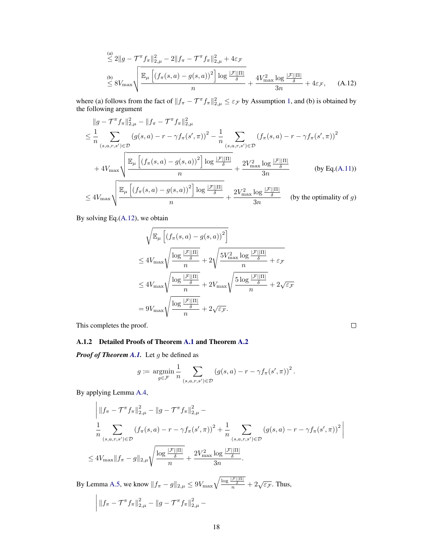<span id="page-17-1"></span>
$$
\leq 2\|g - \mathcal{T}^{\pi} f_{\pi}\|_{2,\mu}^{2} - 2\|f_{\pi} - \mathcal{T}^{\pi} f_{\pi}\|_{2,\mu}^{2} + 4\varepsilon_{\mathcal{F}}
$$
\n
$$
\leq 8V_{\max} \sqrt{\frac{\mathbb{E}_{\mu}\left[\left(f_{\pi}(s,a) - g(s,a)\right)^{2}\right] \log \frac{|\mathcal{F}||\Pi|}{\delta}}{n}} + \frac{4V_{\max}^{2} \log \frac{|\mathcal{F}||\Pi|}{\delta}}{3n} + 4\varepsilon_{\mathcal{F}}, \quad \text{(A.12)}
$$

where (a) follows from the fact of  $||f_{\pi} - \mathcal{T}^{\pi} f_{\pi}||_{2,\mu}^2 \leq \varepsilon_{\mathcal{F}}$  by Assumption [1,](#page-2-0) and (b) is obtained by the following argument

$$
\|g - \mathcal{T}^{\pi} f_{\pi}\|_{2,\mu}^{2} - \|f_{\pi} - \mathcal{T}^{\pi} f_{\pi}\|_{2,\mu}^{2}
$$
\n
$$
\leq \frac{1}{n} \sum_{(s,a,r,s') \in \mathcal{D}} (g(s,a) - r - \gamma f_{\pi}(s',\pi))^{2} - \frac{1}{n} \sum_{(s,a,r,s') \in \mathcal{D}} (f_{\pi}(s,a) - r - \gamma f_{\pi}(s',\pi))^{2}
$$
\n
$$
+ 4V_{\max} \sqrt{\frac{\mathbb{E}_{\mu} \left[ (f_{\pi}(s,a) - g(s,a))^{2} \right] \log \frac{|\mathcal{F}||\Pi|}{\delta}}{n} + \frac{2V_{\max}^{2} \log \frac{|\mathcal{F}||\Pi|}{\delta}}{3n}} \qquad \text{(by Eq.(A.11))}
$$
\n
$$
\leq 4V_{\max} \sqrt{\frac{\mathbb{E}_{\mu} \left[ (f_{\pi}(s,a) - g(s,a))^{2} \right] \log \frac{|\mathcal{F}||\Pi|}{\delta}}{n} + \frac{2V_{\max}^{2} \log \frac{|\mathcal{F}||\Pi|}{\delta}}{3n}} \qquad \text{(by the optimality of } g)
$$

By solving Eq.[\(A.12\)](#page-17-1), we obtain

$$
\sqrt{\mathbb{E}_{\mu}\left[\left(f_{\pi}(s,a)-g(s,a)\right)^{2}\right]}
$$
\n
$$
\leq 4V_{\max}\sqrt{\frac{\log\frac{|\mathcal{F}||\Pi|}{\delta}}{n}} + 2\sqrt{\frac{5V_{\max}^{2}\log\frac{|\mathcal{F}||\Pi|}{\delta}}{n}} + \varepsilon_{\mathcal{F}}
$$
\n
$$
\leq 4V_{\max}\sqrt{\frac{\log\frac{|\mathcal{F}||\Pi|}{\delta}}{n}} + 2V_{\max}\sqrt{\frac{5\log\frac{|\mathcal{F}||\Pi|}{\delta}}{n}} + 2\sqrt{\varepsilon_{\mathcal{F}}}
$$
\n
$$
= 9V_{\max}\sqrt{\frac{\log\frac{|\mathcal{F}||\Pi|}{\delta}}{n}} + 2\sqrt{\varepsilon_{\mathcal{F}}}.
$$

This completes the proof.

## <span id="page-17-0"></span>A.1.2 Detailed Proofs of Theorem [A.1](#page-13-2) and Theorem [A.2](#page-13-3)

*Proof of Theorem [A.1.](#page-13-2)* Let g be defined as

$$
g \coloneqq \underset{g \in \mathcal{F}}{\operatorname{argmin}} \frac{1}{n} \sum_{(s,a,r,s') \in \mathcal{D}} \left( g(s,a) - r - \gamma f_{\pi}(s',\pi) \right)^2.
$$

By applying Lemma [A.4,](#page-15-0)

$$
\left| \|f_{\pi} - \mathcal{T}^{\pi} f_{\pi} \|_{2, \mu}^{2} - \|g - \mathcal{T}^{\pi} f_{\pi} \|_{2, \mu}^{2} - \right\|
$$
  

$$
\frac{1}{n} \sum_{(s, a, r, s') \in \mathcal{D}} (f_{\pi}(s, a) - r - \gamma f_{\pi}(s', \pi))^{2} + \frac{1}{n} \sum_{(s, a, r, s') \in \mathcal{D}} (g(s, a) - r - \gamma f_{\pi}(s', \pi))^{2} \right|
$$
  

$$
\leq 4V_{\max} \|f_{\pi} - g\|_{2, \mu} \sqrt{\frac{\log \frac{|\mathcal{F}||\Pi|}{\delta}}{n}} + \frac{2V_{\max}^{2} \log \frac{|\mathcal{F}||\Pi|}{\delta}}{3n}.
$$

By Lemma [A.5,](#page-16-0) we know  $||f_{\pi} - g||_{2,\mu} \le 9V_{\max} \sqrt{\frac{\log \frac{|\mathcal{F}||\Pi|}{\delta}}{n}} + 2\sqrt{\varepsilon_{\mathcal{F}}}$ . Thus,  $\begin{array}{c} \begin{array}{c} \begin{array}{c} \end{array} \\ \begin{array}{c} \end{array} \end{array} \end{array}$  $||f_{\pi}-\mathcal{T}^{\pi}f_{\pi}||_{2,\mu}^2-||g-\mathcal{T}^{\pi}f_{\pi}||_{2,\mu}^2-$   $\Box$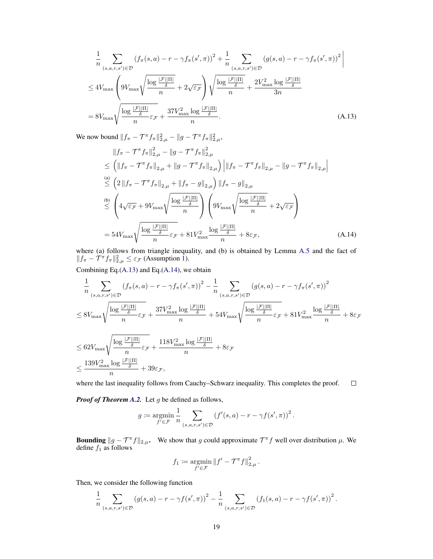$$
\frac{1}{n} \sum_{(s,a,r,s') \in \mathcal{D}} (f_{\pi}(s,a) - r - \gamma f_{\pi}(s',\pi))^2 + \frac{1}{n} \sum_{(s,a,r,s') \in \mathcal{D}} (g(s,a) - r - \gamma f_{\pi}(s',\pi))^2
$$
\n
$$
\leq 4V_{\max} \left( 9V_{\max} \sqrt{\frac{\log \frac{|\mathcal{F}||\Pi|}{\delta}}{n}} + 2\sqrt{\varepsilon_{\mathcal{F}}} \right) \sqrt{\frac{\log \frac{|\mathcal{F}||\Pi|}{\delta}}{n}} + \frac{2V_{\max}^2 \log \frac{|\mathcal{F}||\Pi|}{\delta}}{3n}
$$
\n
$$
= 8V_{\max} \sqrt{\frac{\log \frac{|\mathcal{F}||\Pi|}{\delta}}{n}} \varepsilon_{\mathcal{F}} + \frac{37V_{\max}^2 \log \frac{|\mathcal{F}||\Pi|}{\delta}}{n}.
$$
\n(A.13)

We now bound  $|| f_{\pi} - \mathcal{T}^{\pi} f_{\pi} ||_{2,\mu}^2 - || g - \mathcal{T}^{\pi} f_{\pi} ||_{2,\mu}^2$ ,

<span id="page-18-1"></span><span id="page-18-0"></span>
$$
||f_{\pi} - \mathcal{T}^{\pi} f_{\pi}||_{2,\mu}^{2} - ||g - \mathcal{T}^{\pi} f_{\pi}||_{2,\mu}^{2}
$$
  
\n
$$
\leq (||f_{\pi} - \mathcal{T}^{\pi} f_{\pi}||_{2,\mu} + ||g - \mathcal{T}^{\pi} f_{\pi}||_{2,\mu}) ||f_{\pi} - \mathcal{T}^{\pi} f_{\pi}||_{2,\mu} - ||g - \mathcal{T}^{\pi} f_{\pi}||_{2,\mu}|
$$
  
\n
$$
\leq (2||f_{\pi} - \mathcal{T}^{\pi} f_{\pi}||_{2,\mu} + ||f_{\pi} - g||_{2,\mu}) ||f_{\pi} - g||_{2,\mu}
$$
  
\n
$$
\leq (4\sqrt{\varepsilon_{\mathcal{F}}} + 9V_{\max} \sqrt{\frac{\log \frac{|\mathcal{F}||\Pi|}{\delta}}{n}}) \left( 9V_{\max} \sqrt{\frac{\log \frac{|\mathcal{F}||\Pi|}{\delta}}{n}} + 2\sqrt{\varepsilon_{\mathcal{F}}} \right)
$$
  
\n
$$
= 54V_{\max} \sqrt{\frac{\log \frac{|\mathcal{F}||\Pi|}{\delta}}{n}} \varepsilon_{\mathcal{F}} + 81V_{\max}^{2} \frac{\log \frac{|\mathcal{F}||\Pi|}{\delta}}{n}} + 8\varepsilon_{\mathcal{F}},
$$
 (A.14)

where (a) follows from triangle inequality, and (b) is obtained by Lemma [A.5](#page-16-0) and the fact of  $|| f_{\pi} - \mathcal{T}^{\pi} f_{\pi} ||_{2,\mu}^2 \leq \varepsilon_{\mathcal{F}}$  (Assumption [1\)](#page-2-0).

Combining Eq.[\(A.13\)](#page-18-0) and Eq.[\(A.14\)](#page-18-1), we obtain

$$
\frac{1}{n} \sum_{(s,a,r,s') \in \mathcal{D}} (f_{\pi}(s,a) - r - \gamma f_{\pi}(s',\pi))^2 - \frac{1}{n} \sum_{(s,a,r,s') \in \mathcal{D}} (g(s,a) - r - \gamma f_{\pi}(s',\pi))^2
$$
\n
$$
\leq 8V_{\max} \sqrt{\frac{\log \frac{|\mathcal{F}||\Pi|}{\delta}}{n}} \mathcal{E}_{\mathcal{F}} + \frac{37V_{\max}^2 \log \frac{|\mathcal{F}||\Pi|}{\delta}}{n} + 54V_{\max} \sqrt{\frac{\log \frac{|\mathcal{F}||\Pi|}{\delta}}{n}} \mathcal{E}_{\mathcal{F}} + 81V_{\max}^2 \frac{\log \frac{|\mathcal{F}||\Pi|}{\delta}}{n} + 8\mathcal{E}_{\mathcal{F}}
$$
\n
$$
\leq 62V_{\max} \sqrt{\frac{\log \frac{|\mathcal{F}||\Pi|}{\delta}}{n}} \mathcal{E}_{\mathcal{F}} + \frac{118V_{\max}^2 \log \frac{|\mathcal{F}||\Pi|}{\delta}}{n} + 8\mathcal{E}_{\mathcal{F}}
$$
\n
$$
\leq \frac{139V_{\max}^2 \log \frac{|\mathcal{F}||\Pi|}{\delta}}{n} + 39\mathcal{E}_{\mathcal{F}},
$$

where the last inequality follows from Cauchy–Schwarz inequality. This completes the proof.  $\Box$ 

*Proof of Theorem [A.2.](#page-13-3)* Let g be defined as follows,

$$
g \coloneqq \mathop{\rm argmin}_{f' \in \mathcal{F}} \frac{1}{n} \sum_{(s,a,r,s') \in \mathcal{D}} \left( f'(s,a) - r - \gamma f(s',\pi) \right)^2.
$$

**Bounding**  $||g - \mathcal{T}^{\pi} f||_{2,\mu}$ . We show that g could approximate  $\mathcal{T}^{\pi} f$  well over distribution  $\mu$ . We define  $f_1$  as follows

$$
f_1 \coloneqq \operatorname*{argmin}_{f' \in \mathcal{F}} \|f' - \mathcal{T}^{\pi} f\|_{2,\mu}^2.
$$

Then, we consider the following function

$$
\frac{1}{n} \sum_{(s,a,r,s') \in \mathcal{D}} (g(s,a) - r - \gamma f(s',\pi))^2 - \frac{1}{n} \sum_{(s,a,r,s') \in \mathcal{D}} (f_1(s,a) - r - \gamma f(s',\pi))^2.
$$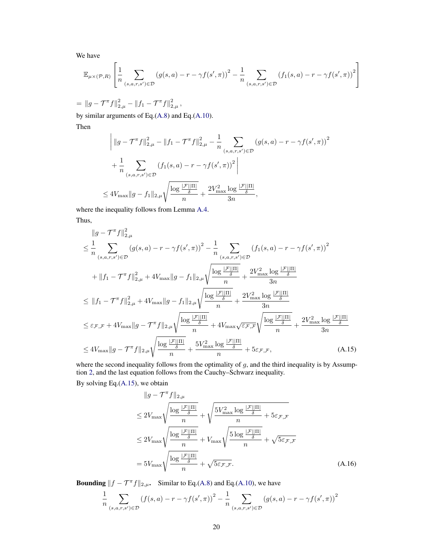We have

$$
\mathbb{E}_{\mu \times (\mathcal{P}, R)} \left[ \frac{1}{n} \sum_{(s, a, r, s') \in \mathcal{D}} \left( g(s, a) - r - \gamma f(s', \pi) \right)^2 - \frac{1}{n} \sum_{(s, a, r, s') \in \mathcal{D}} \left( f_1(s, a) - r - \gamma f(s', \pi) \right)^2 \right]
$$

 $= \|g - \mathcal{T}^{\pi} f\|_{2,\mu}^2 - \|f_1 - \mathcal{T}^{\pi} f\|_{2,\mu}^2$ 

by similar arguments of Eq.[\(A.8\)](#page-15-1) and Eq.[\(A.10\)](#page-15-2).

Then

$$
\left| \|g - \mathcal{T}^{\pi} f\|_{2,\mu}^{2} - \|f_{1} - \mathcal{T}^{\pi} f\|_{2,\mu}^{2} - \frac{1}{n} \sum_{(s,a,r,s') \in \mathcal{D}} (g(s,a) - r - \gamma f(s',\pi))^{2} + \frac{1}{n} \sum_{(s,a,r,s') \in \mathcal{D}} (f_{1}(s,a) - r - \gamma f(s',\pi))^{2} \right|
$$
  

$$
\leq 4V_{\max} \|g - f_{1}\|_{2,\mu} \sqrt{\frac{\log \frac{|\mathcal{F}||\Pi|}{\delta}}{n}} + \frac{2V_{\max}^{2} \log \frac{|\mathcal{F}||\Pi|}{\delta}}{3n},
$$

where the inequality follows from Lemma [A.4.](#page-15-0)

Thus,

$$
\|g - \mathcal{T}^{\pi} f\|_{2,\mu}^{2} \leq \frac{1}{n} \sum_{(s,a,r,s') \in \mathcal{D}} (g(s,a) - r - \gamma f(s',\pi))^{2} - \frac{1}{n} \sum_{(s,a,r,s') \in \mathcal{D}} (f_{1}(s,a) - r - \gamma f(s',\pi))^{2}
$$
  
+  $||f_{1} - \mathcal{T}^{\pi} f||_{2,\mu}^{2} + 4V_{\max}||g - f_{1}||_{2,\mu} \sqrt{\frac{\log \frac{|\mathcal{F}||\Pi|}{\delta}}{n}} + \frac{2V_{\max}^{2} \log \frac{|\mathcal{F}||\Pi|}{\delta}}{3n}$   
 $\leq ||f_{1} - \mathcal{T}^{\pi} f||_{2,\mu}^{2} + 4V_{\max}||g - f_{1}||_{2,\mu} \sqrt{\frac{\log \frac{|\mathcal{F}||\Pi|}{\delta}}{n}} + \frac{2V_{\max}^{2} \log \frac{|\mathcal{F}||\Pi|}{\delta}}{3n}$   
 $\leq \varepsilon_{\mathcal{F},\mathcal{F}} + 4V_{\max}||g - \mathcal{T}^{\pi} f||_{2,\mu} \sqrt{\frac{\log \frac{|\mathcal{F}||\Pi|}{\delta}}{n}} + 4V_{\max} \sqrt{\varepsilon_{\mathcal{F},\mathcal{F}}} \sqrt{\frac{\log \frac{|\mathcal{F}||\Pi|}{\delta}}{n}} + \frac{2V_{\max}^{2} \log \frac{|\mathcal{F}||\Pi|}{\delta}}{3n}$   
 $\leq 4V_{\max}||g - \mathcal{T}^{\pi} f||_{2,\mu} \sqrt{\frac{\log \frac{|\mathcal{F}||\Pi|}{\delta}}{n}} + \frac{5V_{\max}^{2} \log \frac{|\mathcal{F}||\Pi|}{\delta}}{n} + 5\varepsilon_{\mathcal{F},\mathcal{F}},$  (A.15)

where the second inequality follows from the optimality of  $g$ , and the third inequality is by Assumption [2,](#page-2-2) and the last equation follows from the Cauchy–Schwarz inequality.

By solving Eq.[\(A.15\)](#page-19-0), we obtain

<span id="page-19-1"></span><span id="page-19-0"></span>
$$
\|g - \mathcal{T}^{\pi} f\|_{2,\mu}
$$
\n
$$
\leq 2V_{\max} \sqrt{\frac{\log \frac{|\mathcal{F}||\Pi|}{\delta}}{n}} + \sqrt{\frac{5V_{\max}^2 \log \frac{|\mathcal{F}||\Pi|}{\delta}}{n}} + 5\varepsilon_{\mathcal{F},\mathcal{F}}
$$
\n
$$
\leq 2V_{\max} \sqrt{\frac{\log \frac{|\mathcal{F}||\Pi|}{\delta}}{n}} + V_{\max} \sqrt{\frac{5 \log \frac{|\mathcal{F}||\Pi|}{\delta}}{n}} + \sqrt{5\varepsilon_{\mathcal{F},\mathcal{F}}}
$$
\n
$$
= 5V_{\max} \sqrt{\frac{\log \frac{|\mathcal{F}||\Pi|}{\delta}}{n}} + \sqrt{5\varepsilon_{\mathcal{F},\mathcal{F}}}.
$$
\n(A.16)

**Bounding**  $||f - \mathcal{T}^{\pi}f||_{2,\mu}$ . Similar to Eq.[\(A.8\)](#page-15-1) and Eq.[\(A.10\)](#page-15-2), we have

$$
\frac{1}{n} \sum_{(s,a,r,s') \in \mathcal{D}} (f(s,a) - r - \gamma f(s',\pi))^2 - \frac{1}{n} \sum_{(s,a,r,s') \in \mathcal{D}} (g(s,a) - r - \gamma f(s',\pi))^2
$$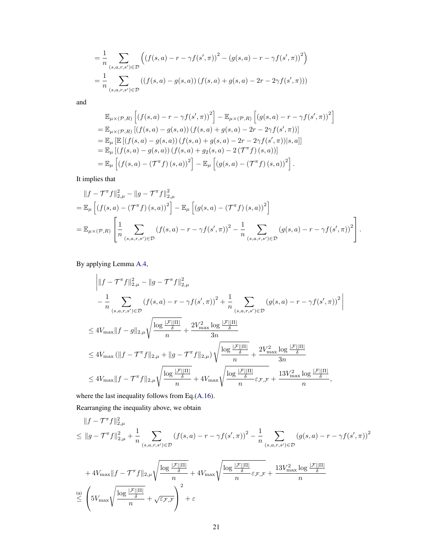$$
= \frac{1}{n} \sum_{(s,a,r,s') \in \mathcal{D}} \left( \left( f(s,a) - r - \gamma f(s',\pi) \right)^2 - \left( g(s,a) - r - \gamma f(s',\pi) \right)^2 \right)
$$
  

$$
= \frac{1}{n} \sum_{(s,a,r,s') \in \mathcal{D}} \left( \left( f(s,a) - g(s,a) \right) \left( f(s,a) + g(s,a) - 2r - 2\gamma f(s',\pi) \right) \right)
$$

and

$$
\mathbb{E}_{\mu \times (\mathcal{P}, R)} \left[ \left( f(s, a) - r - \gamma f(s', \pi) \right)^2 \right] - \mathbb{E}_{\mu \times (\mathcal{P}, R)} \left[ \left( g(s, a) - r - \gamma f(s', \pi) \right)^2 \right] \n= \mathbb{E}_{\mu \times (\mathcal{P}, R)} \left[ \left( f(s, a) - g(s, a) \right) \left( f(s, a) + g(s, a) - 2r - 2\gamma f(s', \pi) \right) \right] \n= \mathbb{E}_{\mu} \left[ \mathbb{E} \left[ \left( f(s, a) - g(s, a) \right) \left( f(s, a) + g(s, a) - 2r - 2\gamma f(s', \pi) \right) \right| s, a \right] \n= \mathbb{E}_{\mu} \left[ \left( f(s, a) - g(s, a) \right) \left( f(s, a) + g_2(s, a) - 2 \left( \mathcal{T}^{\pi} f \right) (s, a) \right) \right] \n= \mathbb{E}_{\mu} \left[ \left( f(s, a) - \left( \mathcal{T}^{\pi} f \right) (s, a) \right)^2 \right] - \mathbb{E}_{\mu} \left[ \left( g(s, a) - \left( \mathcal{T}^{\pi} f \right) (s, a) \right)^2 \right].
$$

It implies that

$$
||f - \mathcal{T}^{\pi} f||_{2,\mu}^{2} - ||g - \mathcal{T}^{\pi} f||_{2,\mu}^{2}
$$
  
=  $\mathbb{E}_{\mu} \left[ (f(s, a) - (\mathcal{T}^{\pi} f)(s, a))^{2} \right] - \mathbb{E}_{\mu} \left[ (g(s, a) - (\mathcal{T}^{\pi} f)(s, a))^{2} \right]$   
=  $\mathbb{E}_{\mu \times (\mathcal{P}, R)} \left[ \frac{1}{n} \sum_{(s, a, r, s') \in \mathcal{D}} (f(s, a) - r - \gamma f(s', \pi))^{2} - \frac{1}{n} \sum_{(s, a, r, s') \in \mathcal{D}} (g(s, a) - r - \gamma f(s', \pi))^{2} \right].$ 

By applying Lemma [A.4,](#page-15-0)

$$
\begin{split} &\left|\|f-\mathcal{T}^\pi f\|_{2,\mu}^2-\|g-\mathcal{T}^\pi f\|_{2,\mu}^2\right.\\ &\left.-\frac{1}{n}\sum_{(s,a,r,s')\in\mathcal{D}}\left(f(s,a)-r-\gamma f(s',\pi)\right)^2+\frac{1}{n}\sum_{(s,a,r,s')\in\mathcal{D}}\left(g(s,a)-r-\gamma f(s',\pi)\right)^2\right.\\ &\leq4V_{\max}\|f-g\|_{2,\mu}\sqrt{\frac{\log\frac{|\mathcal{F}||\Pi|}{\delta}}{n}}+\frac{2V_{\max}^2\log\frac{|\mathcal{F}||\Pi|}{\delta}}{3n}\\ &\leq4V_{\max}\left(\|f-\mathcal{T}^\pi f\|_{2,\mu}+\|g-\mathcal{T}^\pi f\|_{2,\mu}\right)\sqrt{\frac{\log\frac{|\mathcal{F}||\Pi|}{\delta}}{n}}+\frac{2V_{\max}^2\log\frac{|\mathcal{F}||\Pi|}{\delta}}{3n}\\ &\leq4V_{\max}\|f-\mathcal{T}^\pi f\|_{2,\mu}\sqrt{\frac{\log\frac{|\mathcal{F}||\Pi|}{\delta}}{n}}+4V_{\max}\sqrt{\frac{\log\frac{|\mathcal{F}||\Pi|}{\delta}}{n}}\varepsilon_{\mathcal{F},\mathcal{F}}+\frac{13V_{\max}^2\log\frac{|\mathcal{F}||\Pi|}{\delta}}{n}, \end{split}
$$

 $\overline{\phantom{a}}$  $\overline{\phantom{a}}$  $\overline{\phantom{a}}$  $\mid$ 

where the last inequality follows from Eq.[\(A.16\)](#page-19-1).

Rearranging the inequality above, we obtain

$$
||f - \mathcal{T}^{\pi} f||_{2,\mu}^{2}
$$
\n
$$
\leq ||g - \mathcal{T}^{\pi} f||_{2,\mu}^{2} + \frac{1}{n} \sum_{(s,a,r,s') \in \mathcal{D}} (f(s,a) - r - \gamma f(s',\pi))^{2} - \frac{1}{n} \sum_{(s,a,r,s') \in \mathcal{D}} (g(s,a) - r - \gamma f(s',\pi))^{2}
$$
\n
$$
+ 4V_{\max}||f - \mathcal{T}^{\pi} f||_{2,\mu} \sqrt{\frac{\log \frac{|\mathcal{F}||\Pi|}{\delta}}{n}} + 4V_{\max} \sqrt{\frac{\log \frac{|\mathcal{F}||\Pi|}{\delta}}{n}} \varepsilon_{\mathcal{F},\mathcal{F}} + \frac{13V_{\max}^{2} \log \frac{|\mathcal{F}||\Pi|}{\delta}}{n}
$$
\n
$$
\leq \left(5V_{\max} \sqrt{\frac{\log \frac{|\mathcal{F}||\Pi|}{\delta}}{n}} + \sqrt{\varepsilon_{\mathcal{F},\mathcal{F}}} \right)^{2} + \varepsilon
$$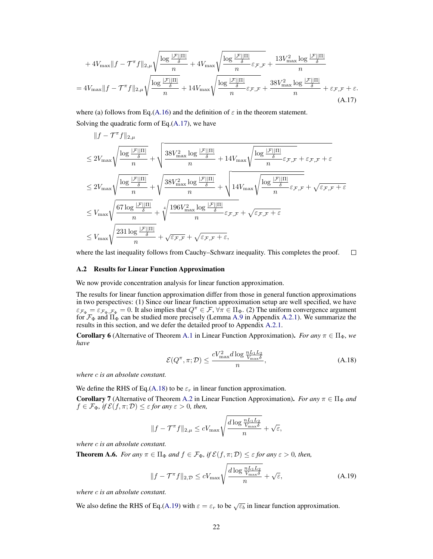$$
+4V_{\max}||f - \mathcal{T}^{\pi}f||_{2,\mu}\sqrt{\frac{\log\frac{|\mathcal{F}||\Pi|}{\delta}}{n}} + 4V_{\max}\sqrt{\frac{\log\frac{|\mathcal{F}||\Pi|}{\delta}}{n}}\varepsilon_{\mathcal{F},\mathcal{F}} + \frac{13V_{\max}^2\log\frac{|\mathcal{F}||\Pi|}{\delta}}{n}
$$

$$
= 4V_{\max}||f - \mathcal{T}^{\pi}f||_{2,\mu}\sqrt{\frac{\log\frac{|\mathcal{F}||\Pi|}{\delta}}{n}} + 14V_{\max}\sqrt{\frac{\log\frac{|\mathcal{F}||\Pi|}{\delta}}{n}}\varepsilon_{\mathcal{F},\mathcal{F}} + \frac{38V_{\max}^2\log\frac{|\mathcal{F}||\Pi|}{\delta}}{n}} + \varepsilon_{\mathcal{F},\mathcal{F}} + \varepsilon.
$$
(A.17)

where (a) follows from Eq.[\(A.16\)](#page-19-1) and the definition of  $\varepsilon$  in the theorem statement. Solving the quadratic form of Eq. $(A.17)$ , we have

<span id="page-21-1"></span>
$$
\begin{split} &\|f-\mathcal{T}^\pi f\|_{2,\mu}\\ &\leq 2V_{\max}\sqrt{\frac{\log\frac{|\mathcal{F}||\Pi|}{\delta}}{n}}+\sqrt{\frac{38V_{\max}^2\log\frac{|\mathcal{F}||\Pi|}{\delta}}{n}+14V_{\max}\sqrt{\frac{\log\frac{|\mathcal{F}||\Pi|}{\delta}}{n}\varepsilon_{\mathcal{F},\mathcal{F}}+\varepsilon_{\mathcal{F},\mathcal{F}}+\varepsilon}}\\ &\leq 2V_{\max}\sqrt{\frac{\log\frac{|\mathcal{F}||\Pi|}{\delta}}{n}}+\sqrt{\frac{38V_{\max}^2\log\frac{|\mathcal{F}||\Pi|}{\delta}}{n}}+\sqrt{14V_{\max}\sqrt{\frac{\log\frac{|\mathcal{F}||\Pi|}{\delta}}{n}\varepsilon_{\mathcal{F},\mathcal{F}}+\sqrt{\varepsilon_{\mathcal{F},\mathcal{F}}+\varepsilon}}\\ &\leq V_{\max}\sqrt{\frac{67\log\frac{|\mathcal{F}||\Pi|}{\delta}}{n}}+\sqrt{4\sqrt{\frac{196V_{\max}^2\log\frac{|\mathcal{F}||\Pi|}{\delta}}{n}\varepsilon_{\mathcal{F},\mathcal{F}}+\sqrt{\varepsilon_{\mathcal{F},\mathcal{F}}+\varepsilon}}\\ &\leq V_{\max}\sqrt{\frac{231\log\frac{|\mathcal{F}||\Pi|}{\delta}}{n}}+\sqrt{\varepsilon_{\mathcal{F},\mathcal{F}}+\sqrt{\varepsilon_{\mathcal{F},\mathcal{F}}+\varepsilon}}, \end{split}
$$

where the last inequality follows from Cauchy–Schwarz inequality. This completes the proof.  $\Box$ 

#### <span id="page-21-0"></span>A.2 Results for Linear Function Approximation

We now provide concentration analysis for linear function approximation.

The results for linear function approximation differ from those in general function approximations in two perspectives: (1) Since our linear function approximation setup are well specified, we have  $\varepsilon_{\mathcal{F}_{\Phi}} = \varepsilon_{\mathcal{F}_{\Phi},\mathcal{F}_{\Phi}} = 0$ . It also implies that  $Q^{\pi} \in \mathcal{F}$ ,  $\forall \pi \in \Pi_{\Phi}$ . (2) The uniform convergence argument for  $\mathcal{F}_{\Phi}$  and  $\Pi_{\Phi}$  can be studied more precisely (Lemma [A.9](#page-22-0) in Appendix [A.2.1\)](#page-22-1). We summarize the results in this section, and we defer the detailed proof to Appendix [A.2.1.](#page-22-1)

**Corollary 6** (Alternative of Theorem [A.1](#page-13-2) in Linear Function Approximation). *For any*  $\pi \in \Pi_{\Phi}$ , we *have*

<span id="page-21-2"></span>
$$
\mathcal{E}(Q^{\pi}, \pi; \mathcal{D}) \le \frac{cV_{\text{max}}^2 d \log \frac{n_{L_1 L_2}}{V_{\text{max}} \delta}}{n},\tag{A.18}
$$

*where* c *is an absolute constant.*

We define the RHS of Eq.[\(A.18\)](#page-21-2) to be  $\varepsilon_r$  in linear function approximation.

<span id="page-21-5"></span>**Corollary 7** (Alternative of Theorem [A.2](#page-13-3) in Linear Function Approximation). *For any*  $\pi \in \Pi_{\Phi}$  *and*  $f \in \mathcal{F}_{\Phi}$ , if  $\mathcal{E}(f, \pi; \mathcal{D}) \leq \varepsilon$  for any  $\varepsilon > 0$ , then,

$$
||f - \mathcal{T}^{\pi} f||_{2,\mu} \le c V_{\max} \sqrt{\frac{d \log \frac{nL_1L_2}{V_{\max}\delta}}{n}} + \sqrt{\varepsilon},
$$

*where* c *is an absolute constant.*

<span id="page-21-4"></span>**Theorem A.6.** *For any*  $\pi \in \Pi_{\Phi}$  *and*  $f \in \mathcal{F}_{\Phi}$ *, if*  $\mathcal{E}(f, \pi; \mathcal{D}) \leq \varepsilon$  *for any*  $\varepsilon > 0$ *, then,* 

<span id="page-21-3"></span>
$$
||f - \mathcal{T}^{\pi} f||_{2, \mathcal{D}} \le c V_{\max} \sqrt{\frac{d \log \frac{nL_1 L_2}{V_{\max} \delta}}{n}} + \sqrt{\varepsilon}, \tag{A.19}
$$

*where* c *is an absolute constant.*

We also define the RHS of Eq.[\(A.19\)](#page-21-3) with  $\varepsilon = \varepsilon_r$  to be  $\sqrt{\varepsilon_b}$  in linear function approximation.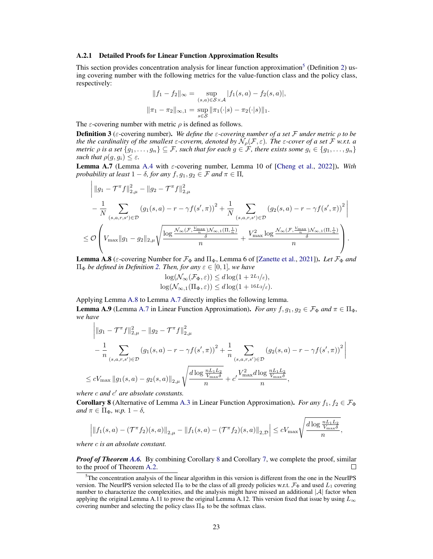#### <span id="page-22-1"></span>A.2.1 Detailed Proofs for Linear Function Approximation Results

This section provides concentration analysis for linear function approximation<sup>[5](#page-22-2)</sup> (Definition [2\)](#page-6-3) using covering number with the following metrics for the value-function class and the policy class, respectively:

$$
||f_1 - f_2||_{\infty} = \sup_{(s,a) \in S \times \mathcal{A}} |f_1(s,a) - f_2(s,a)|,
$$
  

$$
||\pi_1 - \pi_2||_{\infty,1} = \sup_{s \in S} ||\pi_1(\cdot|s) - \pi_2(\cdot|s)||_1.
$$

The  $\varepsilon$ -covering number with metric  $\rho$  is defined as follows.

Definition 3 (ε-covering number). *We define the* ε*-covering number of a set* F *under metric* ρ *to be the the cardinality of the smallest*  $\varepsilon$ -coverm, denoted by  $\mathcal{N}_{\rho}(\mathcal{F},\varepsilon)$ . The  $\varepsilon$ -cover of a set  $\mathcal F$  w.r.t. a *metric*  $\rho$  *is a set*  $\{g_1, \ldots, g_n\} \subseteq \mathcal{F}$ , *such that for each*  $g \in \mathcal{F}$ , *there exists some*  $g_i \in \{g_1, \ldots, g_n\}$ *such that*  $\rho(g, g_i) \leq \varepsilon$ *.* 

<span id="page-22-4"></span>Lemma A.7 (Lemma [A.4](#page-15-0) with ε-covering number, Lemma 10 of [\[Cheng et al.,](#page-10-16) [2022\]](#page-10-16)). *With probability at least*  $1 - \delta$ *, for any*  $f, g_1, g_2 \in \mathcal{F}$  *and*  $\pi \in \Pi$ *,* 

$$
\left| \|g_1 - \mathcal{T}^\pi f\|_{2,\mu}^2 - \|g_2 - \mathcal{T}^\pi f\|_{2,\mu}^2 - \frac{1}{N} \sum_{(s,a,r,s') \in \mathcal{D}} (g_1(s,a) - r - \gamma f(s',\pi))^2 + \frac{1}{N} \sum_{(s,a,r,s') \in \mathcal{D}} (g_2(s,a) - r - \gamma f(s',\pi))^2 \right|
$$
  

$$
\leq \mathcal{O}\left( V_{\max} \|g_1 - g_2\|_{2,\mu} \sqrt{\frac{\log \frac{\mathcal{N}_{\infty}(\mathcal{F}, \frac{V_{\max}}{n})\mathcal{N}_{\infty,1}(\Pi, \frac{1}{n})}{n}} + \frac{V_{\max}^2 \log \frac{\mathcal{N}_{\infty}(\mathcal{F}, \frac{V_{\max}}{n})\mathcal{N}_{\infty,1}(\Pi, \frac{1}{n})}{n} \right).
$$

<span id="page-22-3"></span>**Lemma A.8** ( $\varepsilon$ -covering Number for  $\mathcal{F}_{\Phi}$  and  $\Pi_{\Phi}$ , Lemma 6 of [\[Zanette et al.,](#page-12-3) [2021\]](#page-12-3)). *Let*  $\mathcal{F}_{\Phi}$  and  $\Pi_{\Phi}$  *be defined in Definition [2.](#page-6-3) Then, for any*  $\varepsilon \in [0,1]$ *, we have* 

$$
\log(\mathcal{N}_{\infty}(\mathcal{F}_{\Phi}, \varepsilon)) \leq d \log(1 + 2L_1/\varepsilon),
$$
  

$$
\log(\mathcal{N}_{\infty, 1}(\Pi_{\Phi}, \varepsilon)) \leq d \log(1 + 16L_2/\varepsilon).
$$

Applying Lemma [A.8](#page-22-3) to Lemma [A.7](#page-22-4) directly implies the following lemma.

<span id="page-22-0"></span>**Lemma A.9** (Lemma [A.7](#page-22-4) in Linear Function Approximation). *For any*  $f, g_1, g_2 \in \mathcal{F}_{\Phi}$  *and*  $\pi \in \Pi_{\Phi}$ *, we have*  $\mathbf{I}$ 

$$
\|g_1 - \mathcal{T}^{\pi} f\|_{2,\mu}^2 - \|g_2 - \mathcal{T}^{\pi} f\|_{2,\mu}^2
$$
  

$$
- \frac{1}{n} \sum_{(s,a,r,s') \in \mathcal{D}} (g_1(s,a) - r - \gamma f(s',\pi))^2 + \frac{1}{n} \sum_{(s,a,r,s') \in \mathcal{D}} (g_2(s,a) - r - \gamma f(s',\pi))^2
$$
  

$$
\leq c V_{\text{max}} \|g_1(s,a) - g_2(s,a)\|_{2,\mu} \sqrt{\frac{d \log \frac{nL_1L_2}{V_{\text{max}} \delta}}{n}} + c' \frac{V_{\text{max}}^2 d \log \frac{nL_1L_2}{V_{\text{max}} \delta}}{n},
$$

*where* c *and* c <sup>0</sup> *are absolute constants.*

<span id="page-22-5"></span>**Corollary 8** (Alternative of Lemma [A.3](#page-13-5) in Linear Function Approximation). *For any*  $f_1, f_2 \in \mathcal{F}_{\Phi}$ *and*  $\pi \in \Pi_{\Phi}$ *, w.p.*  $1 - \delta$ *,* 

$$
\left| \|f_1(s,a) - (\mathcal{T}^{\pi} f_2)(s,a) \|_{2,\mu} - \|f_1(s,a) - (\mathcal{T}^{\pi} f_2)(s,a) \|_{2,\mathcal{D}} \right| \leq c V_{\max} \sqrt{\frac{d \log \frac{nL_1L_2}{V_{\max} \delta}}{n}},
$$

*where* c *is an absolute constant.*

*Proof of Theorem [A.6.](#page-21-4)* By combining Corollary [8](#page-22-5) and Corollary [7,](#page-21-5) we complete the proof, similar to the proof of Theorem [A.2.](#page-13-3)  $\Box$ 

<span id="page-22-2"></span><sup>5</sup>The concentration analysis of the linear algorithm in this version is different from the one in the NeurIPS version. The NeurIPS version selected  $\Pi_{\Phi}$  to be the class of all greedy policies w.r.t.  $\mathcal{F}_{\Phi}$  and used  $L_1$  covering number to characterize the complexities, and the analysis might have missed an additional  $|\mathcal{A}|$  factor when applying the original Lemma A.11 to prove the original Lemma A.12. This version fixed that issue by using  $L_{\infty}$ covering number and selecting the policy class  $\Pi_{\Phi}$  to be the softmax class.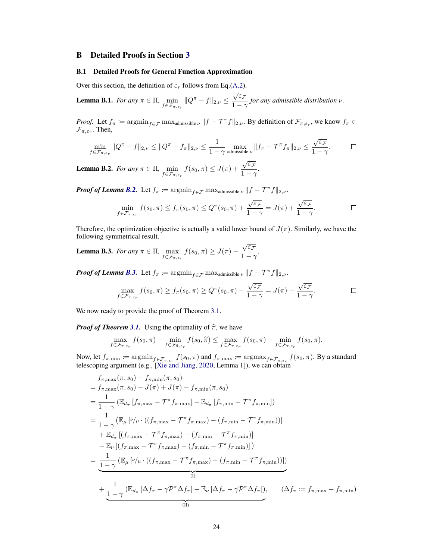## B Detailed Proofs in Section [3](#page-3-0)

#### <span id="page-23-0"></span>B.1 Detailed Proofs for General Function Approximation

Over this section, the definition of  $\varepsilon_r$  follows from Eq.[\(A.2\)](#page-13-6).

**Lemma B.1.** *For any*  $\pi \in \Pi$ ,  $\min_{f \in \mathcal{F}_{\pi, \varepsilon_r}} ||Q^{\pi} - f||_{2, \nu} \leq$ - ----,<br>√<sup>ε</sup> F  $\frac{\sqrt{2}}{1-\gamma}$  for any admissible distribution  $\nu$ .

*Proof.* Let  $f_{\pi} := \operatorname{argmin}_{f \in \mathcal{F}} \max_{\text{admissible } \nu} ||f - \mathcal{T}^{\pi}f||_{2,\nu}$ . By definition of  $\mathcal{F}_{\pi,\varepsilon_r}$ , we know  $f_{\pi} \in$  $\mathcal{F}_{\pi,\varepsilon_r}$ . Then,

$$
\min_{f \in \mathcal{F}_{\pi,\varepsilon_r}} \|Q^\pi - f\|_{2,\nu} \le \|Q^\pi - f_\pi\|_{2,\nu} \le \frac{1}{1 - \gamma} \max_{\text{admissible } \nu} \|f_\pi - \mathcal{T}^\pi f_\pi\|_{2,\nu} \le \frac{\sqrt{\varepsilon_\mathcal{F}}}{1 - \gamma}.
$$

<span id="page-23-1"></span>**Lemma B.2.** *For any*  $\pi \in \Pi$ ,  $\min_{f \in \mathcal{F}_{\pi, \varepsilon_r}} f(s_0, \pi) \leq J(\pi) +$  $\sqrt{\varepsilon_{F}}$  $\frac{V^{\sigma}r}{1-\gamma}$ .

*Proof of Lemma [B.2.](#page-23-1)* Let  $f_{\pi} := \operatorname{argmin}_{f \in \mathcal{F}} \operatorname{max}_{\text{admissible } \nu} ||f - \mathcal{T}^{\pi} f||_{2, \nu}$ .

$$
\min_{f \in \mathcal{F}_{\pi,\varepsilon_r}} f(s_0, \pi) \le f_{\pi}(s_0, \pi) \le Q^{\pi}(s_0, \pi) + \frac{\sqrt{\varepsilon_{\mathcal{F}}}}{1 - \gamma} = J(\pi) + \frac{\sqrt{\varepsilon_{\mathcal{F}}}}{1 - \gamma}.
$$

Therefore, the optimization objective is actually a valid lower bound of  $J(\pi)$ . Similarly, we have the following symmetrical result.

<span id="page-23-2"></span>**Lemma B.3.** *For any*  $\pi \in \Pi$ ,  $\max_{f \in \mathcal{F}_{\pi, \varepsilon_r}} f(s_0, \pi) \geq J(\pi) \sqrt{\varepsilon_{\mathcal{F}}}$  $\frac{V^{\sigma}r}{1-\gamma}$ .

*Proof of Lemma [B.3.](#page-23-2)* Let  $f_{\pi} := \operatorname{argmin}_{f \in \mathcal{F}} \operatorname{max}_{\text{admissible } \nu} ||f - \mathcal{T}^{\pi} f||_{2, \nu}$ .

$$
\max_{f \in \mathcal{F}_{\pi,\varepsilon_r}} f(s_0, \pi) \ge f_{\pi}(s_0, \pi) \ge Q^{\pi}(s_0, \pi) - \frac{\sqrt{\varepsilon_{\mathcal{F}}}}{1 - \gamma} = J(\pi) - \frac{\sqrt{\varepsilon_{\mathcal{F}}}}{1 - \gamma}.
$$

We now ready to provide the proof of Theorem [3.1.](#page-4-0)

*Proof of Theorem [3.1.](#page-4-0)* Using the optimality of  $\hat{\pi}$ , we have

$$
\max_{f \in \mathcal{F}_{\pi,\varepsilon_r}} f(s_0, \pi) - \min_{f \in \mathcal{F}_{\widehat{\pi},\varepsilon_r}} f(s_0, \widehat{\pi}) \le \max_{f \in \mathcal{F}_{\pi,\varepsilon_r}} f(s_0, \pi) - \min_{f \in \mathcal{F}_{\pi,\varepsilon_r}} f(s_0, \pi).
$$

Now, let  $f_{\pi,\min} := \operatorname{argmin}_{f \in \mathcal{F}_{\pi,\varepsilon_r}} f(s_0, \pi)$  and  $f_{\pi,\max} := \operatorname{argmax}_{f \in \mathcal{F}_{\pi,\varepsilon_r}} f(s_0, \pi)$ . By a standard telescoping argument (e.g., [\[Xie and Jiang,](#page-11-7) [2020,](#page-11-7) Lemma 1]), we can obtain

$$
f_{\pi,\max}(\pi, s_0) - f_{\pi,\min}(\pi, s_0)
$$
  
=  $f_{\pi,\max}(\pi, s_0) - J(\pi) + J(\pi) - f_{\pi,\min}(\pi, s_0)$   
=  $\frac{1}{1-\gamma} (\mathbb{E}_{d_{\pi}}[f_{\pi,\max} - T^{\pi} f_{\pi,\max}] - \mathbb{E}_{d_{\pi}}[f_{\pi,\min} - T^{\pi} f_{\pi,\min}])$   
=  $\frac{1}{1-\gamma} (\mathbb{E}_{\mu}[\nu/\mu \cdot ((f_{\pi,\max} - T^{\pi} f_{\pi,\max}) - (f_{\pi,\min} - T^{\pi} f_{\pi,\min}))]$   
+  $\mathbb{E}_{d_{\pi}}[(f_{\pi,\max} - T^{\pi} f_{\pi,\max}) - (f_{\pi,\min} - T^{\pi} f_{\pi,\min})]$   
-  $\mathbb{E}_{\nu}[(f_{\pi,\max} - T^{\pi} f_{\pi,\max}) - (f_{\pi,\min} - T^{\pi} f_{\pi,\min})]$   
=  $\frac{1}{1-\gamma} (\mathbb{E}_{\mu}[\nu/\mu \cdot ((f_{\pi,\max} - T^{\pi} f_{\pi,\max}) - (f_{\pi,\min} - T^{\pi} f_{\pi,\min}))])$   
(i)  
+  $\frac{1}{1-\gamma} (\mathbb{E}_{d_{\pi}}[\Delta f_{\pi} - \gamma \mathcal{P}^{\pi} \Delta f_{\pi}] - \mathbb{E}_{\nu}[\Delta f_{\pi} - \gamma \mathcal{P}^{\pi} \Delta f_{\pi}]), \quad (\Delta f_{\pi} := f_{\pi,\max} - f_{\pi,\min})$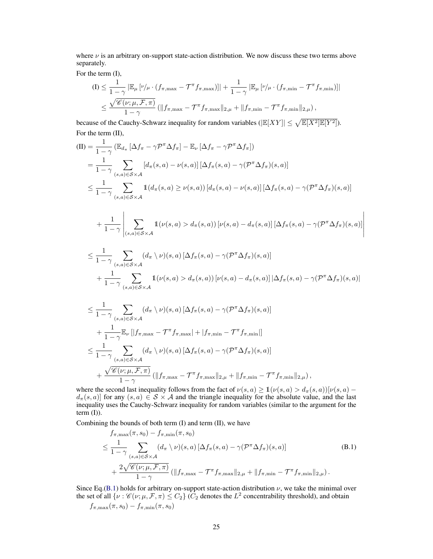where  $\nu$  is an arbitrary on-support state-action distribution. We now discuss these two terms above separately.

For the term (I),

$$
\begin{split} \text{(I)} &\leq \frac{1}{1-\gamma} \left| \mathbb{E}_{\mu} \left[ \nu / \mu \cdot (f_{\pi, \max} - \mathcal{T}^{\pi} f_{\pi, \max}) \right] \right| + \frac{1}{1-\gamma} \left| \mathbb{E}_{\mu} \left[ \nu / \mu \cdot (f_{\pi, \min} - \mathcal{T}^{\pi} f_{\pi, \min}) \right] \right| \\ &\leq \frac{\sqrt{\mathscr{C}}(\nu; \mu, \mathcal{F}, \pi)}{1-\gamma} \left( \| f_{\pi, \max} - \mathcal{T}^{\pi} f_{\pi, \max} \|_{2, \mu} + \| f_{\pi, \min} - \mathcal{T}^{\pi} f_{\pi, \min} \|_{2, \mu} \right), \end{split}
$$

because of the Cauchy-Schwarz inequality for random variables  $(|\mathbb{E}[XY]|\leq \sqrt{\mathbb{E}[X^2]\mathbb{E}[Y^2]})$ . For the term (II),

$$
\begin{split} \text{(II)} &= \frac{1}{1-\gamma} \left( \mathbb{E}_{d_{\pi}} \left[ \Delta f_{\pi} - \gamma \mathcal{P}^{\pi} \Delta f_{\pi} \right] - \mathbb{E}_{\nu} \left[ \Delta f_{\pi} - \gamma \mathcal{P}^{\pi} \Delta f_{\pi} \right] \right) \\ &= \frac{1}{1-\gamma} \sum_{(s,a) \in \mathcal{S} \times \mathcal{A}} \left[ d_{\pi}(s,a) - \nu(s,a) \right] \left[ \Delta f_{\pi}(s,a) - \gamma (\mathcal{P}^{\pi} \Delta f_{\pi})(s,a) \right] \\ &\leq \frac{1}{1-\gamma} \sum_{(s,a) \in \mathcal{S} \times \mathcal{A}} \mathbb{1}(d_{\pi}(s,a) \geq \nu(s,a)) \left[ d_{\pi}(s,a) - \nu(s,a) \right] \left[ \Delta f_{\pi}(s,a) - \gamma (\mathcal{P}^{\pi} \Delta f_{\pi})(s,a) \right] \end{split}
$$

$$
+\frac{1}{1-\gamma}\left|\sum_{(s,a)\in\mathcal{S}\times\mathcal{A}}\mathbb{1}(\nu(s,a)>d_{\pi}(s,a))\left[\nu(s,a)-d_{\pi}(s,a)\right]\left[\Delta f_{\pi}(s,a)-\gamma(\mathcal{P}^{\pi}\Delta f_{\pi})(s,a)\right]\right|
$$

$$
\leq \frac{1}{1-\gamma} \sum_{(s,a)\in S\times\mathcal{A}} (d_{\pi} \setminus \nu)(s,a) \left[\Delta f_{\pi}(s,a) - \gamma(\mathcal{P}^{\pi} \Delta f_{\pi})(s,a)\right] + \frac{1}{1-\gamma} \sum_{(s,a)\in S\times\mathcal{A}} \mathbb{1}(\nu(s,a) > d_{\pi}(s,a)) \left[\nu(s,a) - d_{\pi}(s,a)\right] \left|\Delta f_{\pi}(s,a) - \gamma(\mathcal{P}^{\pi} \Delta f_{\pi})(s,a)\right|
$$

$$
\leq \frac{1}{1-\gamma} \sum_{(s,a)\in S\times\mathcal{A}} (d_{\pi}\setminus\nu)(s,a) \left[\Delta f_{\pi}(s,a) - \gamma(\mathcal{P}^{\pi}\Delta f_{\pi})(s,a)\right] \n+ \frac{1}{1-\gamma} \mathbb{E}_{\nu} \left[|f_{\pi,\max} - \mathcal{T}^{\pi} f_{\pi,\max}| + |f_{\pi,\min} - \mathcal{T}^{\pi} f_{\pi,\min}|\right] \n\leq \frac{1}{1-\gamma} \sum_{(s,a)\in S\times\mathcal{A}} (d_{\pi}\setminus\nu)(s,a) \left[\Delta f_{\pi}(s,a) - \gamma(\mathcal{P}^{\pi}\Delta f_{\pi})(s,a)\right] \n+ \frac{\sqrt{\mathscr{C}(\nu;\mu,\mathcal{F},\pi)}}{1-\gamma} \left(\|f_{\pi,\max} - \mathcal{T}^{\pi} f_{\pi,\max}\|_{2,\mu} + \|f_{\pi,\min} - \mathcal{T}^{\pi} f_{\pi,\min}\|_{2,\mu}\right),
$$

where the second last inequality follows from the fact of  $\nu(s, a) \geq \mathbb{1}(\nu(s, a) > d_{\pi}(s, a))[\nu(s, a)$  $d_{\pi}(s, a)$  for any  $(s, a) \in S \times A$  and the triangle inequality for the absolute value, and the last inequality uses the Cauchy-Schwarz inequality for random variables (similar to the argument for the term  $(I)$ ).

Combining the bounds of both term  $(I)$  and term  $(II)$ , we have

<span id="page-24-0"></span>
$$
f_{\pi,\max}(\pi, s_0) - f_{\pi,\min}(\pi, s_0)
$$
  
\n
$$
\leq \frac{1}{1-\gamma} \sum_{(s,a)\in S\times\mathcal{A}} (d_{\pi} \setminus \nu)(s,a) \left[\Delta f_{\pi}(s,a) - \gamma(\mathcal{P}^{\pi}\Delta f_{\pi})(s,a)\right]
$$
(B.1)  
\n
$$
+ \frac{2\sqrt{\mathscr{C}(\nu;\mu,\mathcal{F},\pi)}}{1-\gamma} (\|f_{\pi,\max} - \mathcal{T}^{\pi} f_{\pi,\max}\|_{2,\mu} + \|f_{\pi,\min} - \mathcal{T}^{\pi} f_{\pi,\min}\|_{2,\mu}).
$$

Since Eq.[\(B.1\)](#page-24-0) holds for arbitrary on-support state-action distribution  $\nu$ , we take the minimal over the set of all  $\{\nu : \mathscr{C}(\nu;\mu,\mathcal{F},\pi) \leq C_2\}$  ( $\overline{C_2}$  denotes the  $L^2$  concentrability threshold), and obtain

$$
f_{\pi,\max}(\pi,s_0) - f_{\pi,\min}(\pi,s_0)
$$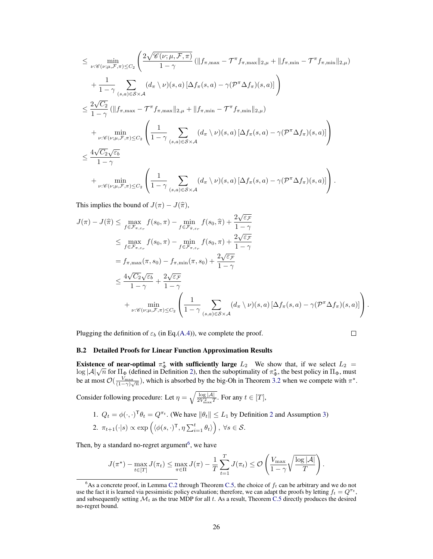$$
\leq \min_{\nu:\mathscr{C}(\nu;\mu,\mathcal{F},\pi)\leq C_{2}} \left( \frac{2\sqrt{\mathscr{C}(\nu;\mu,\mathcal{F},\pi)}}{1-\gamma} \left( \|f_{\pi,\max}-\mathcal{T}^{\pi}f_{\pi,\max}\|_{2,\mu} + \|f_{\pi,\min}-\mathcal{T}^{\pi}f_{\pi,\min}\|_{2,\mu} \right) \right) \n+ \frac{1}{1-\gamma} \sum_{(s,a)\in\mathcal{S}\times\mathcal{A}} (d_{\pi}\setminus\nu)(s,a) \left[\Delta f_{\pi}(s,a)-\gamma(\mathcal{P}^{\pi}\Delta f_{\pi})(s,a)\right] \n\leq \frac{2\sqrt{C_{2}}}{1-\gamma} \left( \|f_{\pi,\max}-\mathcal{T}^{\pi}f_{\pi,\max}\|_{2,\mu} + \|f_{\pi,\min}-\mathcal{T}^{\pi}f_{\pi,\min}\|_{2,\mu} \right) \n+ \min_{\nu:\mathscr{C}(\nu;\mu,\mathcal{F},\pi)\leq C_{2}} \left( \frac{1}{1-\gamma} \sum_{(s,a)\in\mathcal{S}\times\mathcal{A}} (d_{\pi}\setminus\nu)(s,a) \left[\Delta f_{\pi}(s,a)-\gamma(\mathcal{P}^{\pi}\Delta f_{\pi})(s,a)\right] \right) \n\leq \frac{4\sqrt{C_{2}}\sqrt{\varepsilon_{b}}}{1-\gamma} \n+ \min_{\nu:\mathscr{C}(\nu;\mu,\mathcal{F},\pi)\leq C_{2}} \left( \frac{1}{1-\gamma} \sum_{(s,a)\in\mathcal{S}\times\mathcal{A}} (d_{\pi}\setminus\nu)(s,a) \left[\Delta f_{\pi}(s,a)-\gamma(\mathcal{P}^{\pi}\Delta f_{\pi})(s,a)\right] \right).
$$

This implies the bound of  $J(\pi) - J(\hat{\pi}),$ 

$$
J(\pi) - J(\hat{\pi}) \leq \max_{f \in \mathcal{F}_{\pi, \varepsilon_r}} f(s_0, \pi) - \min_{f \in \mathcal{F}_{\hat{\pi}, \varepsilon_r}} f(s_0, \hat{\pi}) + \frac{2\sqrt{\varepsilon_r}}{1 - \gamma}
$$
  
\n
$$
\leq \max_{f \in \mathcal{F}_{\pi, \varepsilon_r}} f(s_0, \pi) - \min_{f \in \mathcal{F}_{\pi, \varepsilon_r}} f(s_0, \pi) + \frac{2\sqrt{\varepsilon_r}}{1 - \gamma}
$$
  
\n
$$
= f_{\pi, \max}(\pi, s_0) - f_{\pi, \min}(\pi, s_0) + \frac{2\sqrt{\varepsilon_r}}{1 - \gamma}
$$
  
\n
$$
\leq \frac{4\sqrt{C_2}\sqrt{\varepsilon_b}}{1 - \gamma} + \min_{\nu: \mathscr{C}(\nu; \mu, \mathcal{F}, \pi) \leq C_2} \left( \frac{1}{1 - \gamma} \sum_{(s, a) \in \mathcal{S} \times \mathcal{A}} (d_{\pi} \setminus \nu)(s, a) \left[ \Delta f_{\pi}(s, a) - \gamma(\mathcal{P}^{\pi} \Delta f_{\pi})(s, a) \right] \right).
$$

Plugging the definition of  $\varepsilon_b$  (in Eq.[\(A.4\)](#page-13-7)), we complete the proof.

$$
\qquad \qquad \Box
$$

#### <span id="page-25-0"></span>B.2 Detailed Proofs for Linear Function Approximation Results

**Existence of near-optimal**  $\pi_{\Phi}^*$  with sufficiently large  $L_2$  We show that, if we select  $L_2 = \log |\mathcal{A}| \sqrt{n}$  for  $\Pi_{\Phi}$  (defined in Definition [2\)](#page-6-3), then the suboptimality of  $\pi_{\Phi}^*$ , the best policy in  $\Pi_{\Phi}$ , be at most  $\mathcal{O}(\frac{V_{\text{max}}}{(1-\gamma)\sqrt{n}})$ , which is absorbed by the big-Oh in Theorem [3.2](#page-6-4) when we compete with  $\pi^*$ .

Consider following procedure: Let  $\eta = \sqrt{\frac{\log |\mathcal{A}|}{2V^2-1}}$  $\frac{\log |\mathcal{A}|}{2V_{\max}^2 T}$ . For any  $t \in [T]$ ,

1. 
$$
Q_t = \phi(\cdot, \cdot)^\mathsf{T} \theta_t = Q^{\pi_t}
$$
. (We have  $\|\theta_t\| \le L_1$  by Definition 2 and Assumption 3)  
2.  $\pi_{t+1}(\cdot|s) \propto \exp\left(\langle \phi(s, \cdot)^\mathsf{T}, \eta \sum_{i=1}^t \theta_t \rangle\right)$ ,  $\forall s \in \mathcal{S}$ .

Then, by a standard no-regret argument<sup>[6](#page-25-1)</sup>, we have

$$
J(\pi^*) - \max_{t \in [T]} J(\pi_t) \le \max_{\pi \in \Pi} J(\pi) - \frac{1}{T} \sum_{t=1}^T J(\pi_t) \le \mathcal{O}\left(\frac{V_{\text{max}}}{1 - \gamma} \sqrt{\frac{\log |\mathcal{A}|}{T}}\right).
$$

<span id="page-25-1"></span><sup>&</sup>lt;sup>6</sup>As a concrete proof, in Lemma [C.2](#page-28-0) through Theorem [C.5,](#page-30-0) the choice of  $f_t$  can be arbitrary and we do not use the fact it is learned via pessimistic policy evaluation; therefore, we can adapt the proofs by letting  $f_t = Q^{\pi_t}$ , and subsequently setting  $\mathcal{M}_t$  as the true MDP for all t. As a result, Theorem [C.5](#page-30-0) directly produces the desired no-regret bound.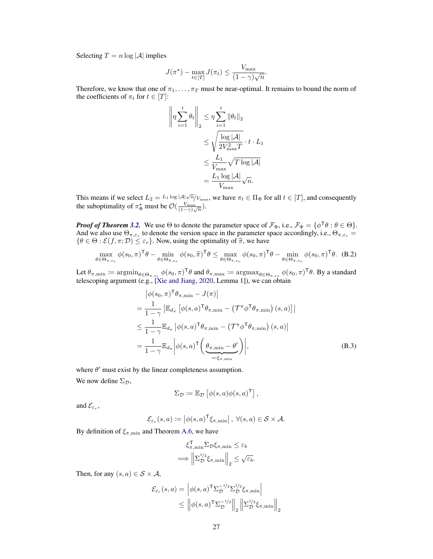Selecting  $T = n \log |\mathcal{A}|$  implies

$$
J(\pi^*) - \max_{t \in [T]} J(\pi_t) \le \frac{V_{\text{max}}}{(1 - \gamma)\sqrt{n}}
$$

<span id="page-26-1"></span>.

Therefore, we know that one of  $\pi_1, \ldots, \pi_T$  must be near-optimal. It remains to bound the norm of the coefficients of  $\pi_t$  for  $t \in [T]$ :

> $\parallel$ II II II  $\frac{1}{2}$

$$
\eta \sum_{i=1}^{t} \theta_{t} \Big|_{2} \leq \eta \sum_{i=1}^{t} \|\theta_{t}\|_{2}
$$

$$
\leq \sqrt{\frac{\log |\mathcal{A}|}{2V_{\text{max}}^{2}T}} \cdot t \cdot L_{1}
$$

$$
\leq \frac{L_{1}}{V_{\text{max}}}\sqrt{T \log |\mathcal{A}|}
$$

$$
= \frac{L_{1} \log |\mathcal{A}|}{V_{\text{max}}}\sqrt{n}.
$$

This means if we select  $L_2 = L_1 \log |\mathcal{A}| \sqrt{n}/v_{\text{max}}$ , we have  $\pi_t \in \Pi_{\Phi}$  for all  $t \in [T]$ , and consequently the suboptimality of  $\pi_{\Phi}^*$  must be  $\mathcal{O}(\frac{V_{\max}}{(1-\gamma)\sqrt{n}})$ .

*Proof of Theorem* [3.2.](#page-6-4) We use  $\Theta$  to denote the parameter space of  $\mathcal{F}_{\Phi}$ , i.e.,  $\mathcal{F}_{\Phi} = \{ \phi^{\mathsf{T}} \theta : \theta \in \Theta \}.$ And we also use  $\Theta_{\pi,\varepsilon_r}$  to denote the version space in the parameter space accordingly, i.e.,  $\Theta_{\pi,\varepsilon_r}$  =  $\{\theta \in \Theta : \mathcal{E}(f, \pi; \mathcal{D}) \le \varepsilon_r\}$ . Now, using the optimality of  $\hat{\pi}$ , we have

$$
\max_{\theta \in \Theta_{\pi,\varepsilon_r}} \phi(s_0, \pi)^{\mathsf{T}} \theta - \min_{\theta \in \Theta_{\hat{\pi},\varepsilon_r}} \phi(s_0, \hat{\pi})^{\mathsf{T}} \theta \le \max_{\theta \in \Theta_{\pi,\varepsilon_r}} \phi(s_0, \pi)^{\mathsf{T}} \theta - \min_{\theta \in \Theta_{\pi,\varepsilon_r}} \phi(s_0, \pi)^{\mathsf{T}} \theta. \tag{B.2}
$$

Let  $\theta_{\pi,\min} \coloneqq \mathrm{argmin}_{\theta \in \Theta_{\pi,\varepsilon_r}} \phi(s_0, \pi)^{\mathsf{T}} \theta$  and  $\theta_{\pi,\max} \coloneqq \mathrm{argmax}_{\theta \in \Theta_{\pi,\varepsilon_r}} \phi(s_0, \pi)^{\mathsf{T}} \theta$ . By a standard telescoping argument (e.g., [\[Xie and Jiang,](#page-11-7) [2020,](#page-11-7) Lemma 1]), we can obtain

$$
\begin{split}\n&\left|\phi(s_0, \pi)^{\mathsf{T}}\theta_{\pi, \min} - J(\pi)\right| \\
&= \frac{1}{1-\gamma} \left|\mathbb{E}_{d_{\pi}}\left[\phi(s, a)^{\mathsf{T}}\theta_{\pi, \min} - \left(\mathcal{T}^{\pi}\phi^{\mathsf{T}}\theta_{\pi, \min}\right)(s, a)\right]\right| \\
&\leq \frac{1}{1-\gamma} \mathbb{E}_{d_{\pi}}\left|\phi(s, a)^{\mathsf{T}}\theta_{\pi, \min} - \left(\mathcal{T}^{\pi}\phi^{\mathsf{T}}\theta_{\pi, \min}\right)(s, a)\right| \\
&= \frac{1}{1-\gamma} \mathbb{E}_{d_{\pi}}\left|\phi(s, a)^{\mathsf{T}}\left(\underbrace{\theta_{\pi, \min} - \theta'}_{=: \xi_{\pi, \min}}\right)\right|,\n\end{split} \tag{B.3}
$$

where  $\theta'$  must exist by the linear completeness assumption.

We now define  $\Sigma_{\mathcal{D}}$ ,

<span id="page-26-0"></span>
$$
\Sigma_{\mathcal{D}} \coloneqq \mathbb{E}_{\mathcal{D}}\left[\phi(s,a)\phi(s,a)^{\mathsf{T}}\right],
$$

and  $\mathcal{E}_{\varepsilon_r}$ ,

$$
\mathcal{E}_{\varepsilon_r}(s,a) \coloneqq \left| \phi(s,a)^\mathsf{T} \xi_{\pi,\min} \right|, \ \forall (s,a) \in \mathcal{S} \times \mathcal{A}.
$$

By definition of  $\xi_{\pi,\text{min}}$  and Theorem [A.6,](#page-21-4) we have

$$
\xi_{\pi,\min}^{\mathsf{T}} \Sigma_{\mathcal{D}} \xi_{\pi,\min} \leq \varepsilon_b
$$
  

$$
\Longrightarrow \left\| \Sigma_{\mathcal{D}}^{1/2} \xi_{\pi,\min} \right\|_2 \leq \sqrt{\varepsilon_b}.
$$

Then, for any  $(s, a) \in S \times A$ ,

$$
\mathcal{E}_{\varepsilon_r}(s, a) = \left| \phi(s, a)^{\mathsf{T}} \Sigma_{\mathcal{D}}^{-1/2} \Sigma_{\mathcal{D}}^{1/2} \xi_{\pi, \min} \right|
$$
  

$$
\leq \left\| \phi(s, a)^{\mathsf{T}} \Sigma_{\mathcal{D}}^{-1/2} \right\|_2 \left\| \Sigma_{\mathcal{D}}^{1/2} \xi_{\pi, \min} \right\|_2
$$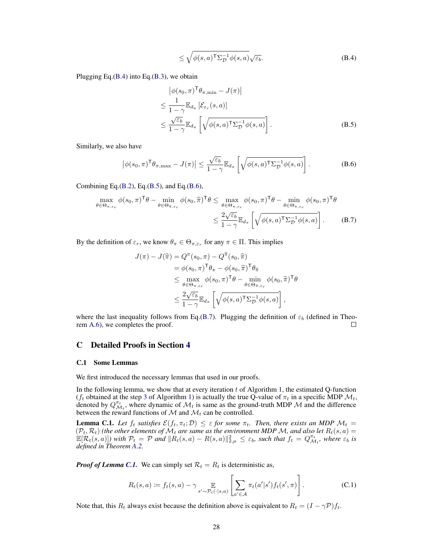<span id="page-27-2"></span><span id="page-27-1"></span>
$$
\leq \sqrt{\phi(s,a)^{\mathsf{T}} \Sigma_{\mathcal{D}}^{-1} \phi(s,a)} \sqrt{\varepsilon_b}.
$$
 (B.4)

Plugging Eq.[\(B.4\)](#page-27-1) into Eq.[\(B.3\)](#page-26-0), we obtain

<span id="page-27-3"></span>
$$
\begin{split} & \left| \phi(s_0, \pi)^{\mathsf{T}} \theta_{\pi, \min} - J(\pi) \right| \\ &\le \frac{1}{1 - \gamma} \mathbb{E}_{d_{\pi}} \left[ \mathcal{E}_{\varepsilon_r}(s, a) \right] \\ &\le \frac{\sqrt{\varepsilon_b}}{1 - \gamma} \mathbb{E}_{d_{\pi}} \left[ \sqrt{\phi(s, a)^{\mathsf{T}} \Sigma_{\mathcal{D}}^{-1} \phi(s, a)} \right]. \end{split} \tag{B.5}
$$

Similarly, we also have

$$
\left|\phi(s_0,\pi)^{\mathsf{T}}\theta_{\pi,\max} - J(\pi)\right| \leq \frac{\sqrt{\varepsilon_b}}{1-\gamma} \mathbb{E}_{d_{\pi}}\left[\sqrt{\phi(s,a)^{\mathsf{T}}\Sigma_{\mathcal{D}}^{-1}\phi(s,a)}\right].
$$
 (B.6)

Combining Eq. $(B.2)$ , Eq. $(B.5)$ , and Eq. $(B.6)$ ,

$$
\max_{\theta \in \Theta_{\pi,\varepsilon_r}} \phi(s_0, \pi)^{\mathsf{T}} \theta - \min_{\theta \in \Theta_{\hat{\pi},\varepsilon_r}} \phi(s_0, \hat{\pi})^{\mathsf{T}} \theta \le \max_{\theta \in \Theta_{\pi,\varepsilon_r}} \phi(s_0, \pi)^{\mathsf{T}} \theta - \min_{\theta \in \Theta_{\pi,\varepsilon_r}} \phi(s_0, \pi)^{\mathsf{T}} \theta
$$
\n
$$
\le \frac{2\sqrt{\varepsilon_b}}{1 - \gamma} \mathbb{E}_{d_{\pi}} \left[ \sqrt{\phi(s, a)^{\mathsf{T}} \Sigma_{\mathcal{D}}^{-1} \phi(s, a)} \right].
$$
\n(B.7)

By the definition of  $\varepsilon_r$ , we know  $\theta_\pi \in \Theta_{\pi,\varepsilon_r}$  for any  $\pi \in \Pi$ . This implies

<span id="page-27-4"></span>
$$
J(\pi) - J(\widehat{\pi}) = Q^{\pi}(s_0, \pi) - Q^{\widehat{\pi}}(s_0, \widehat{\pi})
$$
  
\n
$$
= \phi(s_0, \pi)^{\mathsf{T}} \theta_{\pi} - \phi(s_0, \widehat{\pi})^{\mathsf{T}} \theta_{\widehat{\pi}}
$$
  
\n
$$
\leq \max_{\theta \in \Theta_{\pi, \varepsilon_r}} \phi(s_0, \pi)^{\mathsf{T}} \theta - \min_{\theta \in \Theta_{\widehat{\pi}, \varepsilon_r}} \phi(s_0, \widehat{\pi})^{\mathsf{T}} \theta
$$
  
\n
$$
\leq \frac{2\sqrt{\varepsilon_b}}{1 - \gamma} \mathbb{E}_{d_{\pi}} \left[ \sqrt{\phi(s, a)^{\mathsf{T}} \Sigma_{\mathcal{D}}^{-1} \phi(s, a)} \right],
$$

where the last inequality follows from Eq.[\(B.7\)](#page-27-4). Plugging the definition of  $\varepsilon_b$  (defined in Theorem [A.6\)](#page-21-4), we completes the proof.  $\Box$ 

## <span id="page-27-0"></span>C Detailed Proofs in Section [4](#page-7-0)

#### C.1 Some Lemmas

We first introduced the necessary lemmas that used in our proofs.

In the following lemma, we show that at every iteration t of Algorithm [1,](#page-7-1) the estimated Q-function (f<sub>t</sub> obtained at the step [3](#page-7-1) of Algorithm [1\)](#page-7-1) is actually the true Q-value of  $\pi_t$  in a specific MDP  $\mathcal{M}_t$ , denoted by  $Q_{\mathcal{M}_t}^{\pi_t}$ , where dynamic of  $\mathcal{M}_t$  is same as the ground-truth MDP  $\mathcal M$  and the difference between the reward functions of  $M$  and  $M_t$  can be controlled.

<span id="page-27-5"></span>**Lemma C.1.** Let  $f_t$  satisfies  $\mathcal{E}(f_t, \pi_t; \mathcal{D}) \leq \varepsilon$  for some  $\pi_t$ . Then, there exists an MDP  $\mathcal{M}_t =$  $(\mathcal{P}_t, \mathcal{R}_t)$  *(the other elements of*  $\mathcal{M}_t$  *are same as the environment MDP*  $\mathcal{M}$ *, and also let*  $R_t(s, a)$  =  $\mathbb{E}[\mathcal{R}_t(s,a)]$  with  $\mathcal{P}_t = \mathcal{P}$  and  $\|\tilde{R}_t(s,a) - R(s,a)\|_{2,\mu}^2 \leq \varepsilon_b$ , such that  $f_t = Q_{\mathcal{M}_t}^{\pi_t}$ , where  $\varepsilon_b$  is *defined in Theorem [A.2.](#page-13-3)*

*Proof of Lemma [C.1.](#page-27-5)* We can simply set  $\mathcal{R}_t = R_t$  is deterministic as,

<span id="page-27-6"></span>
$$
R_t(s, a) := f_t(s, a) - \gamma \mathop{\mathbb{E}}_{s' \sim \mathcal{P}_t(\cdot | s, a)} \left[ \sum_{a' \in \mathcal{A}} \pi_t(a' | s') f_t(s', \pi) \right].
$$
 (C.1)

Note that, this  $R_t$  always exist because the definition above is equivalent to  $R_t = (I - \gamma \mathcal{P}) f_t$ .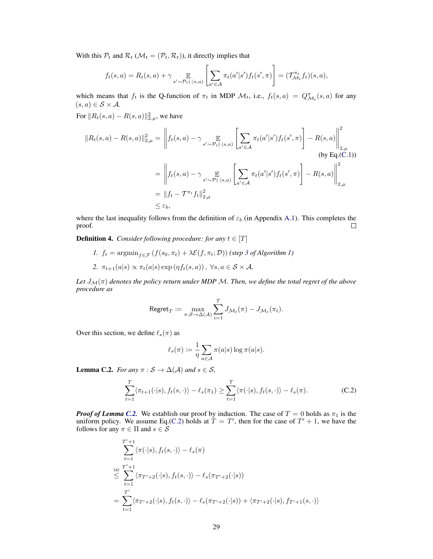With this  $P_t$  and  $\mathcal{R}_t$  ( $\mathcal{M}_t = (\mathcal{P}_t, \mathcal{R}_t)$ ), it directly implies that

$$
f_t(s,a) = R_t(s,a) + \gamma \mathop{\mathbb{E}}_{s' \sim \mathcal{P}_t(\cdot | s, a)} \left[ \sum_{a' \in \mathcal{A}} \pi_t(a' | s') f_t(s', \pi) \right] = (\mathcal{T}_{\mathcal{M}_t}^{\pi_t} f_t)(s,a),
$$

which means that  $f_t$  is the Q-function of  $\pi_t$  in MDP  $\mathcal{M}_t$ , i.e.,  $f_t(s, a) = Q_{\mathcal{M}_t}^{\pi}(s, a)$  for any  $(s, a) \in \mathcal{S} \times \mathcal{A}.$ 

For  $\|R_t(s,a) - R(s,a)\|_{2,\mu}^2$ , we have

$$
||R_t(s, a) - R(s, a)||_{2, \mu}^2 = \left\| f_t(s, a) - \gamma \mathop{\mathbb{E}}_{s' \sim \mathcal{P}_t(\cdot | s, a)} \left[ \sum_{a' \in \mathcal{A}} \pi_t(a' | s') f_t(s', \pi) \right] - R(s, a) \right\|_{2, \mu}^2
$$
\n
$$
= \left\| f_t(s, a) - \gamma \mathop{\mathbb{E}}_{s' \sim \mathcal{P}(\cdot | s, a)} \left[ \sum_{a' \in \mathcal{A}} \pi_t(a' | s') f_t(s', \pi) \right] - R(s, a) \right\|_{2, \mu}^2
$$
\n
$$
= ||f_t - \mathcal{T}^{\pi_t} f_t||_{2, \mu}^2
$$
\n
$$
\leq \varepsilon_b,
$$

where the last inequality follows from the definition of  $\varepsilon_b$  (in Appendix [A.1\)](#page-13-1). This completes the proof. proof.

**Definition 4.** *Consider following procedure: for any*  $t \in [T]$ 

*1.*  $f_t = \operatorname{argmin}_{f \in \mathcal{F}} (f(s_0, \pi_t) + \lambda \mathcal{E}(f, \pi_t; \mathcal{D}))$  *(step [3](#page-7-1) of Algorithm [1\)](#page-7-1)* 2.  $\pi_{t+1}(a|s) \propto \pi_t(a|s) \exp \left(\eta f_t(s,a)\right), \ \forall s, a \in \mathcal{S} \times \mathcal{A}$ .

Let  $J_{\mathcal{M}}(\pi)$  denotes the policy return under MDP M. Then, we define the total regret of the above *procedure as*

$$
\mathsf{Regret}_T := \max_{\pi:\mathcal{S}\rightarrow\Delta(\mathcal{A})}\sum_{i=1}^T J_{\mathcal{M}_t}(\pi) - J_{\mathcal{M}_t}(\pi_t).
$$

Over this section, we define  $\ell_s(\pi)$  as

<span id="page-28-1"></span>
$$
\ell_s(\pi) := \frac{1}{\eta} \sum_{a \in \mathcal{A}} \pi(a|s) \log \pi(a|s).
$$

<span id="page-28-0"></span>**Lemma C.2.** *For any*  $\pi$  :  $S \rightarrow \Delta(\mathcal{A})$  *and*  $s \in S$ *,* 

$$
\sum_{t=1}^{T} \langle \pi_{t+1}(\cdot|s), f_t(s, \cdot) \rangle - \ell_s(\pi_1) \ge \sum_{t=1}^{T} \langle \pi(\cdot|s), f_t(s, \cdot) \rangle - \ell_s(\pi). \tag{C.2}
$$

*Proof of Lemma [C.2.](#page-28-0)* We establish our proof by induction. The case of  $T = 0$  holds as  $\pi_1$  is the uniform policy. We assume Eq.[\(C.2\)](#page-28-1) holds at  $T = T'$ , then for the case of  $T' + 1$ , we have the follows for any  $\pi \in \Pi$  and  $s \in \overline{S}$ 

$$
\sum_{t=1}^{T'+1} \langle \pi(\cdot|s), f_t(s, \cdot) \rangle - \ell_s(\pi)
$$
\n(a) 
$$
\sum_{t=1}^{T'+1} \langle \pi_{T'+2}(\cdot|s), f_t(s, \cdot) \rangle - \ell_s(\pi_{T'+2}(\cdot|s))
$$
\n
$$
= \sum_{t=1}^{T'} \langle \pi_{T'+2}(\cdot|s), f_t(s, \cdot) \rangle - \ell_s(\pi_{T'+2}(\cdot|s)) + \langle \pi_{T'+2}(\cdot|s), f_{T'+1}(s, \cdot) \rangle
$$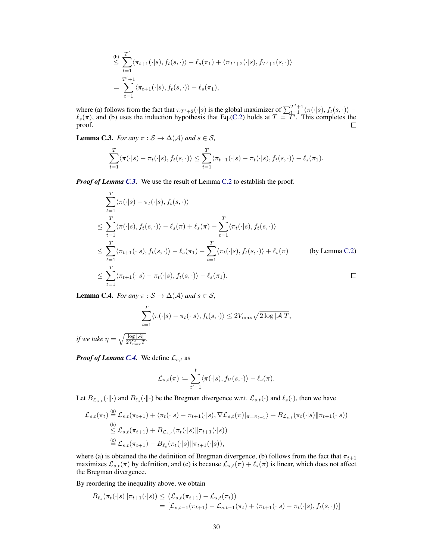$$
\stackrel{\text{(b)}}{\leq} \sum_{t=1}^{T'} \langle \pi_{t+1}(\cdot|s), f_t(s, \cdot) \rangle - \ell_s(\pi_1) + \langle \pi_{T'+2}(\cdot|s), f_{T'+1}(s, \cdot) \rangle
$$
\n
$$
= \sum_{t=1}^{T'+1} \langle \pi_{t+1}(\cdot|s), f_t(s, \cdot) \rangle - \ell_s(\pi_1),
$$

where (a) follows from the fact that  $\pi_{T'+2}(\cdot|s)$  is the global maximizer of  $\sum_{t=1}^{T'+1} \langle \pi(\cdot|s), f_t(s, \cdot) \rangle$  –  $\ell_s(\pi)$ , and (b) uses the induction hypothesis that Eq.[\(C.2\)](#page-28-1) holds at  $T = T^7$ . This completes the proof.

<span id="page-29-0"></span>**Lemma C.3.** *For any*  $\pi$  :  $S \rightarrow \Delta(\mathcal{A})$  *and*  $s \in S$ *,* 

$$
\sum_{t=1}^T \langle \pi(\cdot|s) - \pi_t(\cdot|s), f_t(s, \cdot) \rangle \leq \sum_{t=1}^T \langle \pi_{t+1}(\cdot|s) - \pi_t(\cdot|s), f_t(s, \cdot) \rangle - \ell_s(\pi_1).
$$

*Proof of Lemma [C.3.](#page-29-0)* We use the result of Lemma [C.2](#page-28-0) to establish the proof.

$$
\sum_{t=1}^{T} \langle \pi(\cdot|s) - \pi_t(\cdot|s), f_t(s, \cdot) \rangle
$$
\n
$$
\leq \sum_{t=1}^{T} \langle \pi(\cdot|s), f_t(s, \cdot) \rangle - \ell_s(\pi) + \ell_s(\pi) - \sum_{t=1}^{T} \langle \pi_t(\cdot|s), f_t(s, \cdot) \rangle
$$
\n
$$
\leq \sum_{t=1}^{T} \langle \pi_{t+1}(\cdot|s), f_t(s, \cdot) \rangle - \ell_s(\pi_1) - \sum_{t=1}^{T} \langle \pi_t(\cdot|s), f_t(s, \cdot) \rangle + \ell_s(\pi) \qquad \text{(by Lemma C.2)}
$$
\n
$$
\leq \sum_{t=1}^{T} \langle \pi_{t+1}(\cdot|s) - \pi_t(\cdot|s), f_t(s, \cdot) \rangle - \ell_s(\pi_1).
$$

<span id="page-29-1"></span>**Lemma C.4.** *For any*  $\pi$  :  $S \rightarrow \Delta(\mathcal{A})$  *and*  $s \in S$ *,* 

$$
\sum_{t=1}^{T} \langle \pi(\cdot|s) - \pi_t(\cdot|s), f_t(s, \cdot) \rangle \le 2V_{\text{max}} \sqrt{2 \log |\mathcal{A}|T},
$$

*if we take*  $\eta = \sqrt{\frac{\log |\mathcal{A}|}{2V^2 - 7}}$  $rac{\log |\mathcal{A}|}{2V_{\max}^2 T}$ .

*Proof of Lemma [C.4.](#page-29-1)* We define  $\mathcal{L}_{s,t}$  as

$$
\mathcal{L}_{s,t}(\pi) \coloneqq \sum_{t'=1}^t \langle \pi(\cdot|s), f_{t'}(s, \cdot) \rangle - \ell_s(\pi).
$$

Let  $B_{\mathcal{L}_{s,t}}(\cdot||\cdot)$  and  $B_{\ell_s}(\cdot||\cdot)$  be the Bregman divergence w.r.t.  $\mathcal{L}_{s,t}(\cdot)$  and  $\ell_s(\cdot)$ , then we have

$$
\mathcal{L}_{s,t}(\pi_t) \stackrel{\text{(a)}}{=} \mathcal{L}_{s,t}(\pi_{t+1}) + \langle \pi_t(\cdot|s) - \pi_{t+1}(\cdot|s), \nabla \mathcal{L}_{s,t}(\pi)|_{\pi = \pi_{t+1}} \rangle + B_{\mathcal{L}_{s,t}}(\pi_t(\cdot|s) || \pi_{t+1}(\cdot|s))
$$
\n
$$
\stackrel{\text{(b)}}{\leq} \mathcal{L}_{s,t}(\pi_{t+1}) + B_{\mathcal{L}_{s,t}}(\pi_t(\cdot|s) || \pi_{t+1}(\cdot|s))
$$
\n
$$
\stackrel{\text{(c)}}{=} \mathcal{L}_{s,t}(\pi_{t+1}) - B_{\ell_s}(\pi_t(\cdot|s) || \pi_{t+1}(\cdot|s)),
$$

where (a) is obtained the the definition of Bregman divergence, (b) follows from the fact that  $\pi_{t+1}$ maximizes  $\mathcal{L}_{s,t}(\pi)$  by definition, and (c) is because  $\mathcal{L}_{s,t}(\pi) + \ell_s(\pi)$  is linear, which does not affect the Bregman divergence.

By reordering the inequality above, we obtain

$$
B_{\ell_s}(\pi_t(\cdot|s) || \pi_{t+1}(\cdot|s)) \leq (\mathcal{L}_{s,t}(\pi_{t+1}) - \mathcal{L}_{s,t}(\pi_t))
$$
  
=  $[\mathcal{L}_{s,t-1}(\pi_{t+1}) - \mathcal{L}_{s,t-1}(\pi_t) + \langle \pi_{t+1}(\cdot|s) - \pi_t(\cdot|s), f_t(s, \cdot) \rangle]$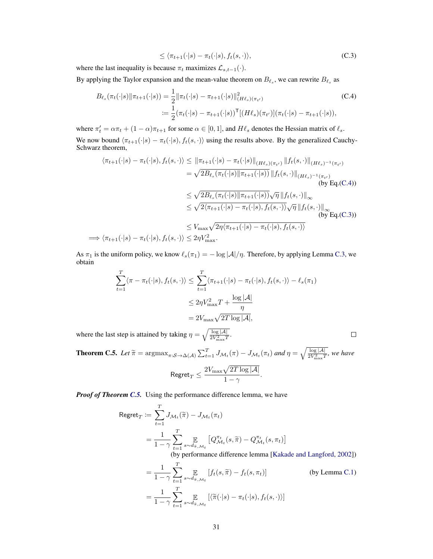<span id="page-30-2"></span><span id="page-30-1"></span>
$$
\leq \langle \pi_{t+1}(\cdot|s) - \pi_t(\cdot|s), f_t(s, \cdot) \rangle, \tag{C.3}
$$

where the last inequality is because  $\pi_t$  maximizes  $\mathcal{L}_{s,t-1}(\cdot)$ .

By applying the Taylor expansion and the mean-value theorem on  $B_{\ell_s}$ , we can rewrite  $B_{\ell_s}$  as

$$
B_{\ell_s}(\pi_t(\cdot|s)||\pi_{t+1}(\cdot|s)) = \frac{1}{2} ||\pi_t(\cdot|s) - \pi_{t+1}(\cdot|s)||^2_{(H\ell_s)(\pi_{t'})}
$$
(C.4)  

$$
:= \frac{1}{2} (\pi_t(\cdot|s) - \pi_{t+1}(\cdot|s))^{\mathsf{T}} [(H\ell_s)(\pi_{t'})](\pi_t(\cdot|s) - \pi_{t+1}(\cdot|s)),
$$

where  $\pi'_t = \alpha \pi_t + (1 - \alpha) \pi_{t+1}$  for some  $\alpha \in [0, 1]$ , and  $H\ell_s$  denotes the Hessian matrix of  $\ell_s$ . We now bound  $\langle \pi_{t+1}(\cdot|s) - \pi_t(\cdot|s), f_t(s, \cdot) \rangle$  using the results above. By the generalized Cauchy-Schwarz theorem,

$$
\langle \pi_{t+1}(\cdot|s) - \pi_t(\cdot|s), f_t(s, \cdot) \rangle \leq \|\pi_{t+1}(\cdot|s) - \pi_t(\cdot|s)\|_{(H\ell_s)(\pi_{t'})} \|f_t(s, \cdot)\|_{(H\ell_s)^{-1}(\pi_{t'})}
$$
  
\n
$$
= \sqrt{2B_{\ell_s}(\pi_t(\cdot|s)\|\pi_{t+1}(\cdot|s))} \|f_t(s, \cdot)\|_{(H\ell_s)^{-1}(\pi_{t'})}
$$
  
\n
$$
\leq \sqrt{2B_{\ell_s}(\pi_t(\cdot|s)\|\pi_{t+1}(\cdot|s))} \sqrt{\eta} \|f_t(s, \cdot)\|_{\infty}
$$
  
\n
$$
\leq \sqrt{2\langle \pi_{t+1}(\cdot|s) - \pi_t(\cdot|s), f_t(s, \cdot) \rangle} \sqrt{\eta} \|f_t(s, \cdot)\|_{\infty}
$$
  
\n
$$
\leq V_{\max} \sqrt{2\eta \langle \pi_{t+1}(\cdot|s) - \pi_t(\cdot|s), f_t(s, \cdot) \rangle}
$$
  
\n
$$
\implies \langle \pi_{t+1}(\cdot|s) - \pi_t(\cdot|s), f_t(s, \cdot) \rangle \leq 2\eta V_{\max}^2.
$$

As  $\pi_1$  is the uniform policy, we know  $\ell_s(\pi_1) = -\log |\mathcal{A}|/\eta$ . Therefore, by applying Lemma [C.3,](#page-29-0) we obtain

$$
\sum_{t=1}^{T} \langle \pi - \pi_t(\cdot | s), f_t(s, \cdot) \rangle \le \sum_{t=1}^{T} \langle \pi_{t+1}(\cdot | s) - \pi_t(\cdot | s), f_t(s, \cdot) \rangle - \ell_s(\pi_1)
$$
  

$$
\le 2\eta V_{\text{max}}^2 T + \frac{\log |\mathcal{A}|}{\eta}
$$
  

$$
= 2V_{\text{max}} \sqrt{2T \log |\mathcal{A}|},
$$

where the last step is attained by taking  $\eta = \sqrt{\frac{\log |\mathcal{A}|}{2V^2}}$  $\frac{\log |\mathcal{A}|}{2V_{\max}^2 T}$ .

<span id="page-30-0"></span>**Theorem C.5.** Let  $\widetilde{\pi} = \arg \max_{\pi: \mathcal{S} \to \Delta(\mathcal{A})} \sum_{t=1}^T J_{\mathcal{M}_t}(\pi) - J_{\mathcal{M}_t}(\pi_t)$  and  $\eta = \sqrt{\frac{\log |\mathcal{A}|}{2V_{\max}^2}}$  $\frac{\log |\mathcal{A}|}{2V_{\max}^2 T}$ , we have  $\mathsf{Regret}_T \leq \frac{2V_{\max}\sqrt{2T\log|\mathcal{A}|}}{1-\gamma}$  $\frac{\sqrt{27 \log |\mathcal{F}|}}{1-\gamma}.$ 

*Proof of Theorem [C.5.](#page-30-0)* Using the performance difference lemma, we have

Regret<sub>T</sub> := 
$$
\sum_{t=1}^{T} J_{\mathcal{M}_t}(\tilde{\pi}) - J_{\mathcal{M}_t}(\pi_t)
$$
  
\n=  $\frac{1}{1 - \gamma} \sum_{t=1}^{T} \mathop{\mathbb{E}}_{s \sim d_{\tilde{\pi}, \mathcal{M}_t}} [Q_{\mathcal{M}_t}^{\pi_t}(s, \tilde{\pi}) - Q_{\mathcal{M}_t}^{\pi_t}(s, \pi_t)]$   
\n(by performance difference lemma [Kakade and Langford, 2002])  
\n=  $\frac{1}{1 - \gamma} \sum_{t=1}^{T} \mathop{\mathbb{E}}_{s \sim d_{\tilde{\pi}, \mathcal{M}_t}} [f_t(s, \tilde{\pi}) - f_t(s, \pi_t)]$  (by Lemma C.1)

 $\Box$ 

$$
= \frac{1}{1-\gamma} \sum_{t=1}^{T} \sum_{s \sim d_{\tilde{\pi}, \mathcal{M}_t}} [f_t(s, \pi) - f_t(s, \pi_t)] \qquad \text{(by Lemma)}
$$

$$
= \frac{1}{1-\gamma} \sum_{t=1}^{T} \sum_{s \sim d_{\tilde{\pi}, \mathcal{M}_t}} [ \langle \tilde{\pi}(\cdot|s) - \pi_t(\cdot|s), f_t(s, \cdot) \rangle ]
$$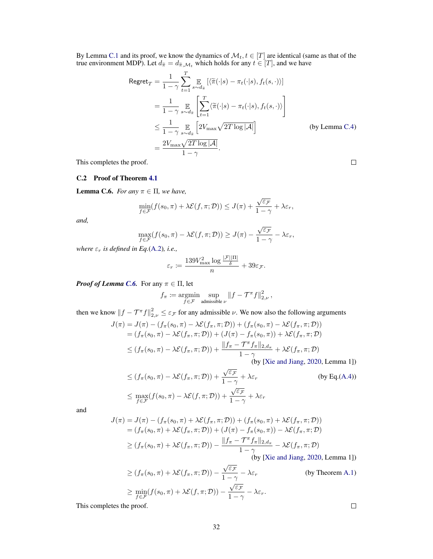By Lemma [C.1](#page-27-5) and its proof, we know the dynamics of  $\mathcal{M}_t, t \in [T]$  are identical (same as that of the true environment MDP). Let  $d_{\tilde{\pi}} = d_{\tilde{\pi}, \mathcal{M}_t}$  which holds for any  $t \in [T]$ , and we have

$$
\begin{split} \text{Regret}_{T} &= \frac{1}{1-\gamma} \sum_{t=1}^{T} \mathop{\mathbb{E}}_{s \sim d_{\widetilde{\pi}}} \left[ \langle \widetilde{\pi}(\cdot|s) - \pi_{t}(\cdot|s), f_{t}(s, \cdot) \rangle \right] \\ &= \frac{1}{1-\gamma} \mathop{\mathbb{E}}_{s \sim d_{\widetilde{\pi}}} \left[ \sum_{t=1}^{T} \langle \widetilde{\pi}(\cdot|s) - \pi_{t}(\cdot|s), f_{t}(s, \cdot) \rangle \right] \\ &\leq \frac{1}{1-\gamma} \mathop{\mathbb{E}}_{s \sim d_{\widetilde{\pi}}} \left[ 2V_{\text{max}} \sqrt{2T \log |\mathcal{A}|} \right] \end{split} \tag{by Lemma C.4}
$$
\n
$$
= \frac{2V_{\text{max}} \sqrt{2T \log |\mathcal{A}|}}{1-\gamma}.
$$

This completes the proof.

 $\Box$ 

## C.2 Proof of Theorem [4.1](#page-7-3)

<span id="page-31-0"></span>**Lemma C.6.** *For any*  $\pi \in \Pi$ *, we have,* 

$$
\min_{f \in \mathcal{F}} (f(s_0, \pi) + \lambda \mathcal{E}(f, \pi; \mathcal{D})) \leq J(\pi) + \frac{\sqrt{\varepsilon_F}}{1 - \gamma} + \lambda \varepsilon_r,
$$

*and,*

$$
\max_{f \in \mathcal{F}} (f(s_0, \pi) - \lambda \mathcal{E}(f, \pi; \mathcal{D})) \geq J(\pi) - \frac{\sqrt{\varepsilon_{\mathcal{F}}}}{1 - \gamma} - \lambda \varepsilon_r,
$$

*where*  $\varepsilon_r$  *is defined in Eq.*[\(A.2\)](#page-13-6)*, i.e.*,

$$
\varepsilon_r \coloneqq \frac{139 V_{\text{max}}^2 \log \frac{|\mathcal{F}||\Pi|}{\delta}}{n} + 39 \varepsilon_{\mathcal{F}}.
$$

*Proof of Lemma [C.6.](#page-31-0)* For any  $\pi \in \Pi$ , let

$$
f_{\pi} \coloneqq \underset{f \in \mathcal{F}}{\operatorname{argmin}} \sup_{\text{admissible } \nu} \|f - \mathcal{T}^{\pi} f\|_{2, \nu}^2,
$$

then we know  $||f - \mathcal{T}^{\pi} f||_{2,\nu}^2 \leq \varepsilon_{\mathcal{F}}$  for any admissible  $\nu$ . We now also the following arguments

$$
J(\pi) = J(\pi) - (f_{\pi}(s_0, \pi) - \lambda \mathcal{E}(f_{\pi}, \pi; \mathcal{D})) + (f_{\pi}(s_0, \pi) - \lambda \mathcal{E}(f_{\pi}, \pi; \mathcal{D}))
$$
  
\n
$$
= (f_{\pi}(s_0, \pi) - \lambda \mathcal{E}(f_{\pi}, \pi; \mathcal{D})) + (J(\pi) - f_{\pi}(s_0, \pi)) + \lambda \mathcal{E}(f_{\pi}, \pi; \mathcal{D})
$$
  
\n
$$
\leq (f_{\pi}(s_0, \pi) - \lambda \mathcal{E}(f_{\pi}, \pi; \mathcal{D})) + \frac{\|f_{\pi} - \mathcal{T}^{\pi} f_{\pi}\|_{2, d_{\pi}}}{1 - \gamma} + \lambda \mathcal{E}(f_{\pi}, \pi; \mathcal{D})
$$
  
\n(by [Xie and Jiang, 2020, Lemma 1])

$$
\leq (f_{\pi}(s_0, \pi) - \lambda \mathcal{E}(f_{\pi}, \pi; \mathcal{D})) + \frac{\sqrt{\varepsilon_{\mathcal{F}}}}{1 - \gamma} + \lambda \varepsilon_r
$$
 (by Eq.(A.4))  

$$
\leq \max_{f \in \mathcal{F}} (f(s_0, \pi) - \lambda \mathcal{E}(f, \pi; \mathcal{D})) + \frac{\sqrt{\varepsilon_{\mathcal{F}}}}{1 - \gamma} + \lambda \varepsilon_r
$$

and

$$
J(\pi) = J(\pi) - (f_{\pi}(s_0, \pi) + \lambda \mathcal{E}(f_{\pi}, \pi; \mathcal{D})) + (f_{\pi}(s_0, \pi) + \lambda \mathcal{E}(f_{\pi}, \pi; \mathcal{D}))
$$
  
\n
$$
= (f_{\pi}(s_0, \pi) + \lambda \mathcal{E}(f_{\pi}, \pi; \mathcal{D})) + (J(\pi) - f_{\pi}(s_0, \pi)) - \lambda \mathcal{E}(f_{\pi}, \pi; \mathcal{D})
$$
  
\n
$$
\geq (f_{\pi}(s_0, \pi) + \lambda \mathcal{E}(f_{\pi}, \pi; \mathcal{D})) - \frac{\|f_{\pi} - \mathcal{T}^{\pi} f_{\pi}\|_{2, d_{\pi}}}{1 - \gamma} - \lambda \mathcal{E}(f_{\pi}, \pi; \mathcal{D})
$$
  
\n(by [Xie and Jiang, 2020, Lemma 1])

$$
\geq (f_{\pi}(s_0, \pi) + \lambda \mathcal{E}(f_{\pi}, \pi; \mathcal{D})) - \frac{\sqrt{\varepsilon_{\mathcal{F}}}}{1 - \gamma} - \lambda \varepsilon_r \qquad \text{(by Theorem A.1)}
$$
  

$$
\geq \min_{f \in \mathcal{F}} (f(s_0, \pi) + \lambda \mathcal{E}(f, \pi; \mathcal{D})) - \frac{\sqrt{\varepsilon_{\mathcal{F}}}}{1 - \gamma} - \lambda \varepsilon_r.
$$

This completes the proof.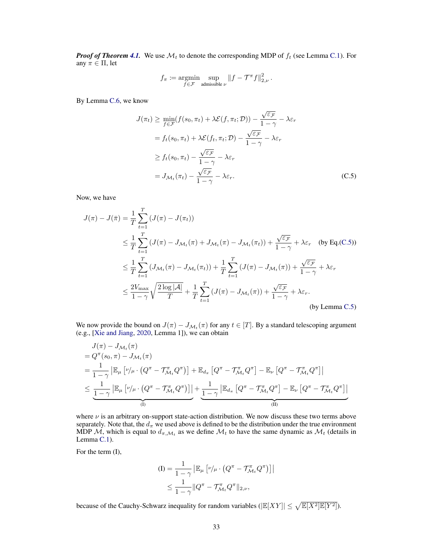*Proof of Theorem [4.1.](#page-7-3)* We use  $\mathcal{M}_t$  to denote the corresponding MDP of  $f_t$  (see Lemma [C.1\)](#page-27-5). For any  $\pi \in \Pi$ , let

<span id="page-32-0"></span>
$$
f_{\pi} \coloneqq \underset{f \in \mathcal{F}}{\operatorname{argmin}} \ \underset{\text{admissible } \nu}{\sup} \left\|f - \mathcal{T}^{\pi}f\right\|_{2, \nu}^2.
$$

By Lemma [C.6,](#page-31-0) we know

$$
J(\pi_t) \ge \min_{f \in \mathcal{F}} (f(s_0, \pi_t) + \lambda \mathcal{E}(f, \pi_t; \mathcal{D})) - \frac{\sqrt{\varepsilon_F}}{1 - \gamma} - \lambda \varepsilon_r
$$
  
=  $f_t(s_0, \pi_t) + \lambda \mathcal{E}(f_t, \pi_t; \mathcal{D}) - \frac{\sqrt{\varepsilon_F}}{1 - \gamma} - \lambda \varepsilon_r$   

$$
\ge f_t(s_0, \pi_t) - \frac{\sqrt{\varepsilon_F}}{1 - \gamma} - \lambda \varepsilon_r
$$
  
=  $J_{\mathcal{M}_t}(\pi_t) - \frac{\sqrt{\varepsilon_F}}{1 - \gamma} - \lambda \varepsilon_r.$  (C.5)

Now, we have

$$
J(\pi) - J(\bar{\pi}) = \frac{1}{T} \sum_{t=1}^{T} (J(\pi) - J(\pi_t))
$$
  
\n
$$
\leq \frac{1}{T} \sum_{t=1}^{T} (J(\pi) - J_{\mathcal{M}_t}(\pi) + J_{\mathcal{M}_t}(\pi) - J_{\mathcal{M}_t}(\pi_t)) + \frac{\sqrt{\varepsilon_{\mathcal{F}}}}{1 - \gamma} + \lambda \varepsilon_r \quad \text{(by Eq.(C.5))}
$$
  
\n
$$
\leq \frac{1}{T} \sum_{t=1}^{T} (J_{\mathcal{M}_t}(\pi) - J_{\mathcal{M}_t}(\pi_t)) + \frac{1}{T} \sum_{t=1}^{T} (J(\pi) - J_{\mathcal{M}_t}(\pi)) + \frac{\sqrt{\varepsilon_{\mathcal{F}}}}{1 - \gamma} + \lambda \varepsilon_r
$$
  
\n
$$
\leq \frac{2V_{\text{max}}}{1 - \gamma} \sqrt{\frac{2 \log |\mathcal{A}|}{T}} + \frac{1}{T} \sum_{t=1}^{T} (J(\pi) - J_{\mathcal{M}_t}(\pi)) + \frac{\sqrt{\varepsilon_{\mathcal{F}}}}{1 - \gamma} + \lambda \varepsilon_r.
$$
  
\n(by Lemma C.5)

We now provide the bound on  $J(\pi) - J_{\mathcal{M}_t}(\pi)$  for any  $t \in [T]$ . By a standard telescoping argument (e.g., [\[Xie and Jiang,](#page-11-7) [2020,](#page-11-7) Lemma 1]), we can obtain

$$
J(\pi) - J_{\mathcal{M}_t}(\pi)
$$
  
=  $Q^{\pi}(s_0, \pi) - J_{\mathcal{M}_t}(\pi)$   
=  $\frac{1}{1-\gamma} |\mathbb{E}_{\mu} [V_{\mu} \cdot (Q^{\pi} - \mathcal{T}_{\mathcal{M}_t}^{\pi} Q^{\pi})] + \mathbb{E}_{d_{\pi}} [Q^{\pi} - \mathcal{T}_{\mathcal{M}_t}^{\pi} Q^{\pi}] - \mathbb{E}_{\nu} [Q^{\pi} - \mathcal{T}_{\mathcal{M}_t}^{\pi} Q^{\pi}]|$   
 $\leq \underbrace{\frac{1}{1-\gamma} |\mathbb{E}_{\mu} [V_{\mu} \cdot (Q^{\pi} - \mathcal{T}_{\mathcal{M}_t}^{\pi} Q^{\pi})]|}_{(1)}$  +  $\underbrace{\frac{1}{1-\gamma} |\mathbb{E}_{d_{\pi}} [Q^{\pi} - \mathcal{T}_{\mathcal{M}_t}^{\pi} Q^{\pi}] - \mathbb{E}_{\nu} [Q^{\pi} - \mathcal{T}_{\mathcal{M}_t}^{\pi} Q^{\pi}]|}_{(II)}$ 

where  $\nu$  is an arbitrary on-support state-action distribution. We now discuss these two terms above separately. Note that, the  $d_{\pi}$  we used above is defined to be the distribution under the true environment MDP M, which is equal to  $d_{\pi,\mathcal{M}_t}$  as we define  $\mathcal{M}_t$  to have the same dynamic as  $\mathcal{M}_t$  (details in Lemma [C.1\)](#page-27-5).

For the term (I),

$$
\begin{aligned} \text{(I)} &= \frac{1}{1-\gamma} \left| \mathbb{E}_{\mu} \left[ \nu / \mu \cdot \left( Q^{\pi} - \mathcal{T}_{\mathcal{M}_t}^{\pi} Q^{\pi} \right) \right] \right| \\ &\leq \frac{1}{1-\gamma} \| Q^{\pi} - \mathcal{T}_{\mathcal{M}_t}^{\pi} Q^{\pi} \|_{2, \nu}, \end{aligned}
$$

because of the Cauchy-Schwarz inequality for random variables  $(|\mathbb{E}[XY]|\leq \sqrt{\mathbb{E}[X^2]\mathbb{E}[Y^2]})$ .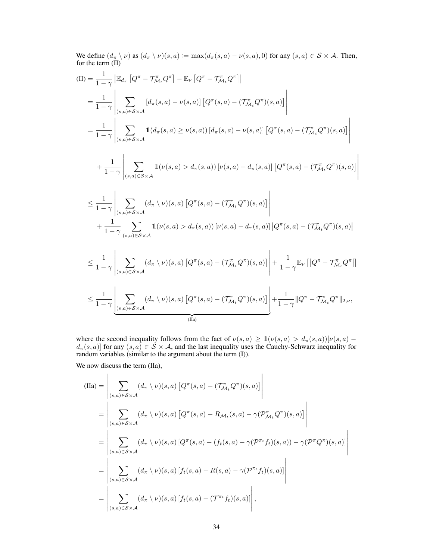We define  $(d_{\pi} \setminus \nu)$  as  $(d_{\pi} \setminus \nu)(s, a) \coloneqq \max(d_{\pi}(s, a) - \nu(s, a), 0)$  for any  $(s, a) \in S \times A$ . Then, for the term (II)

$$
(II) = \frac{1}{1-\gamma} \left| \mathbb{E}_{d_{\pi}} \left[ Q^{\pi} - \mathcal{T}_{\mathcal{M}_{t}}^{\pi} Q^{\pi} \right] - \mathbb{E}_{\nu} \left[ Q^{\pi} - \mathcal{T}_{\mathcal{M}_{t}}^{\pi} Q^{\pi} \right] \right|
$$
  
\n
$$
= \frac{1}{1-\gamma} \left| \sum_{(s,a)\in S\times\mathcal{A}} \left[ d_{\pi}(s,a) - \nu(s,a) \right] \left[ Q^{\pi}(s,a) - (\mathcal{T}_{\mathcal{M}_{t}}^{\pi} Q^{\pi})(s,a) \right] \right|
$$
  
\n
$$
= \frac{1}{1-\gamma} \left| \sum_{(s,a)\in S\times\mathcal{A}} \mathbb{1}(d_{\pi}(s,a) \geq \nu(s,a)) \left[ d_{\pi}(s,a) - \nu(s,a) \right] \left[ Q^{\pi}(s,a) - (\mathcal{T}_{\mathcal{M}_{t}}^{\pi} Q^{\pi})(s,a) \right] \right|
$$
  
\n
$$
+ \frac{1}{1-\gamma} \left| \sum_{(s,a)\in S\times\mathcal{A}} \mathbb{1}(\nu(s,a) > d_{\pi}(s,a)) \left[ \nu(s,a) - d_{\pi}(s,a) \right] \left[ Q^{\pi}(s,a) - (\mathcal{T}_{\mathcal{M}_{t}}^{\pi} Q^{\pi})(s,a) \right] \right|
$$
  
\n
$$
\leq \frac{1}{1-\gamma} \left| \sum_{(s,a)\in S\times\mathcal{A}} (d_{\pi} \setminus \nu)(s,a) \left[ Q^{\pi}(s,a) - (\mathcal{T}_{\mathcal{M}_{t}}^{\pi} Q^{\pi})(s,a) \right] \right|
$$
  
\n
$$
+ \frac{1}{1-\gamma} \sum_{(s,a)\in S\times\mathcal{A}} \mathbb{1}(\nu(s,a) > d_{\pi}(s,a)) \left[ \nu(s,a) - d_{\pi}(s,a) \right] \left| Q^{\pi}(s,a) - (\mathcal{T}_{\mathcal{M}_{t}}^{\pi} Q^{\pi})(s,a) \right|
$$
  
\n
$$
\leq \frac{1}{1-\gamma} \left| \sum_{(s,a)\in S\times\mathcal{A}} (d_{\pi} \setminus \nu)(s,a) \left[ Q^{\pi}(s,a) - (\mathcal{T}_{
$$

$$
\leq \frac{1}{1-\gamma}\left\lfloor \sum_{(s,a)\in\mathcal{S}\times\mathcal{A}}(d_{\pi}\setminus\nu)(s,a)\left[Q^{\pi}(s,a)-(\mathcal{T}_{\mathcal{M}_t}^{\pi}Q^{\pi})(s,a)\right]\right\rfloor + \frac{1}{1-\gamma}\|Q^{\pi}-\mathcal{T}_{\mathcal{M}_t}^{\pi}Q^{\pi}\|_{2,\nu},
$$

where the second inequality follows from the fact of  $\nu(s, a) \geq \mathbb{1}(\nu(s, a) > d_{\pi}(s, a))[\nu(s, a) - \mathbb{1}(\nu(s, a))]$  $d_{\pi}(s, a)$ ] for any  $(s, a) \in S \times A$ , and the last inequality uses the Cauchy-Schwarz inequality for random variables (similar to the argument about the term (I)).

We now discuss the term (IIa),

$$
\begin{split}\n(\text{IIa}) &= \left| \sum_{(s,a)\in\mathcal{S}\times\mathcal{A}} (d_{\pi} \setminus \nu)(s,a) \left[ Q^{\pi}(s,a) - (\mathcal{T}_{\mathcal{M}_t}^{\pi} Q^{\pi})(s,a) \right] \right| \\
&= \left| \sum_{(s,a)\in\mathcal{S}\times\mathcal{A}} (d_{\pi} \setminus \nu)(s,a) \left[ Q^{\pi}(s,a) - R_{\mathcal{M}_t}(s,a) - \gamma(\mathcal{P}_{\mathcal{M}_t}^{\pi} Q^{\pi})(s,a) \right] \right| \\
&= \left| \sum_{(s,a)\in\mathcal{S}\times\mathcal{A}} (d_{\pi} \setminus \nu)(s,a) \left[ Q^{\pi}(s,a) - (f_t(s,a) - \gamma(\mathcal{P}^{\pi_t} f_t)(s,a)) - \gamma(\mathcal{P}^{\pi} Q^{\pi})(s,a) \right] \right| \\
&= \left| \sum_{(s,a)\in\mathcal{S}\times\mathcal{A}} (d_{\pi} \setminus \nu)(s,a) \left[ f_t(s,a) - R(s,a) - \gamma(\mathcal{P}^{\pi_t} f_t)(s,a) \right] \right| \\
&= \left| \sum_{(s,a)\in\mathcal{S}\times\mathcal{A}} (d_{\pi} \setminus \nu)(s,a) \left[ f_t(s,a) - (\mathcal{T}^{\pi_t} f_t)(s,a) \right] \right|,\n\end{split}
$$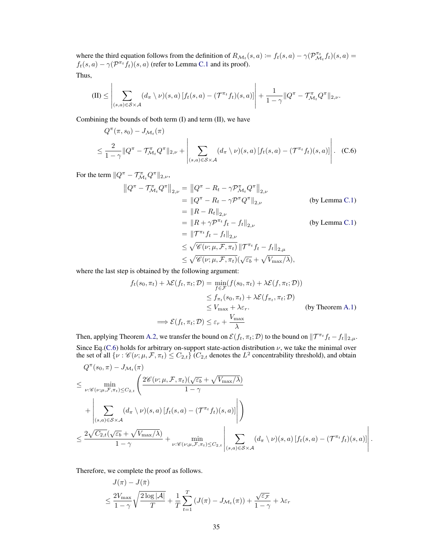where the third equation follows from the definition of  $R_{\mathcal{M}_t}(s, a) := f_t(s, a) - \gamma(\mathcal{P}_{\mathcal{M}_t}^{\pi_t} f_t)(s, a) =$  $f_t(s, a) - \gamma (\mathcal{P}^{\pi_t} f_t)(s, a)$  (refer to Lemma [C.1](#page-27-5) and its proof). Thus,

$$
\text{(II)} \leq \left| \sum_{(s,a)\in\mathcal{S}\times\mathcal{A}} (d_\pi \setminus \nu)(s,a) \left[ f_t(s,a) - (\mathcal{T}^{\pi_t} f_t)(s,a) \right] \right| + \frac{1}{1-\gamma} \|Q^\pi - \mathcal{T}^{\pi}_{\mathcal{M}_t} Q^\pi\|_{2,\nu}.
$$

Combining the bounds of both term (I) and term (II), we have

$$
Q^{\pi}(\pi, s_0) - J_{\mathcal{M}_t}(\pi)
$$
  
\n
$$
\leq \frac{2}{1 - \gamma} \|Q^{\pi} - \mathcal{T}_{\mathcal{M}_t}^{\pi} Q^{\pi}\|_{2, \nu} + \left| \sum_{(s, a) \in \mathcal{S} \times \mathcal{A}} (d_{\pi} \setminus \nu)(s, a) \left[ f_t(s, a) - (\mathcal{T}^{\pi_t} f_t)(s, a) \right] \right|. \quad (C.6)
$$

For the term  $||Q^{\pi} - \mathcal{T}^{\pi}_{\mathcal{M}_t} Q^{\pi}||_{2,\nu}$ ,

<span id="page-34-0"></span>
$$
\|Q^{\pi} - \mathcal{T}_{\mathcal{M}_t}^{\pi} Q^{\pi}\|_{2,\nu} = \|Q^{\pi} - R_t - \gamma \mathcal{P}_{\mathcal{M}_t}^{\pi} Q^{\pi}\|_{2,\nu}
$$
  
\n
$$
= \|Q^{\pi} - R_t - \gamma \mathcal{P}^{\pi} Q^{\pi}\|_{2,\nu}
$$
 (by Lemma C.1)  
\n
$$
= \|R - R_t\|_{2,\nu}
$$
  
\n
$$
= \|R + \gamma \mathcal{P}^{\pi_t} f_t - f_t\|_{2,\nu}
$$
 (by Lemma C.1)  
\n
$$
= \|\mathcal{T}^{\pi_t} f_t - f_t\|_{2,\nu}
$$
  
\n
$$
\leq \sqrt{\mathscr{C}(\nu; \mu, \mathcal{F}, \pi_t)} \|\mathcal{T}^{\pi_t} f_t - f_t\|_{2,\mu}
$$
  
\n
$$
\leq \sqrt{\mathscr{C}(\nu; \mu, \mathcal{F}, \pi_t)} (\sqrt{\varepsilon_b} + \sqrt{V_{\text{max}}/\lambda}),
$$

where the last step is obtained by the following argument:

$$
f_t(s_0, \pi_t) + \lambda \mathcal{E}(f_t, \pi_t; \mathcal{D}) = \min_{f \in \mathcal{F}} (f(s_0, \pi_t) + \lambda \mathcal{E}(f, \pi_t; \mathcal{D}))
$$
  
\n
$$
\leq f_{\pi_t}(s_0, \pi_t) + \lambda \mathcal{E}(f_{\pi_t}, \pi_t; \mathcal{D})
$$
  
\n
$$
\leq V_{\max} + \lambda \varepsilon_r.
$$
 (by Theorem A.1)  
\n
$$
\implies \mathcal{E}(f_t, \pi_t; \mathcal{D}) \leq \varepsilon_r + \frac{V_{\max}}{\lambda}
$$

Then, applying Theorem [A.2,](#page-13-3) we transfer the bound on  $\mathcal{E}(f_t, \pi_t; \mathcal{D})$  to the bound on  $\|\mathcal{T}^{\pi_t}f_t - f_t\|_{2,\mu}$ . Since Eq.[\(C.6\)](#page-34-0) holds for arbitrary on-support state-action distribution  $\nu$ , we take the minimal over the set of all  $\{\nu: \mathscr{C}(\nu;\mu,\mathcal{F},\pi_t) \leq C_{2,t}\}\$  ( $C_{2,t}$  denotes the  $L^2$  concentrability threshold), and obtain

$$
Q^{\pi}(s_0, \pi) - J_{\mathcal{M}_t}(\pi)
$$
\n
$$
\leq \min_{\nu : \mathscr{C}(\nu; \mu, \mathcal{F}, \pi_t) \leq C_{2,t}} \left( \frac{2\mathscr{C}(\nu; \mu, \mathcal{F}, \pi_t)(\sqrt{\varepsilon_b} + \sqrt{V_{\max}/\lambda})}{1 - \gamma} + \left| \sum_{(s, a) \in S \times \mathcal{A}} (d_{\pi} \setminus \nu)(s, a) \left[ f_t(s, a) - (\mathcal{T}^{\pi_t} f_t)(s, a) \right] \right| \right)
$$
\n
$$
\leq \frac{2\sqrt{C_{2,t}}(\sqrt{\varepsilon_b} + \sqrt{V_{\max}/\lambda})}{1 - \gamma} + \min_{\nu : \mathscr{C}(\nu; \mu, \mathcal{F}, \pi_t) \leq C_{2,t}} \left| \sum_{(s, a) \in S \times \mathcal{A}} (d_{\pi} \setminus \nu)(s, a) \left[ f_t(s, a) - (\mathcal{T}^{\pi_t} f_t)(s, a) \right] \right|
$$

.

Therefore, we complete the proof as follows.

$$
J(\pi) - J(\bar{\pi})
$$
  

$$
\leq \frac{2V_{\text{max}}}{1-\gamma} \sqrt{\frac{2\log|\mathcal{A}|}{T}} + \frac{1}{T} \sum_{t=1}^{T} (J(\pi) - J_{\mathcal{M}_t}(\pi)) + \frac{\sqrt{\varepsilon_{\mathcal{F}}}}{1-\gamma} + \lambda \varepsilon_r
$$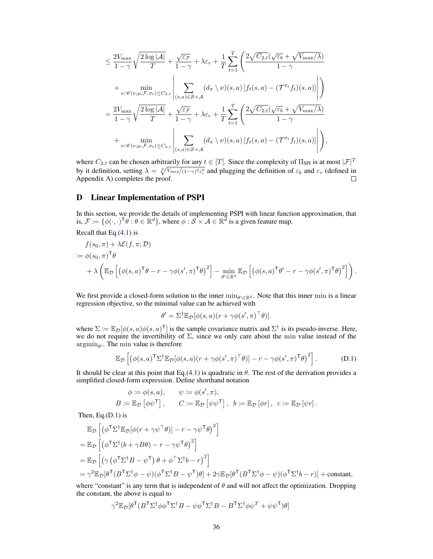$$
\leq \frac{2V_{\max}}{1-\gamma} \sqrt{\frac{2\log|\mathcal{A}|}{T}} + \frac{\sqrt{\varepsilon_{\mathcal{F}}}}{1-\gamma} + \lambda \varepsilon_r + \frac{1}{T} \sum_{t=1}^T \left( \frac{2\sqrt{C_{2,t}}(\sqrt{\varepsilon_b} + \sqrt{V_{\max}/\lambda})}{1-\gamma} + \min_{\nu:\mathscr{C}(\nu;\mu,\mathcal{F},\pi_t) \leq C_{2,t}} \left| \sum_{(s,a) \in \mathcal{S} \times \mathcal{A}} (d_\pi \setminus \nu)(s,a) \left[ f_t(s,a) - (\mathcal{T}^{\pi_t} f_t)(s,a) \right] \right| \right) \n= \frac{2V_{\max}}{1-\gamma} \sqrt{\frac{2\log|\mathcal{A}|}{T}} + \frac{\sqrt{\varepsilon_{\mathcal{F}}}}{1-\gamma} + \lambda \varepsilon_r + \frac{1}{T} \sum_{t=1}^T \left( \frac{2\sqrt{C_{2,t}}(\sqrt{\varepsilon_b} + \sqrt{V_{\max}/\lambda})}{1-\gamma} + \min_{\nu:\mathscr{C}(\nu;\mu,\mathcal{F},\pi_t) \leq C_{2,t}} \left| \sum_{(s,a) \in \mathcal{S} \times \mathcal{A}} (d_\pi \setminus \nu)(s,a) \left[ f_t(s,a) - (\mathcal{T}^{\pi_t} f_t)(s,a) \right] \right| \right),
$$

where  $C_{2,t}$  can be chosen arbitrarily for any  $t \in [T]$ . Since the complexity of  $\Pi_{\text{SPI}}$  is at most  $|\mathcal{F}|^T$ by it definition, setting  $\lambda = \sqrt[3]{V_{\text{max}}/(1-\gamma)^2 \varepsilon_r^2}$  and plugging the definition of  $\varepsilon_b$  and  $\varepsilon_r$  (defined in Appendix [A\)](#page-13-8) completes the proof.

## <span id="page-35-0"></span>D Linear Implementation of PSPI

In this section, we provide the details of implementing PSPI with linear function approximation, that is,  $\mathcal{F} := \{ \phi(\cdot, \cdot)^{\mathsf{T}} \theta : \theta \in \mathbb{R}^d \}$ , where  $\phi : \mathcal{S} \times \mathcal{A} \in \mathbb{R}^d$  is a given feature map.

Recall that Eq.[\(4.1\)](#page-7-4) is

$$
f(s_0, \pi) + \lambda \mathcal{E}(f, \pi; \mathcal{D})
$$
  
 :=  $\phi(s_0, \pi)^{\mathsf{T}} \theta$   
 +  $\lambda \left( \mathbb{E}_{\mathcal{D}} \left[ \left( \phi(s, a)^{\mathsf{T}} \theta - r - \gamma \phi(s', \pi)^{\mathsf{T}} \theta \right)^2 \right] - \min_{\theta' \in \mathbb{R}^d} \mathbb{E}_{\mathcal{D}} \left[ \left( \phi(s, a)^{\mathsf{T}} \theta' - r - \gamma \phi(s', \pi)^{\mathsf{T}} \theta \right)^2 \right] \right).$ 

We first provide a closed-form solution to the inner  $\min_{\theta' \in \mathbb{R}^d}$ . Note that this inner min is a linear regression objective, so the minimal value can be achieved with

<span id="page-35-1"></span>
$$
\theta' = \Sigma^{\dagger} \mathbb{E}_{\mathcal{D}}[\phi(s, a)(r + \gamma \phi(s', \pi)^{\top} \theta)].
$$

where  $\Sigma \coloneqq \mathbb{E}_{\mathcal{D}}[\phi(s, a)\phi(s, a)^{\mathsf{T}}]$  is the sample covariance matrix and  $\Sigma^{\dagger}$  is its pseudo-inverse. Here, we do not require the invertibility of  $\Sigma$ , since we only care about the min value instead of the  $\operatorname{argmin}_{\theta}$ . The min value is therefore

$$
\mathbb{E}_{\mathcal{D}}\left[\left(\phi(s,a)^{\mathsf{T}}\Sigma^{\dagger}\mathbb{E}_{\mathcal{D}}[\phi(s,a)(r+\gamma\phi(s',\pi)^{\mathsf{T}}\theta)]-r-\gamma\phi(s',\pi)^{\mathsf{T}}\theta\right)^{2}\right].
$$
 (D.1)

It should be clear at this point that Eq.[\(4.1\)](#page-7-4) is quadratic in  $\theta$ . The rest of the derivation provides a simplified closed-form expression. Define shorthand notation

$$
\begin{aligned}\n\phi &:= \phi(s, a), & \psi &:= \phi(s', \pi), \\
B &:= \mathbb{E}_{\mathcal{D}}\left[\phi \psi^{\mathsf{T}}\right], & C &:= \mathbb{E}_{\mathcal{D}}\left[\psi \psi^{\mathsf{T}}\right], & b &:= \mathbb{E}_{\mathcal{D}}\left[\phi r\right], & c &:= \mathbb{E}_{\mathcal{D}}\left[\psi r\right].\n\end{aligned}
$$

Then, Eq. $(D.1)$  is

$$
\mathbb{E}_{\mathcal{D}}\left[\left(\phi^{\mathsf{T}}\Sigma^{\dagger}\mathbb{E}_{\mathcal{D}}[\phi(r+\gamma\psi^{\mathsf{T}}\theta)]-r-\gamma\psi^{\mathsf{T}}\theta\right)^{2}\right]
$$
\n
$$
=\mathbb{E}_{\mathcal{D}}\left[\left(\phi^{\mathsf{T}}\Sigma^{\dagger}(b+\gamma B\theta)-r-\gamma\psi^{\mathsf{T}}\theta\right)^{2}\right]
$$
\n
$$
=\mathbb{E}_{\mathcal{D}}\left[\left(\gamma\left(\phi^{\mathsf{T}}\Sigma^{\dagger}B-\psi^{\mathsf{T}}\right)\theta+\phi^{\mathsf{T}}\Sigma^{\dagger}b-r\right)^{2}\right]
$$
\n
$$
=\gamma^{2}\mathbb{E}_{\mathcal{D}}[\theta^{\mathsf{T}}(B^{\mathsf{T}}\Sigma^{\dagger}\phi-\psi)(\phi^{\mathsf{T}}\Sigma^{\dagger}B-\psi^{\mathsf{T}})\theta]+2\gamma\mathbb{E}_{\mathcal{D}}[\theta^{\mathsf{T}}(B^{\mathsf{T}}\Sigma^{\dagger}\phi-\psi)(\phi^{\mathsf{T}}\Sigma^{\dagger}b-r)]+\text{constant},
$$

where "constant" is any term that is independent of  $\theta$  and will not affect the optimization. Dropping the constant, the above is equal to

$$
\gamma^2 \mathbb{E}_{\mathcal{D}}[\theta^{\mathsf{T}} (B^{\mathsf{T}} \Sigma^{\dagger} \phi \phi^{\mathsf{T}} \Sigma^{\dagger} B - \psi \phi^{\mathsf{T}} \Sigma^{\dagger} B - B^{\mathsf{T}} \Sigma^{\dagger} \phi \psi^T + \psi \psi^{\mathsf{T}})\theta]
$$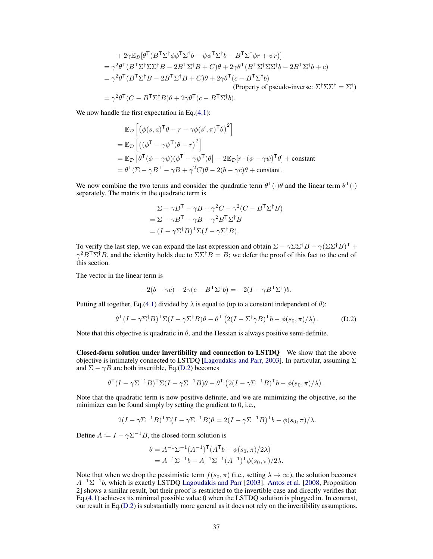+ 
$$
2\gamma \mathbb{E}_{\mathcal{D}}[\theta^{\mathsf{T}}(B^{\mathsf{T}}\Sigma^{\dagger}\phi\phi^{\mathsf{T}}\Sigma^{\dagger}b - \psi\phi^{\mathsf{T}}\Sigma^{\dagger}b - B^{\mathsf{T}}\Sigma^{\dagger}\phi r + \psi r)]
$$
  
\n=  $\gamma^2 \theta^{\mathsf{T}}(B^{\mathsf{T}}\Sigma^{\dagger}\Sigma\Sigma^{\dagger}B - 2B^{\mathsf{T}}\Sigma^{\dagger}B + C)\theta + 2\gamma \theta^{\mathsf{T}}(B^{\mathsf{T}}\Sigma^{\dagger}\Sigma\Sigma^{\dagger}b - 2B^{\mathsf{T}}\Sigma^{\dagger}b + c)$   
\n=  $\gamma^2 \theta^{\mathsf{T}}(B^{\mathsf{T}}\Sigma^{\dagger}B - 2B^{\mathsf{T}}\Sigma^{\dagger}B + C)\theta + 2\gamma \theta^{\mathsf{T}}(c - B^{\mathsf{T}}\Sigma^{\dagger}b)$   
\n(Property of pseudo-inverse:  $\Sigma^{\dagger}\Sigma\Sigma^{\dagger} = \Sigma^{\dagger}$ )  
\n=  $\gamma^2 \theta^{\mathsf{T}}(C - B^{\mathsf{T}}\Sigma^{\dagger}B)\theta + 2\gamma \theta^{\mathsf{T}}(c - B^{\mathsf{T}}\Sigma^{\dagger}b)$ .

We now handle the first expectation in Eq.[\(4.1\)](#page-7-4):

$$
\mathbb{E}_{\mathcal{D}}\left[\left(\phi(s,a)^{\mathsf{T}}\theta-r-\gamma\phi(s',\pi)^{\mathsf{T}}\theta\right)^{2}\right]
$$
\n
$$
=\mathbb{E}_{\mathcal{D}}\left[\left((\phi^{\mathsf{T}}-\gamma\psi^{\mathsf{T}})\theta-r\right)^{2}\right]
$$
\n
$$
=\mathbb{E}_{\mathcal{D}}\left[\theta^{\mathsf{T}}(\phi-\gamma\psi)(\phi^{\mathsf{T}}-\gamma\psi^{\mathsf{T}})\theta\right]-2\mathbb{E}_{\mathcal{D}}[r\cdot(\phi-\gamma\psi)^{\mathsf{T}}\theta]+\text{constant}
$$
\n
$$
=\theta^{\mathsf{T}}(\Sigma-\gamma B^{\mathsf{T}}-\gamma B+\gamma^{2}C)\theta-2(b-\gamma c)\theta+\text{constant}.
$$

We now combine the two terms and consider the quadratic term  $\theta^{\mathsf{T}}(\cdot)\theta$  and the linear term  $\theta^{\mathsf{T}}(\cdot)$ separately. The matrix in the quadratic term is

$$
\Sigma - \gamma B^{\mathsf{T}} - \gamma B + \gamma^2 C - \gamma^2 (C - B^{\mathsf{T}} \Sigma^{\dagger} B)
$$
  
= 
$$
\Sigma - \gamma B^{\mathsf{T}} - \gamma B + \gamma^2 B^{\mathsf{T}} \Sigma^{\dagger} B
$$
  
= 
$$
(I - \gamma \Sigma^{\dagger} B)^{\mathsf{T}} \Sigma (I - \gamma \Sigma^{\dagger} B).
$$

To verify the last step, we can expand the last expression and obtain  $\Sigma - \gamma \Sigma \Sigma^{\dagger} B - \gamma (\Sigma \Sigma^{\dagger} B)^{\dagger} +$  $\gamma^2 B^T \Sigma^{\dagger} B$ , and the identity holds due to  $\Sigma \Sigma^{\dagger} B = B$ ; we defer the proof of this fact to the end of this section.

The vector in the linear term is

<span id="page-36-0"></span>
$$
-2(b - \gamma c) - 2\gamma(c - B^{\mathsf{T}}\Sigma^{\dagger}b) = -2(I - \gamma B^{\mathsf{T}}\Sigma^{\dagger})b.
$$

Putting all together, Eq.[\(4.1\)](#page-7-4) divided by  $\lambda$  is equal to (up to a constant independent of  $\theta$ ):

$$
\theta^{\mathsf{T}}(I - \gamma \Sigma^{\dagger} B)^{\mathsf{T}} \Sigma (I - \gamma \Sigma^{\dagger} B) \theta - \theta^{\mathsf{T}} (2(I - \Sigma^{\dagger} \gamma B)^{\mathsf{T}} b - \phi(s_0, \pi) / \lambda).
$$
 (D.2)

Note that this objective is quadratic in  $\theta$ , and the Hessian is always positive semi-definite.

Closed-form solution under invertibility and connection to LSTDQ We show that the above objective is intimately connected to LSTDQ [\[Lagoudakis and Parr,](#page-11-16) [2003\]](#page-11-16). In particular, assuming  $\Sigma$ and  $\Sigma - \gamma B$  are both invertible, Eq.[\(D.2\)](#page-36-0) becomes

$$
\theta^{\mathsf{T}} (I - \gamma \Sigma^{-1} B)^{\mathsf{T}} \Sigma (I - \gamma \Sigma^{-1} B) \theta - \theta^{\mathsf{T}} (2(I - \gamma \Sigma^{-1} B)^{\mathsf{T}} b - \phi(s_0, \pi) / \lambda).
$$

Note that the quadratic term is now positive definite, and we are minimizing the objective, so the minimizer can be found simply by setting the gradient to 0, i.e.,

$$
2(I - \gamma \Sigma^{-1} B)^{\mathsf{T}} \Sigma (I - \gamma \Sigma^{-1} B) \theta = 2(I - \gamma \Sigma^{-1} B)^{\mathsf{T}} b - \phi(s_0, \pi) / \lambda.
$$

Define  $A := I - \gamma \Sigma^{-1} B$ , the closed-form solution is

$$
\theta = A^{-1} \Sigma^{-1} (A^{-1})^{\mathsf{T}} (A^{\mathsf{T}} b - \phi(s_0, \pi) / 2\lambda)
$$
  
=  $A^{-1} \Sigma^{-1} b - A^{-1} \Sigma^{-1} (A^{-1})^{\mathsf{T}} \phi(s_0, \pi) / 2\lambda.$ 

Note that when we drop the pessimistic term  $f(s_0, \pi)$  (i.e., setting  $\lambda \to \infty$ ), the solution becomes  $A^{-1}\Sigma^{-1}b$ , which is exactly LSTDQ [Lagoudakis and Parr](#page-11-16) [\[2003\]](#page-11-16). [Antos et al.](#page-10-0) [\[2008,](#page-10-0) Proposition 2] shows a similar result, but their proof is restricted to the invertible case and directly verifies that  $Eq.(4.1)$  $Eq.(4.1)$  achieves its minimal possible value 0 when the LSTDQ solution is plugged in. In contrast, our result in Eq.[\(D.2\)](#page-36-0) is substantially more general as it does not rely on the invertibility assumptions.